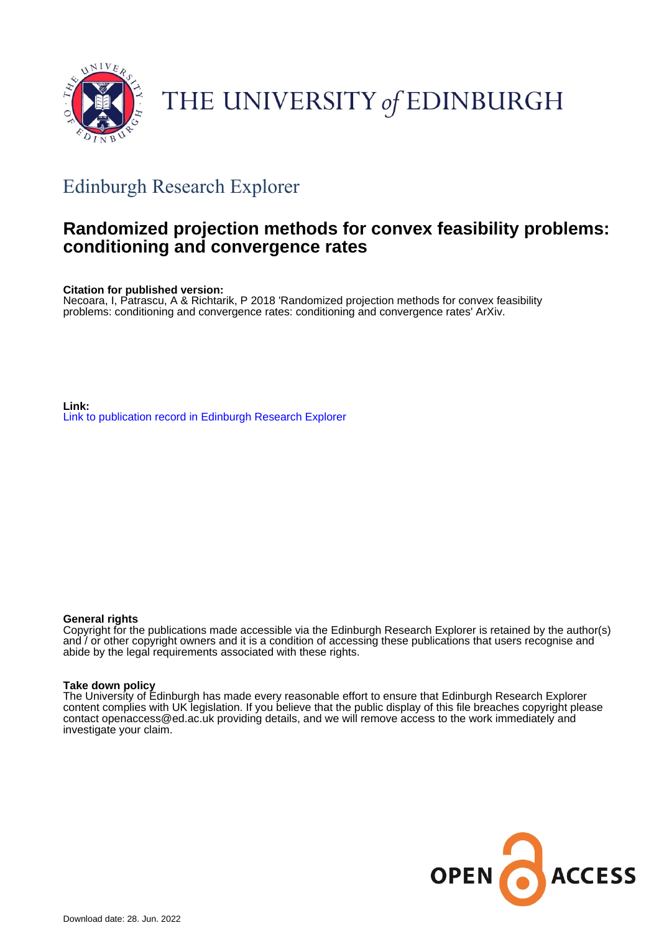

# THE UNIVERSITY of EDINBURGH

## Edinburgh Research Explorer

### **Randomized projection methods for convex feasibility problems: conditioning and convergence rates**

**Citation for published version:**

Necoara, I, Patrascu, A & Richtarik, P 2018 'Randomized projection methods for convex feasibility problems: conditioning and convergence rates: conditioning and convergence rates' ArXiv.

**Link:** [Link to publication record in Edinburgh Research Explorer](https://www.research.ed.ac.uk/en/publications/06c96acc-b153-483d-8b21-332aede85aaf)

#### **General rights**

Copyright for the publications made accessible via the Edinburgh Research Explorer is retained by the author(s) and / or other copyright owners and it is a condition of accessing these publications that users recognise and abide by the legal requirements associated with these rights.

#### **Take down policy**

The University of Edinburgh has made every reasonable effort to ensure that Edinburgh Research Explorer content complies with UK legislation. If you believe that the public display of this file breaches copyright please contact openaccess@ed.ac.uk providing details, and we will remove access to the work immediately and investigate your claim.

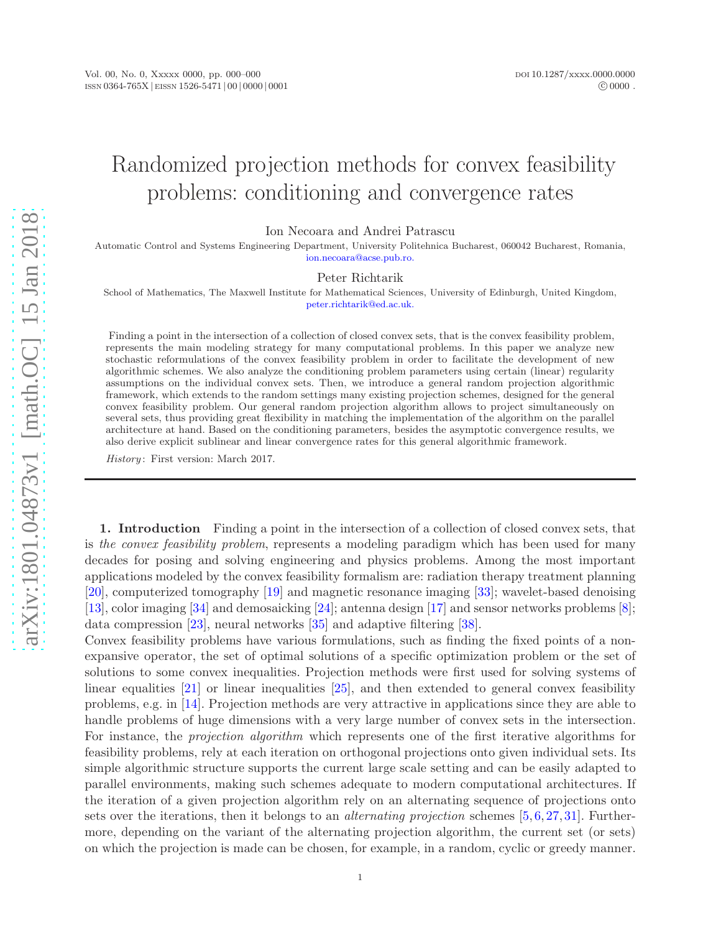## Randomized projection methods for convex feasibility problems: conditioning and convergence rates

Ion Necoara and Andrei Patrascu

Automatic Control and Systems Engineering Department, University Politehnica Bucharest, 060042 Bucharest, Romania, [ion.necoara@acse.pub.ro.](mailto:ion.necoara@acse.pub.ro.)

#### Peter Richtarik

School of Mathematics, The Maxwell Institute for Mathematical Sciences, University of Edinburgh, United Kingdom, [peter.richtarik@ed.ac.uk.](mailto:peter.richtarik@ed.ac.uk.)

Finding a point in the intersection of a collection of closed convex sets, that is the convex feasibility problem, represents the main modeling strategy for many computational problems. In this paper we analyze new stochastic reformulations of the convex feasibility problem in order to facilitate the development of new algorithmic schemes. We also analyze the conditioning problem parameters using certain (linear) regularity assumptions on the individual convex sets. Then, we introduce a general random projection algorithmic framework, which extends to the random settings many existing projection schemes, designed for the general convex feasibility problem. Our general random projection algorithm allows to project simultaneously on several sets, thus providing great flexibility in matching the implementation of the algorithm on the parallel architecture at hand. Based on the conditioning parameters, besides the asymptotic convergence results, we also derive explicit sublinear and linear convergence rates for this general algorithmic framework.

History: First version: March 2017.

1. Introduction Finding a point in the intersection of a collection of closed convex sets, that is the convex feasibility problem, represents a modeling paradigm which has been used for many decades for posing and solving engineering and physics problems. Among the most important applications modeled by the convex feasibility formalism are: radiation therapy treatment planning [\[20\]](#page-32-0), computerized tomography [\[19\]](#page-32-1) and magnetic resonance imaging [\[33\]](#page-33-0); wavelet-based denoising [\[13\]](#page-32-2), color imaging [\[34\]](#page-33-1) and demosaicking [\[24\]](#page-33-2); antenna design [\[17\]](#page-32-3) and sensor networks problems [\[8\]](#page-32-4); data compression [\[23\]](#page-33-3), neural networks [\[35\]](#page-33-4) and adaptive filtering [\[38\]](#page-33-5).

Convex feasibility problems have various formulations, such as finding the fixed points of a nonexpansive operator, the set of optimal solutions of a specific optimization problem or the set of solutions to some convex inequalities. Projection methods were first used for solving systems of linear equalities [\[21\]](#page-32-5) or linear inequalities [\[25\]](#page-33-6), and then extended to general convex feasibility problems, e.g. in [\[14\]](#page-32-6). Projection methods are very attractive in applications since they are able to handle problems of huge dimensions with a very large number of convex sets in the intersection. For instance, the projection algorithm which represents one of the first iterative algorithms for feasibility problems, rely at each iteration on orthogonal projections onto given individual sets. Its simple algorithmic structure supports the current large scale setting and can be easily adapted to parallel environments, making such schemes adequate to modern computational architectures. If the iteration of a given projection algorithm rely on an alternating sequence of projections onto sets over the iterations, then it belongs to an *alternating projection* schemes [\[5,](#page-32-7)[6,](#page-32-8) [27,](#page-33-7) [31\]](#page-33-8). Furthermore, depending on the variant of the alternating projection algorithm, the current set (or sets) on which the projection is made can be chosen, for example, in a random, cyclic or greedy manner.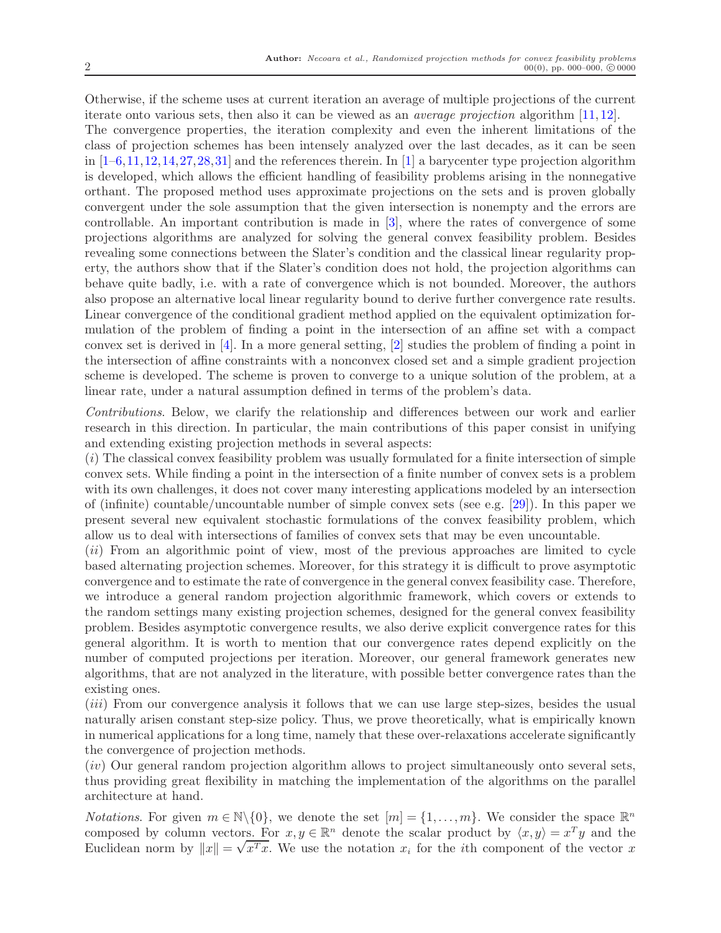Otherwise, if the scheme uses at current iteration an average of multiple projections of the current iterate onto various sets, then also it can be viewed as an average projection algorithm [\[11,](#page-32-9) [12\]](#page-32-10). The convergence properties, the iteration complexity and even the inherent limitations of the class of projection schemes has been intensely analyzed over the last decades, as it can be seen in  $[1-6,11,12,14,27,28,31]$  $[1-6,11,12,14,27,28,31]$  $[1-6,11,12,14,27,28,31]$  $[1-6,11,12,14,27,28,31]$  $[1-6,11,12,14,27,28,31]$  $[1-6,11,12,14,27,28,31]$  $[1-6,11,12,14,27,28,31]$  $[1-6,11,12,14,27,28,31]$  and the references therein. In  $[1]$  a barycenter type projection algorithm is developed, which allows the efficient handling of feasibility problems arising in the nonnegative orthant. The proposed method uses approximate projections on the sets and is proven globally convergent under the sole assumption that the given intersection is nonempty and the errors are controllable. An important contribution is made in [\[3\]](#page-32-12), where the rates of convergence of some projections algorithms are analyzed for solving the general convex feasibility problem. Besides revealing some connections between the Slater's condition and the classical linear regularity property, the authors show that if the Slater's condition does not hold, the projection algorithms can behave quite badly, i.e. with a rate of convergence which is not bounded. Moreover, the authors also propose an alternative local linear regularity bound to derive further convergence rate results. Linear convergence of the conditional gradient method applied on the equivalent optimization formulation of the problem of finding a point in the intersection of an affine set with a compact convex set is derived in [\[4\]](#page-32-13). In a more general setting, [\[2\]](#page-32-14) studies the problem of finding a point in the intersection of affine constraints with a nonconvex closed set and a simple gradient projection scheme is developed. The scheme is proven to converge to a unique solution of the problem, at a linear rate, under a natural assumption defined in terms of the problem's data.

Contributions. Below, we clarify the relationship and differences between our work and earlier research in this direction. In particular, the main contributions of this paper consist in unifying and extending existing projection methods in several aspects:

(i) The classical convex feasibility problem was usually formulated for a finite intersection of simple convex sets. While finding a point in the intersection of a finite number of convex sets is a problem with its own challenges, it does not cover many interesting applications modeled by an intersection of (infinite) countable/uncountable number of simple convex sets (see e.g. [\[29\]](#page-33-10)). In this paper we present several new equivalent stochastic formulations of the convex feasibility problem, which allow us to deal with intersections of families of convex sets that may be even uncountable.

(ii) From an algorithmic point of view, most of the previous approaches are limited to cycle based alternating projection schemes. Moreover, for this strategy it is difficult to prove asymptotic convergence and to estimate the rate of convergence in the general convex feasibility case. Therefore, we introduce a general random projection algorithmic framework, which covers or extends to the random settings many existing projection schemes, designed for the general convex feasibility problem. Besides asymptotic convergence results, we also derive explicit convergence rates for this general algorithm. It is worth to mention that our convergence rates depend explicitly on the number of computed projections per iteration. Moreover, our general framework generates new algorithms, that are not analyzed in the literature, with possible better convergence rates than the existing ones.

(iii) From our convergence analysis it follows that we can use large step-sizes, besides the usual naturally arisen constant step-size policy. Thus, we prove theoretically, what is empirically known in numerical applications for a long time, namely that these over-relaxations accelerate significantly the convergence of projection methods.

(iv) Our general random projection algorithm allows to project simultaneously onto several sets, thus providing great flexibility in matching the implementation of the algorithms on the parallel architecture at hand.

*Notations.* For given  $m \in \mathbb{N} \setminus \{0\}$ , we denote the set  $[m] = \{1, \ldots, m\}$ . We consider the space  $\mathbb{R}^n$ composed by column vectors. For  $x, y \in \mathbb{R}^n$  denote the scalar product by  $\langle x, y \rangle = x^T y$  and the Euclidean norm by  $||x|| = \sqrt{x^T x}$ . We use the notation  $x_i$  for the *i*th component of the vector x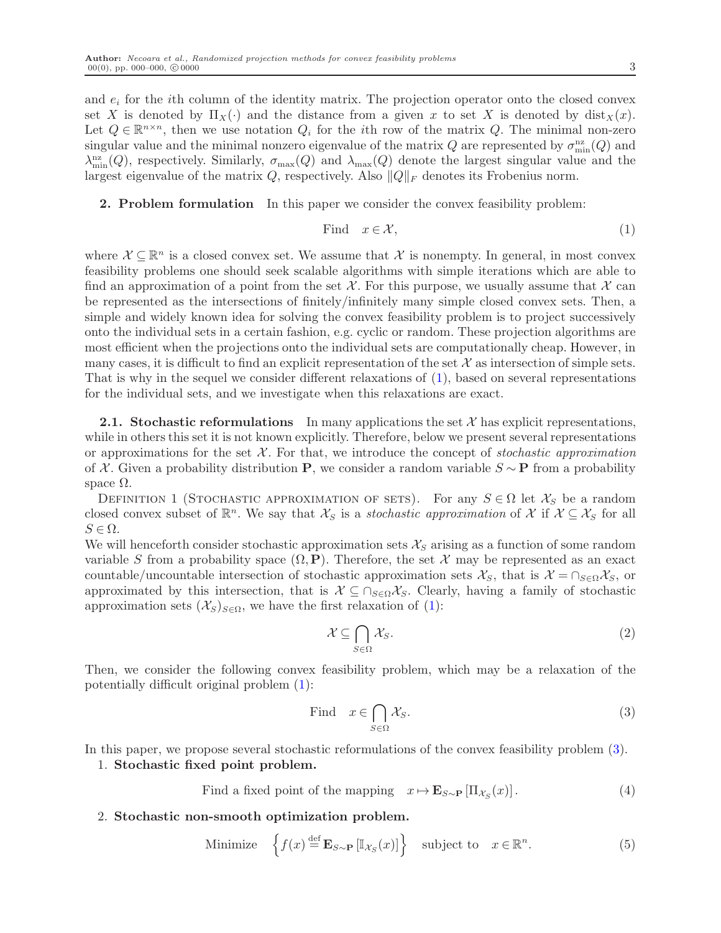and  $e_i$  for the *i*th column of the identity matrix. The projection operator onto the closed convex set X is denoted by  $\Pi_X(\cdot)$  and the distance from a given x to set X is denoted by  $dist_X(x)$ . Let  $Q \in \mathbb{R}^{n \times n}$ , then we use notation  $Q_i$  for the *i*th row of the matrix  $Q$ . The minimal non-zero singular value and the minimal nonzero eigenvalue of the matrix  $Q$  are represented by  $\sigma_{\min}^{\text{nz}}(Q)$  and  $\lambda_{\min}^{nz}(Q)$ , respectively. Similarly,  $\sigma_{\max}(Q)$  and  $\lambda_{\max}(Q)$  denote the largest singular value and the largest eigenvalue of the matrix Q, respectively. Also  $\|Q\|_F$  denotes its Frobenius norm.

2. Problem formulation In this paper we consider the convex feasibility problem:

<span id="page-3-0"></span>Find 
$$
x \in \mathcal{X}
$$
,  $(1)$ 

where  $\mathcal{X} \subseteq \mathbb{R}^n$  is a closed convex set. We assume that X is nonempty. In general, in most convex feasibility problems one should seek scalable algorithms with simple iterations which are able to find an approximation of a point from the set  $\mathcal{X}$ . For this purpose, we usually assume that  $\mathcal{X}$  can be represented as the intersections of finitely/infinitely many simple closed convex sets. Then, a simple and widely known idea for solving the convex feasibility problem is to project successively onto the individual sets in a certain fashion, e.g. cyclic or random. These projection algorithms are most efficient when the projections onto the individual sets are computationally cheap. However, in many cases, it is difficult to find an explicit representation of the set  $\mathcal X$  as intersection of simple sets. That is why in the sequel we consider different relaxations of [\(1\)](#page-3-0), based on several representations for the individual sets, and we investigate when this relaxations are exact.

**2.1. Stochastic reformulations** In many applications the set  $\mathcal{X}$  has explicit representations, while in others this set it is not known explicitly. Therefore, below we present several representations or approximations for the set  $X$ . For that, we introduce the concept of stochastic approximation of X. Given a probability distribution P, we consider a random variable  $S \sim P$  from a probability space  $Ω$ .

<span id="page-3-4"></span>DEFINITION 1 (STOCHASTIC APPROXIMATION OF SETS). For any  $S \in \Omega$  let  $\mathcal{X}_S$  be a random closed convex subset of  $\mathbb{R}^n$ . We say that  $\mathcal{X}_S$  is a stochastic approximation of X if  $\mathcal{X} \subseteq \mathcal{X}_S$  for all  $S \in \Omega$ .

We will henceforth consider stochastic approximation sets  $\mathcal{X}_S$  arising as a function of some random variable S from a probability space  $(\Omega, \mathbf{P})$ . Therefore, the set X may be represented as an exact countable/uncountable intersection of stochastic approximation sets  $\mathcal{X}_S$ , that is  $\mathcal{X} = \cap_{S \in \Omega} \mathcal{X}_S$ , or approximated by this intersection, that is  $\mathcal{X} \subseteq \bigcap_{S \in \Omega} \mathcal{X}_S$ . Clearly, having a family of stochastic approximation sets  $(\mathcal{X}_S)_{S \in \Omega}$ , we have the first relaxation of [\(1\)](#page-3-0):

$$
\mathcal{X} \subseteq \bigcap_{S \in \Omega} \mathcal{X}_S. \tag{2}
$$

Then, we consider the following convex feasibility problem, which may be a relaxation of the potentially difficult original problem [\(1\)](#page-3-0):

<span id="page-3-1"></span>Find 
$$
x \in \bigcap_{S \in \Omega} \mathcal{X}_S
$$
. (3)

In this paper, we propose several stochastic reformulations of the convex feasibility problem [\(3\)](#page-3-1).

#### 1. Stochastic fixed point problem.

- <span id="page-3-2"></span>Find a fixed point of the mapping  $x \mapsto \mathbf{E}_{S \sim \mathbf{P}} [\Pi_{\mathcal{X}_S}(x)]$ . (4)
- 2. Stochastic non-smooth optimization problem.

<span id="page-3-3"></span>Minimize 
$$
\left\{ f(x) \stackrel{\text{def}}{=} \mathbf{E}_{S \sim \mathbf{P}} \left[ \mathbb{I}_{\mathcal{X}_S}(x) \right] \right\} \text{ subject to } x \in \mathbb{R}^n. \tag{5}
$$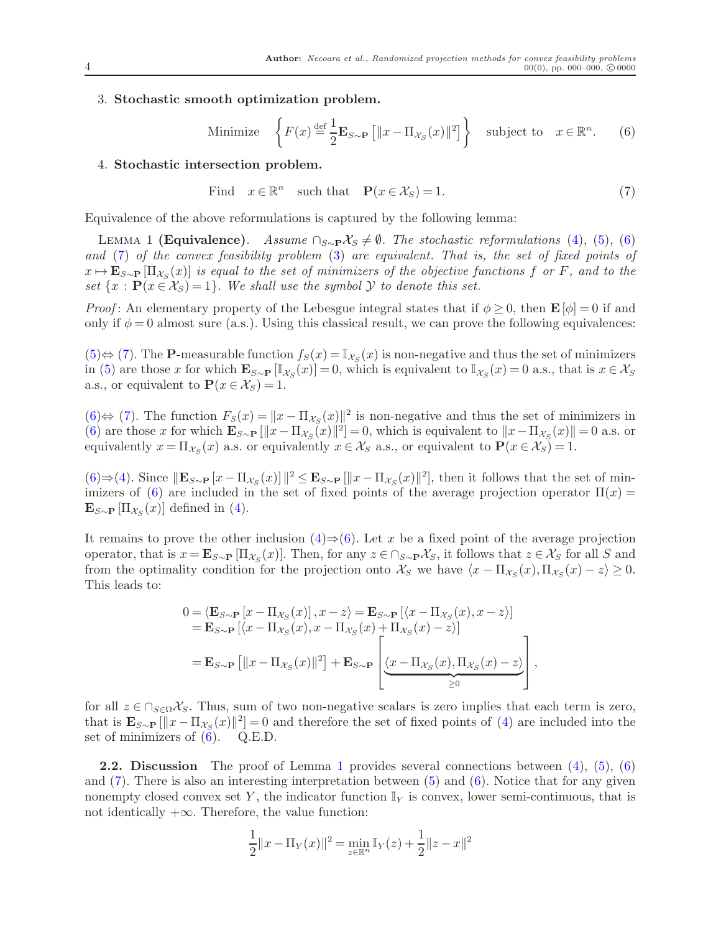#### <span id="page-4-0"></span>3. Stochastic smooth optimization problem.

Minimize 
$$
\left\{ F(x) \stackrel{\text{def}}{=} \frac{1}{2} \mathbf{E}_{S \sim \mathbf{P}} \left[ \|x - \Pi_{\mathcal{X}_S}(x)\|^2 \right] \right\} \text{ subject to } x \in \mathbb{R}^n. \tag{6}
$$

#### 4. Stochastic intersection problem.

<span id="page-4-2"></span><span id="page-4-1"></span>Find 
$$
x \in \mathbb{R}^n
$$
 such that  $\mathbf{P}(x \in \mathcal{X}_S) = 1.$  (7)

Equivalence of the above reformulations is captured by the following lemma:

LEMMA 1 (Equivalence). Assume  $\cap_{S\sim P}X_S \neq \emptyset$ . The stochastic reformulations [\(4\)](#page-3-2), [\(5\)](#page-3-3), [\(6\)](#page-4-0) and [\(7\)](#page-4-1) of the convex feasibility problem [\(3\)](#page-3-1) are equivalent. That is, the set of fixed points of  $x \mapsto \mathbf{E}_{S \sim \mathbf{P}}[\Pi_{\mathcal{X}_S}(x)]$  is equal to the set of minimizers of the objective functions f or F, and to the set  $\{x : P(x \in X_S) = 1\}$ . We shall use the symbol  $\mathcal Y$  to denote this set.

*Proof*: An elementary property of the Lebesgue integral states that if  $\phi \geq 0$ , then  $\mathbf{E}[\phi] = 0$  if and only if  $\phi = 0$  almost sure (a.s.). Using this classical result, we can prove the following equivalences:

 $(5) \Leftrightarrow (7)$  $(5) \Leftrightarrow (7)$  $(5) \Leftrightarrow (7)$ . The **P**-measurable function  $f_S(x) = \mathbb{I}_{\mathcal{X}_S}(x)$  is non-negative and thus the set of minimizers in [\(5\)](#page-3-3) are those x for which  $\mathbf{E}_{S \sim \mathbf{P}} [\mathbb{I}_{X_S}(x)] = 0$ , which is equivalent to  $\mathbb{I}_{X_S}(x) = 0$  a.s., that is  $x \in \mathcal{X}_S$ a.s., or equivalent to  $\mathbf{P}(x \in \mathcal{X}_S) = 1$ .

 $(6)$ ⇔ [\(7\)](#page-4-1). The function  $F_S(x) = ||x - \Pi_{\mathcal{X}_S}(x)||^2$  is non-negative and thus the set of minimizers in [\(6\)](#page-4-0) are those x for which  $\mathbf{E}_{S \sim \mathbf{P}} [\Vert x - \Pi_{\mathcal{X}_S}(x) \Vert^2] = 0$ , which is equivalent to  $\Vert x - \Pi_{\mathcal{X}_S}(x) \Vert = 0$  a.s. or equivalently  $x = \Pi_{\mathcal{X}_S}(x)$  a.s. or equivalently  $x \in \mathcal{X}_S$  a.s., or equivalent to  $\mathbf{P}(x \in \mathcal{X}_S) = 1$ .

 $(6) \Rightarrow (4)$  $(6) \Rightarrow (4)$  $(6) \Rightarrow (4)$ . Since  $||\mathbf{E}_{S\sim\mathbf{P}}[x-\Pi_{\mathcal{X}_{S}}(x)]||^{2} \leq \mathbf{E}_{S\sim\mathbf{P}}[||x-\Pi_{\mathcal{X}_{S}}(x)||^{2}]$ , then it follows that the set of min-imizers of [\(6\)](#page-4-0) are included in the set of fixed points of the average projection operator  $\Pi(x)$  $\mathbf{E}_{S\sim\mathbf{P}}\left[\Pi_{\mathcal{X}_{S}}(x)\right]$  defined in [\(4\)](#page-3-2).

It remains to prove the other inclusion  $(4) \Rightarrow (6)$  $(4) \Rightarrow (6)$ . Let x be a fixed point of the average projection operator, that is  $x = \mathbf{E}_{S \sim \mathbf{P}} [\Pi_{\mathcal{X}_S}(x)]$ . Then, for any  $z \in \bigcap_{S \sim \mathbf{P}} \mathcal{X}_S$ , it follows that  $z \in \mathcal{X}_S$  for all S and from the optimality condition for the projection onto  $\mathcal{X}_S$  we have  $\langle x - \Pi_{\mathcal{X}_S}(x), \Pi_{\mathcal{X}_S}(x) - z \rangle \ge 0$ . This leads to:

$$
0 = \langle \mathbf{E}_{S \sim \mathbf{P}} \left[ x - \Pi_{\mathcal{X}_S}(x) \right], x - z \rangle = \mathbf{E}_{S \sim \mathbf{P}} \left[ \langle x - \Pi_{\mathcal{X}_S}(x), x - z \rangle \right]
$$
  
\n
$$
= \mathbf{E}_{S \sim \mathbf{P}} \left[ \langle x - \Pi_{\mathcal{X}_S}(x), x - \Pi_{\mathcal{X}_S}(x) + \Pi_{\mathcal{X}_S}(x) - z \rangle \right]
$$
  
\n
$$
= \mathbf{E}_{S \sim \mathbf{P}} \left[ \|x - \Pi_{\mathcal{X}_S}(x)\|^2 \right] + \mathbf{E}_{S \sim \mathbf{P}} \left[ \underbrace{\langle x - \Pi_{\mathcal{X}_S}(x), \Pi_{\mathcal{X}_S}(x) - z \rangle}_{\geq 0} \right],
$$

for all  $z \in \bigcap_{S \in \Omega} \mathcal{X}_S$ . Thus, sum of two non-negative scalars is zero implies that each term is zero, that is  $\mathbf{E}_{S\sim P}[\Vert x - \Pi_{\mathcal{X}_S}(x) \Vert^2] = 0$  and therefore the set of fixed points of [\(4\)](#page-3-2) are included into the set of minimizers of  $(6)$ . Q.E.D.

**2.2.** Discussion The proof of Lemma [1](#page-4-2) provides several connections between  $(4)$ ,  $(5)$ ,  $(6)$ and  $(7)$ . There is also an interesting interpretation between  $(5)$  and  $(6)$ . Notice that for any given nonempty closed convex set Y, the indicator function  $\mathbb{I}_Y$  is convex, lower semi-continuous, that is not identically  $+\infty$ . Therefore, the value function:

$$
\frac{1}{2}||x - \Pi_Y(x)||^2 = \min_{z \in \mathbb{R}^n} \mathbb{I}_Y(z) + \frac{1}{2}||z - x||^2
$$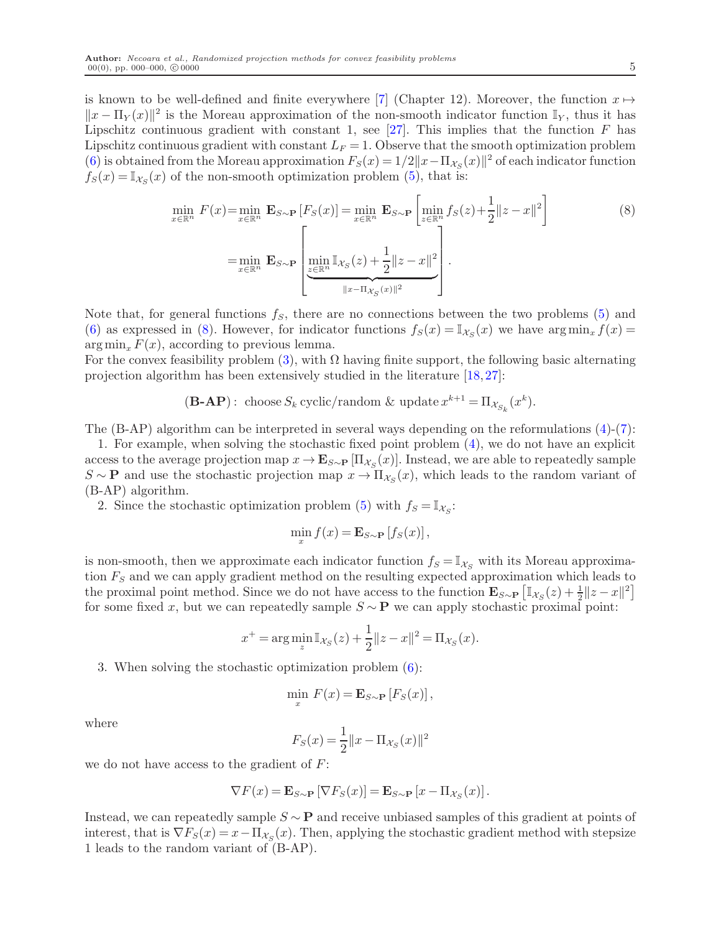is known to be well-defined and finite everywhere [\[7\]](#page-32-15) (Chapter 12). Moreover, the function  $x \mapsto$  $||x - \Pi_Y(x)||^2$  is the Moreau approximation of the non-smooth indicator function  $\mathbb{I}_Y$ , thus it has Lipschitz continuous gradient with constant 1, see  $[27]$ . This implies that the function F has Lipschitz continuous gradient with constant  $L_F = 1$ . Observe that the smooth optimization problem [\(6\)](#page-4-0) is obtained from the Moreau approximation  $F_s(x) = 1/2||x - \Pi_{\mathcal{X}_S}(x)||^2$  of each indicator function  $f_S(x) = \mathbb{I}_{\mathcal{X}_S}(x)$  of the non-smooth optimization problem [\(5\)](#page-3-3), that is:

<span id="page-5-0"></span>
$$
\min_{x \in \mathbb{R}^n} F(x) = \min_{x \in \mathbb{R}^n} \mathbf{E}_{S \sim \mathbf{P}} [F_S(x)] = \min_{x \in \mathbb{R}^n} \mathbf{E}_{S \sim \mathbf{P}} \left[ \min_{z \in \mathbb{R}^n} f_S(z) + \frac{1}{2} ||z - x||^2 \right]
$$
\n
$$
= \min_{x \in \mathbb{R}^n} \mathbf{E}_{S \sim \mathbf{P}} \left[ \min_{z \in \mathbb{R}^n} \mathbb{I}_{\mathcal{X}_S}(z) + \frac{1}{2} ||z - x||^2 \right].
$$
\n(8)

Note that, for general functions  $f_s$ , there are no connections between the two problems  $(5)$  and [\(6\)](#page-4-0) as expressed in [\(8\)](#page-5-0). However, for indicator functions  $f_S(x) = \mathbb{I}_{\mathcal{X}_S}(x)$  we have  $\arg \min_x f(x) =$  $\arg \min_x F(x)$ , according to previous lemma.

For the convex feasibility problem [\(3\)](#page-3-1), with  $\Omega$  having finite support, the following basic alternating projection algorithm has been extensively studied in the literature [\[18,](#page-32-16) [27\]](#page-33-7):

$$
(\mathbf{B}\text{-}\mathbf{A}\mathbf{P}): \text{ choose } S_k \text{ cyclic/random } \& \text{ update } x^{k+1} = \Pi_{\mathcal{X}_{S_k}}(x^k).
$$

The  $(B-AP)$  algorithm can be interpreted in several ways depending on the reformulations  $(4)-(7)$  $(4)-(7)$ :

1. For example, when solving the stochastic fixed point problem [\(4\)](#page-3-2), we do not have an explicit access to the average projection map  $x \to \mathbf{E}_{S \sim \mathbf{P}} [\Pi_{\mathcal{X}_S}(x)]$ . Instead, we are able to repeatedly sample  $S \sim \mathbf{P}$  and use the stochastic projection map  $x \to \Pi_{\mathcal{X}_S}(x)$ , which leads to the random variant of (B-AP) algorithm.

2. Since the stochastic optimization problem [\(5\)](#page-3-3) with  $f_s = \mathbb{I}_{\mathcal{X}_s}$ :

$$
\min_{x} f(x) = \mathbf{E}_{S \sim \mathbf{P}} [f_S(x)],
$$

is non-smooth, then we approximate each indicator function  $f_s = \mathbb{I}_{\mathcal{X}_s}$  with its Moreau approximation  $F<sub>S</sub>$  and we can apply gradient method on the resulting expected approximation which leads to the proximal point method. Since we do not have access to the function  $\mathbf{E}_{S \sim \mathbf{P}} \left[ \mathbb{I}_{\mathcal{X}_S}(z) + \frac{1}{2} \|z - x\|^2 \right]$ for some fixed x, but we can repeatedly sample  $S \sim \mathbf{P}$  we can apply stochastic proximal point:

$$
x^{+} = \arg\min_{z} \mathbb{I}_{\mathcal{X}_{S}}(z) + \frac{1}{2} ||z - x||^{2} = \Pi_{\mathcal{X}_{S}}(x).
$$

3. When solving the stochastic optimization problem [\(6\)](#page-4-0):

$$
\min_x F(x) = \mathbf{E}_{S \sim \mathbf{P}} [F_S(x)],
$$

where

$$
F_S(x) = \frac{1}{2} ||x - \Pi_{\mathcal{X}_S}(x)||^2
$$

we do not have access to the gradient of  $F$ :

$$
\nabla F(x) = \mathbf{E}_{S \sim \mathbf{P}} \left[ \nabla F_S(x) \right] = \mathbf{E}_{S \sim \mathbf{P}} \left[ x - \Pi_{\mathcal{X}_S}(x) \right].
$$

Instead, we can repeatedly sample  $S \sim \mathbf{P}$  and receive unbiased samples of this gradient at points of interest, that is  $\nabla F_S(x) = x - \Pi_{\mathcal{X}_S}(x)$ . Then, applying the stochastic gradient method with stepsize 1 leads to the random variant of (B-AP).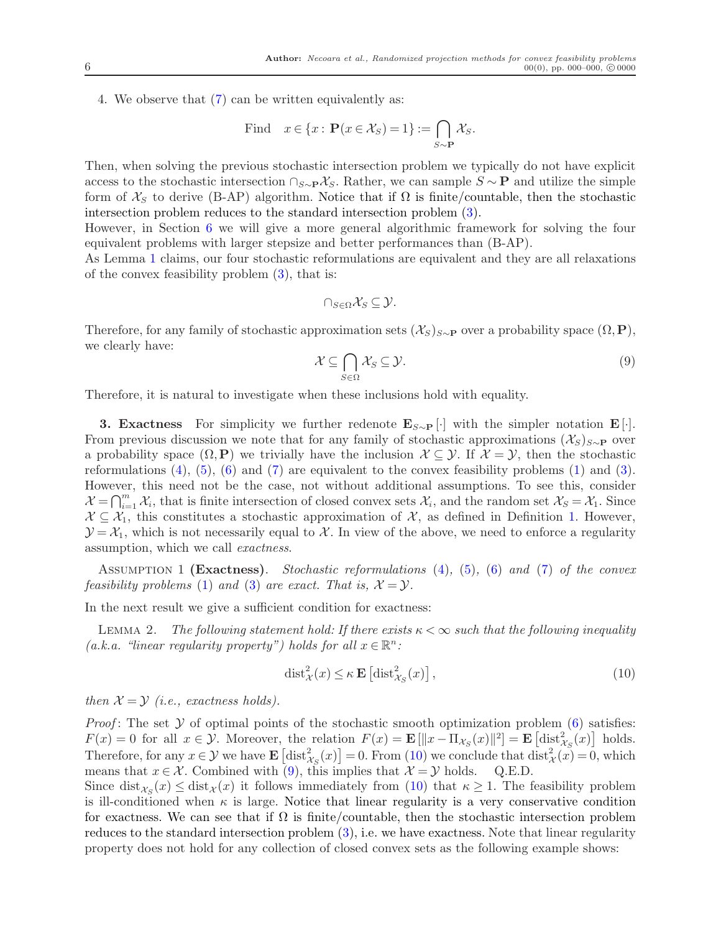4. We observe that [\(7\)](#page-4-1) can be written equivalently as:

Find 
$$
x \in \{x : \mathbf{P}(x \in \mathcal{X}_S) = 1\} := \bigcap_{S \sim \mathbf{P}} \mathcal{X}_S
$$
.

Then, when solving the previous stochastic intersection problem we typically do not have explicit access to the stochastic intersection  $\cap_{S\sim P} \mathcal{X}_S$ . Rather, we can sample  $S \sim P$  and utilize the simple form of  $\mathcal{X}_S$  to derive (B-AP) algorithm. Notice that if  $\Omega$  is finite/countable, then the stochastic intersection problem reduces to the standard intersection problem [\(3\)](#page-3-1).

However, in Section [6](#page-20-0) we will give a more general algorithmic framework for solving the four equivalent problems with larger stepsize and better performances than (B-AP).

As Lemma [1](#page-4-2) claims, our four stochastic reformulations are equivalent and they are all relaxations of the convex feasibility problem  $(3)$ , that is:

$$
\cap_{S\in\Omega}\mathcal{X}_S\subseteq\mathcal{Y}.
$$

Therefore, for any family of stochastic approximation sets  $(\mathcal{X}_S)_{S\sim\mathbf{P}}$  over a probability space  $(\Omega,\mathbf{P}),$ we clearly have:

<span id="page-6-1"></span>
$$
\mathcal{X} \subseteq \bigcap_{S \in \Omega} \mathcal{X}_S \subseteq \mathcal{Y}.\tag{9}
$$

Therefore, it is natural to investigate when these inclusions hold with equality.

**3. Exactness** For simplicity we further redenote  $\mathbf{E}_{S\sim P}$  [·] with the simpler notation  $\mathbf{E}[\cdot]$ . From previous discussion we note that for any family of stochastic approximations  $(\mathcal{X}_S)_{S\sim P}$  over a probability space  $(\Omega, \mathbf{P})$  we trivially have the inclusion  $\mathcal{X} \subseteq \mathcal{Y}$ . If  $\mathcal{X} = \mathcal{Y}$ , then the stochastic reformulations  $(4)$ ,  $(5)$ ,  $(6)$  and  $(7)$  are equivalent to the convex feasibility problems  $(1)$  and  $(3)$ . However, this need not be the case, not without additional assumptions. To see this, consider  $\mathcal{X} = \bigcap_{i=1}^m \mathcal{X}_i$ , that is finite intersection of closed convex sets  $\mathcal{X}_i$ , and the random set  $\mathcal{X}_S = \mathcal{X}_1$ . Since  $X \subseteq \mathcal{X}_1$ , this constitutes a stochastic approximation of X, as defined in Definition [1.](#page-3-4) However,  $\mathcal{Y} = \mathcal{X}_1$ , which is not necessarily equal to X. In view of the above, we need to enforce a regularity assumption, which we call exactness.

ASSUMPTION 1 (Exactness). Stochastic reformulations  $(4)$ ,  $(5)$ ,  $(6)$  and  $(7)$  of the convex feasibility problems [\(1\)](#page-3-0) and [\(3\)](#page-3-1) are exact. That is,  $\mathcal{X} = \mathcal{Y}$ .

In the next result we give a sufficient condition for exactness:

LEMMA 2. The following statement hold: If there exists  $\kappa < \infty$  such that the following inequality (a.k.a. "linear regularity property") holds for all  $x \in \mathbb{R}^n$ :

<span id="page-6-0"></span>
$$
\text{dist}_{\mathcal{X}}^2(x) \leq \kappa \mathbf{E} \left[ \text{dist}_{\mathcal{X}_S}^2(x) \right],\tag{10}
$$

then  $\mathcal{X} = \mathcal{Y}$  (i.e., exactness holds).

*Proof*: The set  $Y$  of optimal points of the stochastic smooth optimization problem [\(6\)](#page-4-0) satisfies:  $F(x) = 0$  for all  $x \in \mathcal{Y}$ . Moreover, the relation  $F(x) = \mathbf{E} [\|x - \Pi_{\mathcal{X}_S}(x)\|^2] = \mathbf{E} [\text{dist}_{\mathcal{X}_S}^2(x)]$  holds. Therefore, for any  $x \in \mathcal{Y}$  we have  $\mathbf{E}\left[\text{dist}_{\mathcal{X}_S}^2(x)\right] = 0$ . From [\(10\)](#page-6-0) we conclude that  $\text{dist}_{\mathcal{X}}^2(x) = 0$ , which means that  $x \in \mathcal{X}$ . Combined with [\(9\)](#page-6-1), this implies that  $\mathcal{X} = \mathcal{Y}$  holds. Q.E.D.

Since  $dist_{\mathcal{X}_S}(x) \leq dist_{\mathcal{X}}(x)$  it follows immediately from [\(10\)](#page-6-0) that  $\kappa \geq 1$ . The feasibility problem is ill-conditioned when  $\kappa$  is large. Notice that linear regularity is a very conservative condition for exactness. We can see that if  $\Omega$  is finite/countable, then the stochastic intersection problem reduces to the standard intersection problem  $(3)$ , i.e. we have exactness. Note that linear regularity property does not hold for any collection of closed convex sets as the following example shows: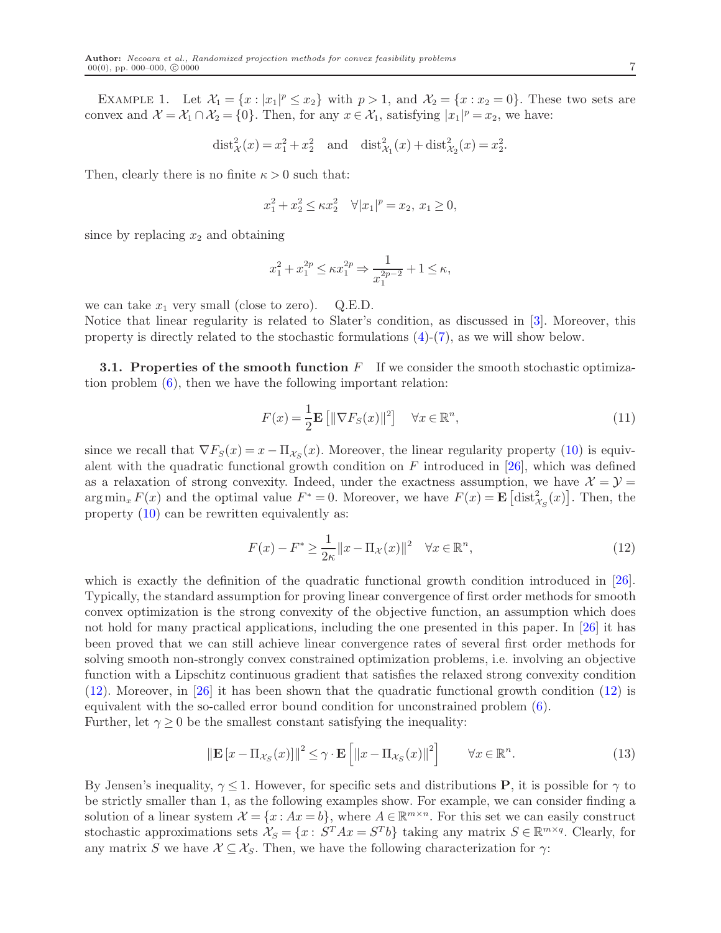EXAMPLE 1. Let  $\mathcal{X}_1 = \{x : |x_1|^p \le x_2\}$  with  $p > 1$ , and  $\mathcal{X}_2 = \{x : x_2 = 0\}$ . These two sets are convex and  $\mathcal{X} = \mathcal{X}_1 \cap \mathcal{X}_2 = \{0\}$ . Then, for any  $x \in \mathcal{X}_1$ , satisfying  $|x_1|^p = x_2$ , we have:

$$
dist_{\mathcal{X}}^2(x) = x_1^2 + x_2^2
$$
 and  $dist_{\mathcal{X}_1}^2(x) + dist_{\mathcal{X}_2}^2(x) = x_2^2$ .

Then, clearly there is no finite  $\kappa > 0$  such that:

$$
x_1^2 + x_2^2 \le \kappa x_2^2 \quad \forall |x_1|^p = x_2, \ x_1 \ge 0,
$$

since by replacing  $x_2$  and obtaining

$$
x_1^2 + x_1^{2p} \le \kappa x_1^{2p} \Rightarrow \frac{1}{x_1^{2p-2}} + 1 \le \kappa,
$$

we can take  $x_1$  very small (close to zero). Q.E.D.

Notice that linear regularity is related to Slater's condition, as discussed in [\[3\]](#page-32-12). Moreover, this property is directly related to the stochastic formulations [\(4\)](#page-3-2)-[\(7\)](#page-4-1), as we will show below.

<span id="page-7-3"></span>**3.1. Properties of the smooth function**  $F$  If we consider the smooth stochastic optimization problem [\(6\)](#page-4-0), then we have the following important relation:

$$
F(x) = \frac{1}{2} \mathbf{E} \left[ \| \nabla F_S(x) \|^2 \right] \quad \forall x \in \mathbb{R}^n,
$$
\n(11)

since we recall that  $\nabla F_S(x) = x - \Pi_{\mathcal{X}_S}(x)$ . Moreover, the linear regularity property [\(10\)](#page-6-0) is equivalent with the quadratic functional growth condition on  $F$  introduced in [\[26\]](#page-33-11), which was defined as a relaxation of strong convexity. Indeed, under the exactness assumption, we have  $\mathcal{X} = \mathcal{Y} =$  $\arg \min_x F(x)$  and the optimal value  $F^* = 0$ . Moreover, we have  $F(x) = \mathbf{E} \left[ \text{dist}_{\mathcal{X}_S}^2(x) \right]$ . Then, the property [\(10\)](#page-6-0) can be rewritten equivalently as:

<span id="page-7-0"></span>
$$
F(x) - F^* \ge \frac{1}{2\kappa} \|x - \Pi_\mathcal{X}(x)\|^2 \quad \forall x \in \mathbb{R}^n,
$$
\n(12)

which is exactly the definition of the quadratic functional growth condition introduced in [\[26\]](#page-33-11). Typically, the standard assumption for proving linear convergence of first order methods for smooth convex optimization is the strong convexity of the objective function, an assumption which does not hold for many practical applications, including the one presented in this paper. In [\[26\]](#page-33-11) it has been proved that we can still achieve linear convergence rates of several first order methods for solving smooth non-strongly convex constrained optimization problems, i.e. involving an objective function with a Lipschitz continuous gradient that satisfies the relaxed strong convexity condition [\(12\)](#page-7-0). Moreover, in [\[26\]](#page-33-11) it has been shown that the quadratic functional growth condition [\(12\)](#page-7-0) is equivalent with the so-called error bound condition for unconstrained problem [\(6\)](#page-4-0). Further, let  $\gamma \geq 0$  be the smallest constant satisfying the inequality:

<span id="page-7-1"></span>
$$
\left\|\mathbf{E}\left[x-\Pi_{\mathcal{X}_S}(x)\right]\right\|^2 \leq \gamma \cdot \mathbf{E}\left[\left\|x-\Pi_{\mathcal{X}_S}(x)\right\|^2\right] \qquad \forall x \in \mathbb{R}^n. \tag{13}
$$

<span id="page-7-2"></span>By Jensen's inequality,  $\gamma \leq 1$ . However, for specific sets and distributions **P**, it is possible for  $\gamma$  to be strictly smaller than 1, as the following examples show. For example, we can consider finding a solution of a linear system  $\mathcal{X} = \{x : Ax = b\}$ , where  $A \in \mathbb{R}^{m \times n}$ . For this set we can easily construct stochastic approximations sets  $\mathcal{X}_S = \{x : S^T A x = S^T b\}$  taking any matrix  $S \in \mathbb{R}^{m \times q}$ . Clearly, for any matrix S we have  $\mathcal{X} \subseteq \mathcal{X}_S$ . Then, we have the following characterization for  $\gamma$ :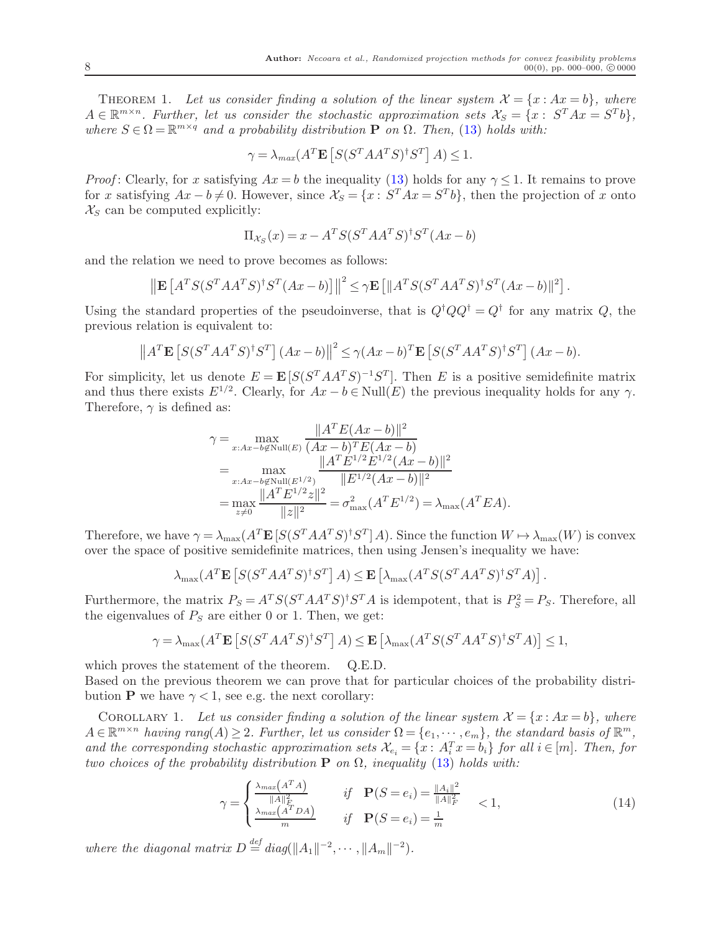THEOREM 1. Let us consider finding a solution of the linear system  $\mathcal{X} = \{x : Ax = b\}$ , where  $A \in \mathbb{R}^{m \times n}$ . Further, let us consider the stochastic approximation sets  $\mathcal{X}_S = \{x : S^T A x = S^T b\},\$ where  $S \in \Omega = \mathbb{R}^{m \times q}$  and a probability distribution **P** on  $\Omega$ . Then, [\(13\)](#page-7-1) holds with:

$$
\gamma = \lambda_{max}(A^T \mathbf{E}\left[S(S^T A A^T S)^{\dagger} S^T\right] A) \le 1.
$$

*Proof*: Clearly, for x satisfying  $Ax = b$  the inequality [\(13\)](#page-7-1) holds for any  $\gamma < 1$ . It remains to prove for x satisfying  $Ax - b \neq 0$ . However, since  $\mathcal{X}_S = \{x : S^T A x = S^T b\}$ , then the projection of x onto  $\mathcal{X}_S$  can be computed explicitly:

$$
\Pi_{\mathcal{X}_S}(x) = x - A^T S (S^T A A^T S)^{\dagger} S^T (A x - b)
$$

and the relation we need to prove becomes as follows:

$$
\left\| \mathbf{E} \left[ A^T S (S^T A A^T S)^{\dagger} S^T (A x - b) \right] \right\|^2 \leq \gamma \mathbf{E} \left[ \| A^T S (S^T A A^T S)^{\dagger} S^T (A x - b) \|^2 \right].
$$

Using the standard properties of the pseudoinverse, that is  $Q^{\dagger}QQ^{\dagger} = Q^{\dagger}$  for any matrix Q, the previous relation is equivalent to:

$$
\left\|A^T \mathbf{E}\left[S(S^T A A^T S)^{\dagger} S^T\right] (Ax - b)\right\|^2 \le \gamma (Ax - b)^T \mathbf{E}\left[S(S^T A A^T S)^{\dagger} S^T\right] (Ax - b).
$$

For simplicity, let us denote  $E = \mathbf{E} [S(S^T A A^T S)^{-1} S^T]$ . Then E is a positive semidefinite matrix and thus there exists  $E^{1/2}$ . Clearly, for  $Ax - b \in Null(E)$  the previous inequality holds for any  $\gamma$ . Therefore,  $\gamma$  is defined as:

$$
\gamma = \max_{x:Ax-b\notin \text{Null}(E)} \frac{\|A^T E(Ax - b)\|^2}{(Ax - b)^T E(Ax - b)}
$$
  
= 
$$
\max_{x:Ax-b\notin \text{Null}(E^{1/2})} \frac{\|A^T E^{1/2} E^{1/2} (Ax - b)\|^2}{\|E^{1/2} (Ax - b)\|^2}
$$
  
= 
$$
\max_{z\neq 0} \frac{\|A^T E^{1/2} z\|^2}{\|z\|^2} = \sigma_{\text{max}}^2 (A^T E^{1/2}) = \lambda_{\text{max}} (A^T E A).
$$

Therefore, we have  $\gamma = \lambda_{\max}(A^T \mathbf{E}[S(S^T A A^T S)^{\dagger} S^T] A)$ . Since the function  $W \mapsto \lambda_{\max}(W)$  is convex over the space of positive semidefinite matrices, then using Jensen's inequality we have:

$$
\lambda_{\max}(A^T \mathbf{E}\left[S(S^T A A^T S)^{\dagger} S^T\right] A) \leq \mathbf{E}\left[\lambda_{\max}(A^T S(S^T A A^T S)^{\dagger} S^T A)\right].
$$

Furthermore, the matrix  $P_S = A^T S (S^T A A^T S)^{\dagger} S^T A$  is idempotent, that is  $P_S^2 = P_S$ . Therefore, all the eigenvalues of  $P_S$  are either 0 or 1. Then, we get:

$$
\gamma = \lambda_{\max}(A^T \mathbf{E}\left[S(S^T A A^T S)^{\dagger} S^T\right] A) \leq \mathbf{E}\left[\lambda_{\max}(A^T S(S^T A A^T S)^{\dagger} S^T A)\right] \leq 1,
$$

which proves the statement of the theorem. Q.E.D.

<span id="page-8-0"></span>Based on the previous theorem we can prove that for particular choices of the probability distribution **P** we have  $\gamma < 1$ , see e.g. the next corollary:

COROLLARY 1. Let us consider finding a solution of the linear system  $\mathcal{X} = \{x : Ax = b\}$ , where  $A \in \mathbb{R}^{m \times n}$  having rang $(A) \geq 2$ . Further, let us consider  $\Omega = \{e_1, \dots, e_m\}$ , the standard basis of  $\mathbb{R}^m$ , and the corresponding stochastic approximation sets  $\mathcal{X}_{e_i} = \{x : A_i^T x = b_i\}$  for all  $i \in [m]$ . Then, for two choices of the probability distribution  $P$  on  $\Omega$ , inequality [\(13\)](#page-7-1) holds with:

<span id="page-8-1"></span>
$$
\gamma = \begin{cases} \frac{\lambda_{max}(A^T A)}{\|A\|_F^2} & \text{if } \mathbf{P}(S = e_i) = \frac{\|A_i\|^2}{\|A\|_F^2} \\ \frac{\lambda_{max}(A^T D A)}{m} & \text{if } \mathbf{P}(S = e_i) = \frac{1}{m} \end{cases} \tag{14}
$$

where the diagonal matrix  $D \stackrel{\text{def}}{=} diag(||A_1||^{-2}, \cdots, ||A_m||^{-2}).$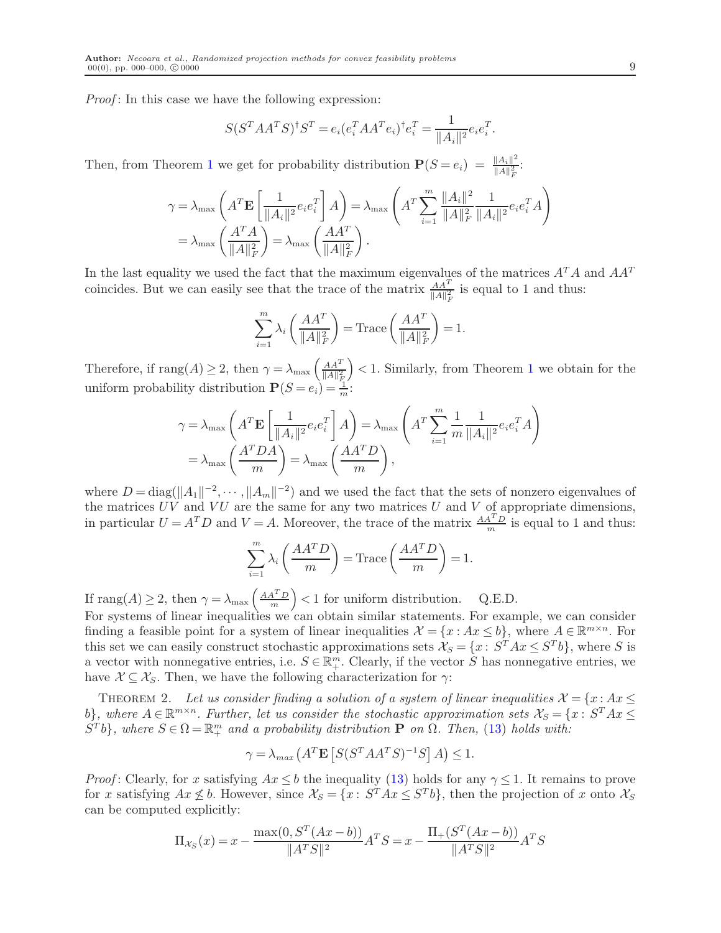*Proof*: In this case we have the following expression:

$$
S(S^{T}AA^{T}S)^{\dagger}S^{T} = e_{i}(e_{i}^{T}AA^{T}e_{i})^{\dagger}e_{i}^{T} = \frac{1}{\|A_{i}\|^{2}}e_{i}e_{i}^{T}.
$$

Then, from Theorem [1](#page-7-2) we get for probability distribution  $\mathbf{P}(S=e_i) = \frac{\|A_i\|^2}{\|A\|^2}$  $\frac{||A_i||^2}{||A||_F^2}$ :

$$
\gamma = \lambda_{\max} \left( A^T \mathbf{E} \left[ \frac{1}{\|A_i\|^2} e_i e_i^T \right] A \right) = \lambda_{\max} \left( A^T \sum_{i=1}^m \frac{\|A_i\|^2}{\|A\|_F^2} \frac{1}{\|A_i\|^2} e_i e_i^T A \right)
$$
  
=  $\lambda_{\max} \left( \frac{A^T A}{\|A\|_F^2} \right) = \lambda_{\max} \left( \frac{A A^T}{\|A\|_F^2} \right).$ 

In the last equality we used the fact that the maximum eigenvalues of the matrices  $A<sup>T</sup>A$  and  $AA<sup>T</sup>$ coincides. But we can easily see that the trace of the matrix  $\frac{AA^T}{\|A\|_F^2}$  is equal to 1 and thus:

$$
\sum_{i=1}^{m} \lambda_i \left( \frac{A A^T}{\|A\|_F^2} \right) = \text{Trace}\left( \frac{A A^T}{\|A\|_F^2} \right) = 1.
$$

Therefore, if  $\text{rang}(A) \geq 2$ , then  $\gamma = \lambda_{\max} \left( \frac{AA^T}{\|A\|^2} \right)$  $\|A\|_{\bar{F}_n}^2$  $\vert$  < [1](#page-7-2). Similarly, from Theorem 1 we obtain for the uniform probability distribution  $P(S = e_i) = \frac{1}{m}$ .

$$
\gamma = \lambda_{\max} \left( A^T \mathbf{E} \left[ \frac{1}{\|A_i\|^2} e_i e_i^T \right] A \right) = \lambda_{\max} \left( A^T \sum_{i=1}^m \frac{1}{m} \frac{1}{\|A_i\|^2} e_i e_i^T A \right)
$$

$$
= \lambda_{\max} \left( \frac{A^T D A}{m} \right) = \lambda_{\max} \left( \frac{A A^T D}{m} \right),
$$

where  $D = \text{diag}(\|A_1\|^{-2}, \dots, \|A_m\|^{-2})$  and we used the fact that the sets of nonzero eigenvalues of the matrices  $UV$  and  $VU$  are the same for any two matrices U and V of appropriate dimensions, in particular  $U = A^T D$  and  $V = A$ . Moreover, the trace of the matrix  $\frac{A A^T D}{m}$  is equal to 1 and thus:

$$
\sum_{i=1}^{m} \lambda_i \left( \frac{AA^T D}{m} \right) = \text{Trace}\left( \frac{AA^T D}{m} \right) = 1.
$$

If  $\text{rang}(A) \geq 2$ , then  $\gamma = \lambda_{\text{max}} \left( \frac{AA^T D}{m} \right)$  $\frac{A^T D}{m}$  < 1 for uniform distribution. Q.E.D.

For systems of linear inequalities we can obtain similar statements. For example, we can consider finding a feasible point for a system of linear inequalities  $\mathcal{X} = \{x : Ax \leq b\}$ , where  $A \in \mathbb{R}^{m \times n}$ . For this set we can easily construct stochastic approximations sets  $\mathcal{X}_S = \{x : S^T A x \leq S^T b\}$ , where S is a vector with nonnegative entries, i.e.  $S \in \mathbb{R}^m_+$ . Clearly, if the vector  $\tilde{S}$  has nonnegative entries, we have  $\mathcal{X} \subseteq \mathcal{X}_S$ . Then, we have the following characterization for  $\gamma$ :

THEOREM 2. Let us consider finding a solution of a system of linear inequalities  $\mathcal{X} = \{x : Ax \leq \mathcal{X}\}$ b), where  $A \in \mathbb{R}^{m \times n}$ . Further, let us consider the stochastic approximation sets  $\mathcal{X}_S = \{x : S^T A x \leq$  $S^{T}b$ , where  $S \in \Omega = \mathbb{R}_{+}^{m}$  and a probability distribution **P** on  $\Omega$ . Then, [\(13\)](#page-7-1) holds with:

$$
\gamma = \lambda_{max} \left( A^T \mathbf{E} \left[ S (S^T A A^T S)^{-1} S \right] A \right) \le 1.
$$

*Proof*: Clearly, for x satisfying  $Ax \leq b$  the inequality [\(13\)](#page-7-1) holds for any  $\gamma \leq 1$ . It remains to prove for x satisfying  $Ax \nleq b$ . However, since  $\mathcal{X}_S = \{x : S^T A x \leq S^T b\}$ , then the projection of x onto  $\mathcal{X}_S$ can be computed explicitly:

$$
\Pi_{\mathcal{X}_S}(x) = x - \frac{\max(0, S^T(Ax - b))}{\|A^TS\|^2} A^TS = x - \frac{\Pi_+(S^T(Ax - b))}{\|A^TS\|^2} A^TS
$$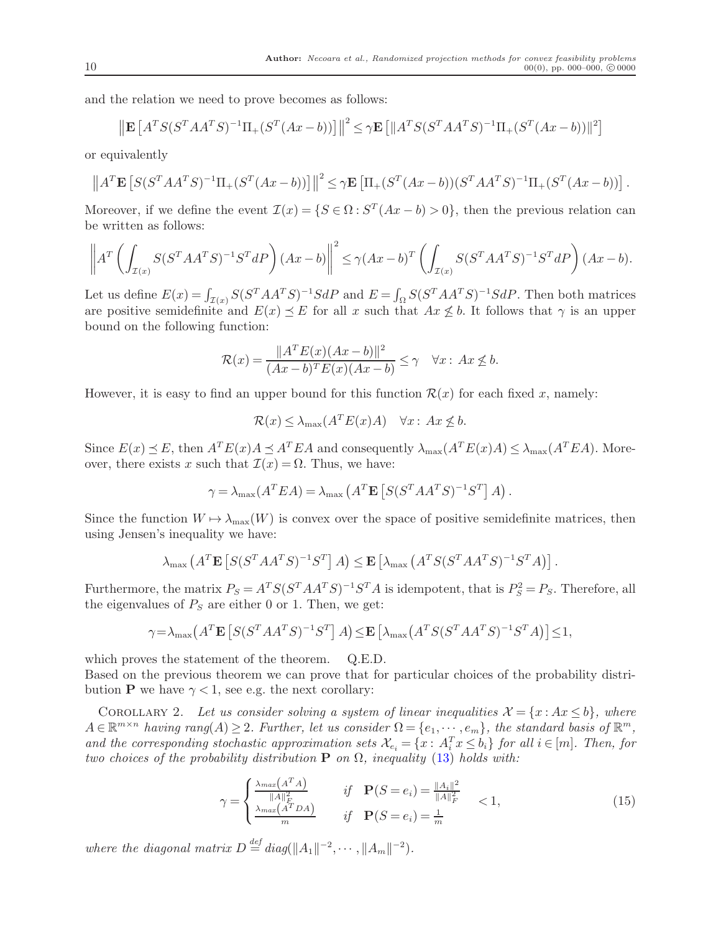and the relation we need to prove becomes as follows:

$$
\left\| \mathbf{E} \left[ A^T S (S^T A A^T S)^{-1} \Pi_+ (S^T (A x - b)) \right] \right\|^2 \le \gamma \mathbf{E} \left[ \| A^T S (S^T A A^T S)^{-1} \Pi_+ (S^T (A x - b)) \|^2 \right]
$$

or equivalently

$$
||AT \mathbf{E} [S(ST A AT S)-1 \Pi_{+} (ST (Ax - b))]||2 \leq \gamma \mathbf{E} [\Pi_{+} (ST (Ax - b)) (ST A AT S)-1 \Pi_{+} (ST (Ax - b))].
$$

Moreover, if we define the event  $\mathcal{I}(x) = \{ S \in \Omega : S^T(Ax - b) > 0 \}$ , then the previous relation can be written as follows:

$$
\left\|A^T \left(\int_{\mathcal{I}(x)} S(S^T A A^T S)^{-1} S^T dP\right) (Ax - b)\right\|^2 \le \gamma (Ax - b)^T \left(\int_{\mathcal{I}(x)} S(S^T A A^T S)^{-1} S^T dP\right) (Ax - b).
$$

Let us define  $E(x) = \int_{\mathcal{I}(x)} S(S^T A A^T S)^{-1} S dP$  and  $E = \int_{\Omega} S(S^T A A^T S)^{-1} S dP$ . Then both matrices are positive semidefinite and  $E(x) \preceq E$  for all x such that  $Ax \nleq b$ . It follows that  $\gamma$  is an upper bound on the following function:

$$
\mathcal{R}(x) = \frac{\|A^T E(x)(Ax - b)\|^2}{(Ax - b)^T E(x)(Ax - b)} \le \gamma \quad \forall x : Ax \not\le b.
$$

However, it is easy to find an upper bound for this function  $\mathcal{R}(x)$  for each fixed x, namely:

$$
\mathcal{R}(x) \le \lambda_{\max}(A^T E(x) A) \quad \forall x: Ax \not\le b.
$$

Since  $E(x) \preceq E$ , then  $A^T E(x) A \preceq A^T E A$  and consequently  $\lambda_{\max}(A^T E(x) A) \leq \lambda_{\max}(A^T E A)$ . Moreover, there exists x such that  $\mathcal{I}(x) = \Omega$ . Thus, we have:

$$
\gamma = \lambda_{\max}(A^T E A) = \lambda_{\max}\left(A^T \mathbf{E}\left[S(S^T A A^T S)^{-1} S^T\right] A\right).
$$

Since the function  $W \mapsto \lambda_{\max}(W)$  is convex over the space of positive semidefinite matrices, then using Jensen's inequality we have:

$$
\lambda_{\max}\left(A^T \mathbf{E}\left[S(S^T A A^T S)^{-1} S^T\right] A\right) \leq \mathbf{E}\left[\lambda_{\max}\left(A^T S(S^T A A^T S)^{-1} S^T A\right)\right].
$$

Furthermore, the matrix  $P_S = A^T S (S^T A A^T S)^{-1} S^T A$  is idempotent, that is  $P_S^2 = P_S$ . Therefore, all the eigenvalues of  $P<sub>S</sub>$  are either 0 or 1. Then, we get:

$$
\gamma = \lambda_{\max} \left( A^T \mathbf{E} \left[ S(S^T A A^T S)^{-1} S^T \right] A \right) \le \mathbf{E} \left[ \lambda_{\max} \left( A^T S(S^T A A^T S)^{-1} S^T A \right) \right] \le 1,
$$

which proves the statement of the theorem. Q.E.D.

Based on the previous theorem we can prove that for particular choices of the probability distribution **P** we have  $\gamma < 1$ , see e.g. the next corollary:

COROLLARY 2. Let us consider solving a system of linear inequalities  $\mathcal{X} = \{x : Ax \leq b\}$ , where  $A \in \mathbb{R}^{m \times n}$  having rang $(A) \geq 2$ . Further, let us consider  $\Omega = \{e_1, \dots, e_m\}$ , the standard basis of  $\mathbb{R}^m$ , and the corresponding stochastic approximation sets  $\mathcal{X}_{e_i} = \{x : A_i^T x \leq b_i\}$  for all  $i \in [m]$ . Then, for two choices of the probability distribution **P** on  $\Omega$ , inequality [\(13\)](#page-7-1) holds with:

<span id="page-10-0"></span>
$$
\gamma = \begin{cases} \frac{\lambda_{max}(A^T A)}{\|A\|_F^2} & \text{if } \mathbf{P}(S = e_i) = \frac{\|A_i\|^2}{\|A\|_F^2} \\ \frac{\lambda_{max}(A^T D A)}{m} & \text{if } \mathbf{P}(S = e_i) = \frac{1}{m} \end{cases} < 1,
$$
 (15)

where the diagonal matrix  $D \stackrel{\text{def}}{=} diag(||A_1||^{-2}, \cdots, ||A_m||^{-2}).$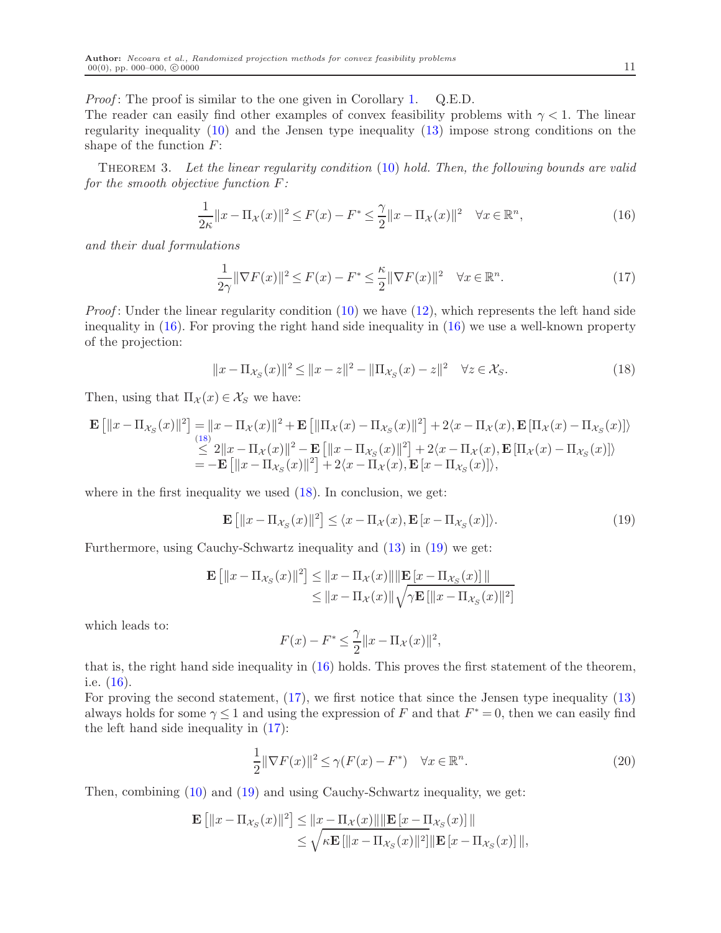*Proof*: The proof is similar to the one given in Corollary [1.](#page-8-0)  $Q.E.D.$ 

The reader can easily find other examples of convex feasibility problems with  $\gamma < 1$ . The linear regularity inequality [\(10\)](#page-6-0) and the Jensen type inequality [\(13\)](#page-7-1) impose strong conditions on the shape of the function  $F$ :

THEOREM 3. Let the linear regularity condition [\(10\)](#page-6-0) hold. Then, the following bounds are valid for the smooth objective function  $F$ :

<span id="page-11-5"></span>
$$
\frac{1}{2\kappa} \|x - \Pi_{\mathcal{X}}(x)\|^2 \le F(x) - F^* \le \frac{\gamma}{2} \|x - \Pi_{\mathcal{X}}(x)\|^2 \quad \forall x \in \mathbb{R}^n,
$$
\n(16)

and their dual formulations

<span id="page-11-3"></span><span id="page-11-0"></span>
$$
\frac{1}{2\gamma} \|\nabla F(x)\|^2 \le F(x) - F^* \le \frac{\kappa}{2} \|\nabla F(x)\|^2 \quad \forall x \in \mathbb{R}^n. \tag{17}
$$

*Proof*: Under the linear regularity condition  $(10)$  we have  $(12)$ , which represents the left hand side inequality in [\(16\)](#page-11-0). For proving the right hand side inequality in [\(16\)](#page-11-0) we use a well-known property of the projection:

<span id="page-11-1"></span>
$$
||x - \Pi_{\mathcal{X}_S}(x)||^2 \le ||x - z||^2 - ||\Pi_{\mathcal{X}_S}(x) - z||^2 \quad \forall z \in \mathcal{X}_S.
$$
 (18)

Then, using that  $\Pi_{\mathcal{X}}(x) \in \mathcal{X}_S$  we have:

$$
\mathbf{E} [||x - \Pi_{\mathcal{X}_S}(x)||^2] = ||x - \Pi_{\mathcal{X}}(x)||^2 + \mathbf{E} [||\Pi_{\mathcal{X}}(x) - \Pi_{\mathcal{X}_S}(x)||^2] + 2\langle x - \Pi_{\mathcal{X}}(x), \mathbf{E} [\Pi_{\mathcal{X}}(x) - \Pi_{\mathcal{X}_S}(x)] \rangle
$$
  
\n
$$
\leq 2||x - \Pi_{\mathcal{X}}(x)||^2 - \mathbf{E} [||x - \Pi_{\mathcal{X}_S}(x)||^2] + 2\langle x - \Pi_{\mathcal{X}}(x), \mathbf{E} [\Pi_{\mathcal{X}}(x) - \Pi_{\mathcal{X}_S}(x)] \rangle
$$
  
\n
$$
= -\mathbf{E} [||x - \Pi_{\mathcal{X}_S}(x)||^2] + 2\langle x - \Pi_{\mathcal{X}}(x), \mathbf{E} [x - \Pi_{\mathcal{X}_S}(x)] \rangle,
$$

where in the first inequality we used  $(18)$ . In conclusion, we get:

$$
\mathbf{E}\left[\|x - \Pi_{\mathcal{X}_S}(x)\|^2\right] \le \langle x - \Pi_{\mathcal{X}}(x), \mathbf{E}\left[x - \Pi_{\mathcal{X}_S}(x)\right]\rangle. \tag{19}
$$

Furthermore, using Cauchy-Schwartz inequality and [\(13\)](#page-7-1) in [\(19\)](#page-11-2) we get:

$$
\begin{aligned} \mathbf{E}\left[\|x-\Pi_{\mathcal{X}_S}(x)\|^2\right] &\leq \|x-\Pi_{\mathcal{X}}(x)\|\|\mathbf{E}\left[x-\Pi_{\mathcal{X}_S}(x)\right]\| \\ &\leq \|x-\Pi_{\mathcal{X}}(x)\|\sqrt{\gamma\mathbf{E}\left[\|x-\Pi_{\mathcal{X}_S}(x)\|^2\right]} \end{aligned}
$$

which leads to:

<span id="page-11-4"></span><span id="page-11-2"></span>
$$
F(x) - F^* \le \frac{\gamma}{2} ||x - \Pi_{\mathcal{X}}(x)||^2,
$$

that is, the right hand side inequality in [\(16\)](#page-11-0) holds. This proves the first statement of the theorem, i.e. [\(16\)](#page-11-0).

For proving the second statement, [\(17\)](#page-11-3), we first notice that since the Jensen type inequality [\(13\)](#page-7-1) always holds for some  $\gamma \leq 1$  and using the expression of F and that  $F^* = 0$ , then we can easily find the left hand side inequality in [\(17\)](#page-11-3):

$$
\frac{1}{2} \|\nabla F(x)\|^2 \le \gamma (F(x) - F^*) \quad \forall x \in \mathbb{R}^n.
$$
\n(20)

Then, combining [\(10\)](#page-6-0) and [\(19\)](#page-11-2) and using Cauchy-Schwartz inequality, we get:

$$
\mathbf{E}\left[\|x - \Pi_{\mathcal{X}_S}(x)\|^2\right] \le \|x - \Pi_{\mathcal{X}}(x)\| \|\mathbf{E}\left[x - \Pi_{\mathcal{X}_S}(x)\right]\| \le \sqrt{\kappa \mathbf{E}\left[\|x - \Pi_{\mathcal{X}_S}(x)\|^2\right]} \|\mathbf{E}\left[x - \Pi_{\mathcal{X}_S}(x)\right]\|,
$$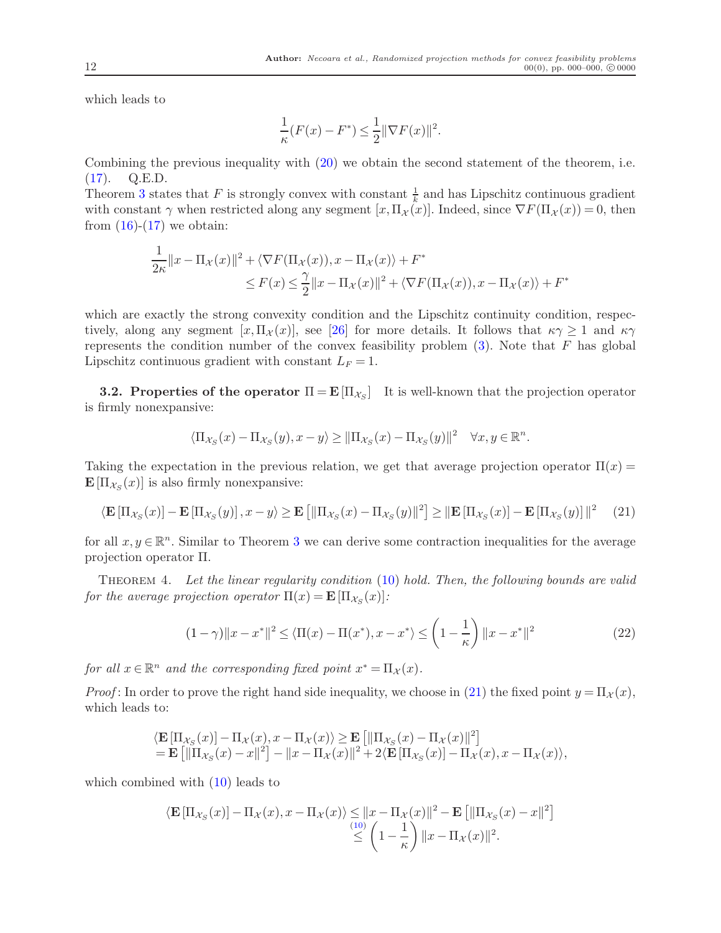which leads to

$$
\frac{1}{\kappa}(F(x) - F^*) \le \frac{1}{2} \|\nabla F(x)\|^2.
$$

Combining the previous inequality with [\(20\)](#page-11-4) we obtain the second statement of the theorem, i.e. [\(17\)](#page-11-3). Q.E.D.

Theorem [3](#page-11-5) states that F is strongly convex with constant  $\frac{1}{k}$  and has Lipschitz continuous gradient with constant  $\gamma$  when restricted along any segment  $[x,\Pi_\mathcal{X}(x)]$ . Indeed, since  $\nabla F(\Pi_\mathcal{X}(x)) = 0$ , then from  $(16)-(17)$  $(16)-(17)$  we obtain:

$$
\frac{1}{2\kappa} ||x - \Pi_{\mathcal{X}}(x)||^2 + \langle \nabla F(\Pi_{\mathcal{X}}(x)), x - \Pi_{\mathcal{X}}(x) \rangle + F^* \leq F(x) \leq \frac{\gamma}{2} ||x - \Pi_{\mathcal{X}}(x)||^2 + \langle \nabla F(\Pi_{\mathcal{X}}(x)), x - \Pi_{\mathcal{X}}(x) \rangle + F^*
$$

which are exactly the strong convexity condition and the Lipschitz continuity condition, respectively, along any segment  $[x,\Pi_{\mathcal{X}}(x)]$ , see [\[26\]](#page-33-11) for more details. It follows that  $\kappa \gamma \geq 1$  and  $\kappa \gamma$ represents the condition number of the convex feasibility problem  $(3)$ . Note that F has global Lipschitz continuous gradient with constant  $L_F = 1$ .

**3.2. Properties of the operator**  $\Pi = \mathbf{E}[\Pi_{\mathcal{X}_S}]$  It is well-known that the projection operator is firmly nonexpansive:

<span id="page-12-0"></span>
$$
\langle \Pi_{\mathcal{X}_S}(x) - \Pi_{\mathcal{X}_S}(y), x - y \rangle \ge ||\Pi_{\mathcal{X}_S}(x) - \Pi_{\mathcal{X}_S}(y)||^2 \quad \forall x, y \in \mathbb{R}^n.
$$

Taking the expectation in the previous relation, we get that average projection operator  $\Pi(x)$  =  $\mathbf{E}[\Pi_{\mathcal{X}_S}(x)]$  is also firmly nonexpansive:

$$
\langle \mathbf{E} \left[ \Pi_{\mathcal{X}_S}(x) \right] - \mathbf{E} \left[ \Pi_{\mathcal{X}_S}(y) \right], x - y \rangle \ge \mathbf{E} \left[ \| \Pi_{\mathcal{X}_S}(x) - \Pi_{\mathcal{X}_S}(y) \|^2 \right] \ge \|\mathbf{E} \left[ \Pi_{\mathcal{X}_S}(x) \right] - \mathbf{E} \left[ \Pi_{\mathcal{X}_S}(y) \right] \|^2 \tag{21}
$$

for all  $x, y \in \mathbb{R}^n$ . Similar to Theorem [3](#page-11-5) we can derive some contraction inequalities for the average projection operator Π.

THEOREM 4. Let the linear regularity condition [\(10\)](#page-6-0) hold. Then, the following bounds are valid for the average projection operator  $\Pi(x) = \mathbf{E} \left[ \Pi_{\mathcal{X}_S}(x) \right]$ :

<span id="page-12-1"></span>
$$
(1 - \gamma) \|x - x^*\|^2 \le \langle \Pi(x) - \Pi(x^*), x - x^* \rangle \le \left(1 - \frac{1}{\kappa}\right) \|x - x^*\|^2 \tag{22}
$$

for all  $x \in \mathbb{R}^n$  and the corresponding fixed point  $x^* = \Pi_{\mathcal{X}}(x)$ .

*Proof*: In order to prove the right hand side inequality, we choose in [\(21\)](#page-12-0) the fixed point  $y = \Pi_{\mathcal{X}}(x)$ , which leads to:

$$
\langle \mathbf{E} \left[\Pi_{\mathcal{X}_S}(x)\right] - \Pi_{\mathcal{X}}(x), x - \Pi_{\mathcal{X}}(x) \rangle \ge \mathbf{E} \left[\|\Pi_{\mathcal{X}_S}(x) - \Pi_{\mathcal{X}}(x)\|^2\right] \n= \mathbf{E} \left[\|\Pi_{\mathcal{X}_S}(x) - x\|^2\right] - \|x - \Pi_{\mathcal{X}}(x)\|^2 + 2\langle \mathbf{E} \left[\Pi_{\mathcal{X}_S}(x)\right] - \Pi_{\mathcal{X}}(x), x - \Pi_{\mathcal{X}}(x) \rangle,
$$

which combined with [\(10\)](#page-6-0) leads to

$$
\langle \mathbf{E} \left[ \Pi_{\mathcal{X}_S}(x) \right] - \Pi_{\mathcal{X}}(x), x - \Pi_{\mathcal{X}}(x) \rangle \leq ||x - \Pi_{\mathcal{X}}(x)||^2 - \mathbf{E} \left[ \|\Pi_{\mathcal{X}_S}(x) - x\|^2 \right] \leq \left( 1 - \frac{1}{\kappa} \right) ||x - \Pi_{\mathcal{X}}(x)||^2.
$$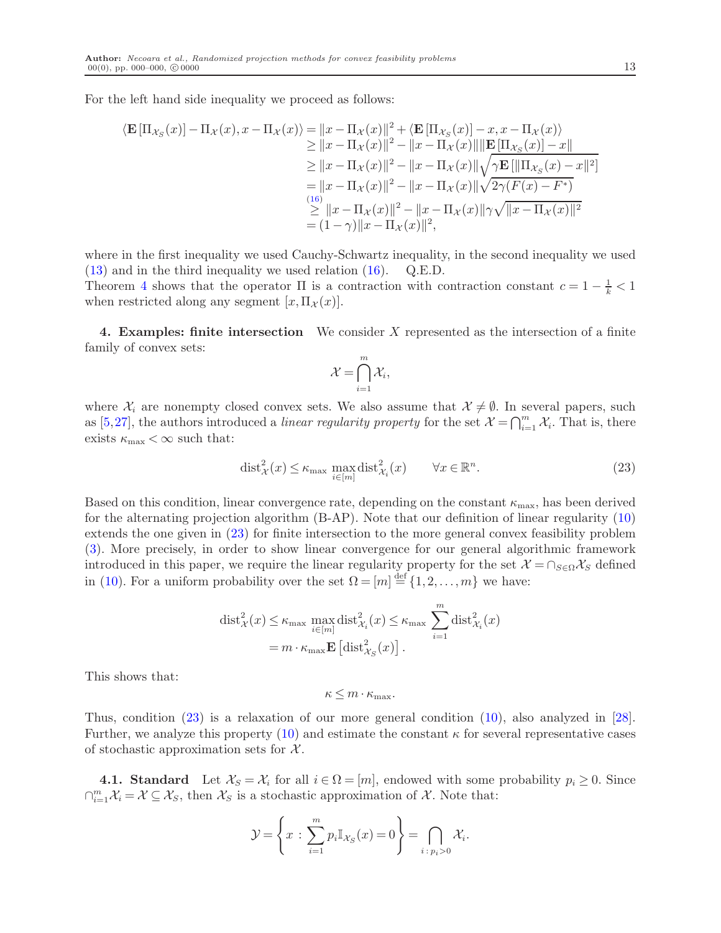For the left hand side inequality we proceed as follows:

$$
\langle \mathbf{E} [\Pi_{\mathcal{X}_S}(x)] - \Pi_{\mathcal{X}}(x), x - \Pi_{\mathcal{X}}(x) \rangle = ||x - \Pi_{\mathcal{X}}(x)||^2 + \langle \mathbf{E} [\Pi_{\mathcal{X}_S}(x)] - x, x - \Pi_{\mathcal{X}}(x) \rangle
$$
  
\n
$$
\geq ||x - \Pi_{\mathcal{X}}(x)||^2 - ||x - \Pi_{\mathcal{X}}(x)|| ||\mathbf{E} [\Pi_{\mathcal{X}_S}(x)] - x||
$$
  
\n
$$
\geq ||x - \Pi_{\mathcal{X}}(x)||^2 - ||x - \Pi_{\mathcal{X}}(x)|| \sqrt{\gamma \mathbf{E} [\|\Pi_{\mathcal{X}_S}(x) - x\|^2]}
$$
  
\n
$$
= ||x - \Pi_{\mathcal{X}}(x)||^2 - ||x - \Pi_{\mathcal{X}}(x)|| \sqrt{2\gamma(F(x) - F^*)}
$$
  
\n
$$
\geq ||x - \Pi_{\mathcal{X}}(x)||^2 - ||x - \Pi_{\mathcal{X}}(x)||\gamma \sqrt{||x - \Pi_{\mathcal{X}}(x)||^2}
$$
  
\n
$$
= (1 - \gamma) ||x - \Pi_{\mathcal{X}}(x)||^2,
$$

where in the first inequality we used Cauchy-Schwartz inequality, in the second inequality we used [\(13\)](#page-7-1) and in the third inequality we used relation [\(16\)](#page-11-0). Q.E.D.

Theorem [4](#page-12-1) shows that the operator  $\Pi$  is a contraction with contraction constant  $c = 1 - \frac{1}{k} < 1$ when restricted along any segment  $[x,\Pi_{\mathcal{X}}(x)].$ 

<span id="page-13-2"></span>4. Examples: finite intersection We consider X represented as the intersection of a finite family of convex sets:

$$
\mathcal{X} = \bigcap_{i=1}^m \mathcal{X}_i,
$$

where  $\mathcal{X}_i$  are nonempty closed convex sets. We also assume that  $\mathcal{X} \neq \emptyset$ . In several papers, such as [\[5,](#page-32-7)[27\]](#page-33-7), the authors introduced a *linear regularity property* for the set  $\mathcal{X} = \bigcap_{i=1}^m \mathcal{X}_i$ . That is, there exists  $\kappa_{\text{max}} < \infty$  such that:

<span id="page-13-0"></span>
$$
\text{dist}_{\mathcal{X}}^2(x) \le \kappa_{\max} \max_{i \in [m]} \text{dist}_{\mathcal{X}_i}^2(x) \qquad \forall x \in \mathbb{R}^n. \tag{23}
$$

Based on this condition, linear convergence rate, depending on the constant  $\kappa_{\text{max}}$ , has been derived for the alternating projection algorithm (B-AP). Note that our definition of linear regularity [\(10\)](#page-6-0) extends the one given in [\(23\)](#page-13-0) for finite intersection to the more general convex feasibility problem [\(3\)](#page-3-1). More precisely, in order to show linear convergence for our general algorithmic framework introduced in this paper, we require the linear regularity property for the set  $\mathcal{X} = \cap_{S \in \Omega} \mathcal{X}_S$  defined in [\(10\)](#page-6-0). For a uniform probability over the set  $\Omega = [m] \stackrel{\text{def}}{=} \{1, 2, \ldots, m\}$  we have:

$$
\text{dist}_{\mathcal{X}}^2(x) \leq \kappa_{\max} \max_{i \in [m]} \text{dist}_{\mathcal{X}_i}^2(x) \leq \kappa_{\max} \sum_{i=1}^m \text{dist}_{\mathcal{X}_i}^2(x)
$$

$$
= m \cdot \kappa_{\max} \mathbf{E} \left[ \text{dist}_{\mathcal{X}_S}^2(x) \right].
$$

This shows that:

$$
\kappa \leq m \cdot \kappa_{\max}.
$$

Thus, condition [\(23\)](#page-13-0) is a relaxation of our more general condition [\(10\)](#page-6-0), also analyzed in [\[28\]](#page-33-9). Further, we analyze this property [\(10\)](#page-6-0) and estimate the constant  $\kappa$  for several representative cases of stochastic approximation sets for  $\mathcal{X}$ .

<span id="page-13-1"></span>**4.1. Standard** Let  $\mathcal{X}_S = \mathcal{X}_i$  for all  $i \in \Omega = [m]$ , endowed with some probability  $p_i \geq 0$ . Since  $\bigcap_{i=1}^{m} \mathcal{X}_i = \mathcal{X} \subseteq \mathcal{X}_S$ , then  $\mathcal{X}_S$  is a stochastic approximation of  $\mathcal{X}$ . Note that:

$$
\mathcal{Y} = \left\{ x : \sum_{i=1}^{m} p_i \mathbb{I}_{\mathcal{X}_S}(x) = 0 \right\} = \bigcap_{i \,:\, p_i > 0} \mathcal{X}_i.
$$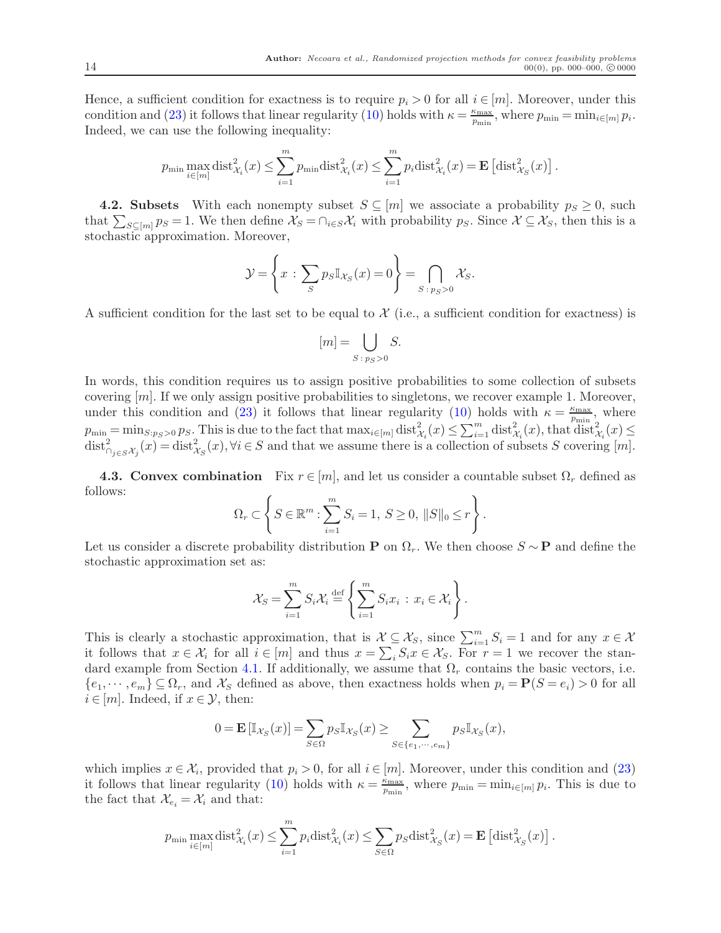Hence, a sufficient condition for exactness is to require  $p_i > 0$  for all  $i \in [m]$ . Moreover, under this condition and [\(23\)](#page-13-0) it follows that linear regularity [\(10\)](#page-6-0) holds with  $\kappa = \frac{\kappa_{\text{max}}}{n}$ .  $\frac{\kappa_{\max}}{p_{\min}}$ , where  $p_{\min} = \min_{i \in [m]} p_i$ . Indeed, we can use the following inequality:

$$
p_{\min} \max_{i \in [m]} \text{dist}_{\mathcal{X}_i}^2(x) \le \sum_{i=1}^m p_{\min} \text{dist}_{\mathcal{X}_i}^2(x) \le \sum_{i=1}^m p_i \text{dist}_{\mathcal{X}_i}^2(x) = \mathbf{E} \left[ \text{dist}_{\mathcal{X}_S}^2(x) \right].
$$

**4.2.** Subsets With each nonempty subset  $S \subseteq [m]$  we associate a probability  $p_S \geq 0$ , such that  $\sum_{S \subseteq [m]} p_S = 1$ . We then define  $\mathcal{X}_S = \cap_{i \in S} \mathcal{X}_i$  with probability  $p_S$ . Since  $\mathcal{X} \subseteq \mathcal{X}_S$ , then this is a stochastic approximation. Moreover,

$$
\mathcal{Y} = \left\{ x : \sum_{S} p_S \mathbb{I}_{\mathcal{X}_S}(x) = 0 \right\} = \bigcap_{S : p_S > 0} \mathcal{X}_S.
$$

A sufficient condition for the last set to be equal to  $\mathcal X$  (i.e., a sufficient condition for exactness) is

$$
[m] = \bigcup_{S \,:\, p_S > 0} S.
$$

In words, this condition requires us to assign positive probabilities to some collection of subsets covering [m]. If we only assign positive probabilities to singletons, we recover example 1. Moreover, under this condition and [\(23\)](#page-13-0) it follows that linear regularity [\(10\)](#page-6-0) holds with  $\kappa = \frac{\kappa_{\text{max}}}{n}$  $\frac{\kappa_{\max}}{p_{\min}}$ , where  $p_{\min} = \min_{S: p_S > 0} p_S$ . This is due to the fact that  $\max_{i \in [m]} \text{dist}_{\mathcal{X}_i}^2(x) \leq \sum_{i=1}^m \text{dist}_{\mathcal{X}_i}^2(x)$ , that  $\text{dist}_{\mathcal{X}_i}^2(x) \leq$  $\text{dist}_{\bigcap_{j\in S}\mathcal{X}_j}^2(x) = \text{dist}_{\mathcal{X}_S}^2(x), \forall i \in S$  and that we assume there is a collection of subsets S covering  $[m]$ .

**4.3. Convex combination** Fix  $r \in [m]$ , and let us consider a countable subset  $\Omega_r$  defined as follows:

$$
\Omega_r \subset \left\{ S \in \mathbb{R}^m : \sum_{i=1}^m S_i = 1, S \ge 0, ||S||_0 \le r \right\}.
$$

Let us consider a discrete probability distribution **P** on  $\Omega_r$ . We then choose  $S \sim \mathbf{P}$  and define the stochastic approximation set as:

$$
\mathcal{X}_S = \sum_{i=1}^m S_i \mathcal{X}_i \stackrel{\text{def}}{=} \left\{ \sum_{i=1}^m S_i x_i \, : \, x_i \in \mathcal{X}_i \right\}.
$$

This is clearly a stochastic approximation, that is  $\mathcal{X} \subseteq \mathcal{X}_S$ , since  $\sum_{i=1}^m S_i = 1$  and for any  $x \in \mathcal{X}$ it follows that  $x \in \mathcal{X}_i$  for all  $i \in [m]$  and thus  $x = \sum_i S_i x \in \mathcal{X}_S$ . For  $r = 1$  we recover the stan-dard example from Section [4.1.](#page-13-1) If additionally, we assume that  $\Omega_r$  contains the basic vectors, i.e.  $\{e_1, \dots, e_m\} \subseteq \Omega_r$ , and  $\mathcal{X}_S$  defined as above, then exactness holds when  $p_i = \mathbf{P}(S = e_i) > 0$  for all  $i \in [m]$ . Indeed, if  $x \in \mathcal{Y}$ , then:

$$
0 = \mathbf{E}\left[\mathbb{I}_{\mathcal{X}_S}(x)\right] = \sum_{S \in \Omega} p_S \mathbb{I}_{\mathcal{X}_S}(x) \ge \sum_{S \in \{e_1, \dots, e_m\}} p_S \mathbb{I}_{\mathcal{X}_S}(x),
$$

which implies  $x \in \mathcal{X}_i$ , provided that  $p_i > 0$ , for all  $i \in [m]$ . Moreover, under this condition and [\(23\)](#page-13-0) it follows that linear regularity [\(10\)](#page-6-0) holds with  $\kappa = \frac{\kappa_{\text{max}}}{n}$ .  $\frac{\kappa_{\max}}{p_{\min}}$ , where  $p_{\min} = \min_{i \in [m]} p_i$ . This is due to the fact that  $\mathcal{X}_{e_i} = \mathcal{X}_i$  and that:

$$
p_{\min} \max_{i \in [m]} \text{dist}_{\mathcal{X}_i}^2(x) \le \sum_{i=1}^m p_i \text{dist}_{\mathcal{X}_i}^2(x) \le \sum_{S \in \Omega} p_S \text{dist}_{\mathcal{X}_S}^2(x) = \mathbf{E} \left[ \text{dist}_{\mathcal{X}_S}^2(x) \right].
$$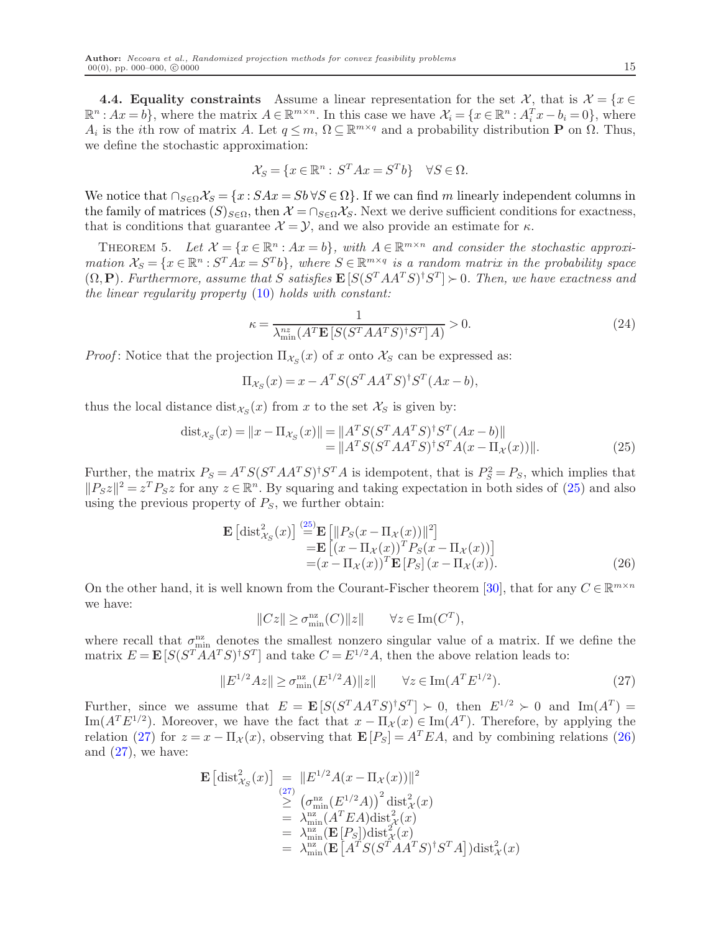4.4. Equality constraints Assume a linear representation for the set X, that is  $\mathcal{X} = \{x \in \mathcal{X}\}$  $\mathbb{R}^n : Ax = b$ , where the matrix  $A \in \mathbb{R}^{m \times n}$ . In this case we have  $\mathcal{X}_i = \{x \in \mathbb{R}^n : A_i^T x - b_i = 0\}$ , where  $A_i$  is the *i*th row of matrix A. Let  $q \leq m$ ,  $\Omega \subseteq \mathbb{R}^{m \times q}$  and a probability distribution **P** on  $\Omega$ . Thus, we define the stochastic approximation:

$$
\mathcal{X}_S = \{ x \in \mathbb{R}^n : S^T A x = S^T b \} \quad \forall S \in \Omega.
$$

We notice that  $\cap_{S\in\Omega}\mathcal{X}_S = \{x : SAx = Sb \,\forall S\in\Omega\}$ . If we can find m linearly independent columns in the family of matrices  $(S)_{S\in\Omega}$ , then  $\mathcal{X} = \bigcap_{S\in\Omega}\mathcal{X}_S$ . Next we derive sufficient conditions for exactness, that is conditions that guarantee  $\mathcal{X} = \mathcal{Y}$ , and we also provide an estimate for  $\kappa$ .

THEOREM 5. Let  $\mathcal{X} = \{x \in \mathbb{R}^n : Ax = b\}$ , with  $A \in \mathbb{R}^{m \times n}$  and consider the stochastic approximation  $\mathcal{X}_S = \{x \in \mathbb{R}^n : S^T A x = S^T b\}$ , where  $S \in \mathbb{R}^{m \times q}$  is a random matrix in the probability space  $(\Omega, \mathbf{P})$ . Furthermore, assume that S satisfies  $\mathbf{E}\left[S(S^TAA^TS)^{\dagger}S^T\right] \succ 0$ . Then, we have exactness and the linear regularity property [\(10\)](#page-6-0) holds with constant:

<span id="page-15-3"></span>
$$
\kappa = \frac{1}{\lambda_{\min}^{nz} (A^T \mathbf{E} \left[ S(S^T A A^T S)^{\dagger} S^T \right] A)} > 0. \tag{24}
$$

*Proof*: Notice that the projection  $\Pi_{\mathcal{X}_S}(x)$  of x onto  $\mathcal{X}_S$  can be expressed as:

<span id="page-15-0"></span>
$$
\Pi_{\mathcal{X}_S}(x) = x - A^T S (S^T A A^T S)^{\dagger} S^T (A x - b),
$$

thus the local distance  $dist_{\mathcal{X}_S}(x)$  from x to the set  $\mathcal{X}_S$  is given by:

$$
dist_{\mathcal{X}_S}(x) = \|x - \Pi_{\mathcal{X}_S}(x)\| = \|A^T S (S^T A A^T S)^{\dagger} S^T (Ax - b)\|
$$
  
= 
$$
\|A^T S (S^T A A^T S)^{\dagger} S^T A (x - \Pi_{\mathcal{X}}(x))\|.
$$
 (25)

Further, the matrix  $P_S = A^T S (S^T A A^T S)^{\dagger} S^T A$  is idempotent, that is  $P_S^2 = P_S$ , which implies that  $||P_{S}z||^2 = z^T P_{S}z$  for any  $z \in \mathbb{R}^n$ . By squaring and taking expectation in both sides of [\(25\)](#page-15-0) and also using the previous property of  $P_S$ , we further obtain:

$$
\mathbf{E}\left[\text{dist}_{\mathcal{X}_S}^2(x)\right] \stackrel{\text{(25)}}{=} \mathbf{E}\left[\|P_S(x - \Pi_{\mathcal{X}}(x))\|^2\right] \n= \mathbf{E}\left[(x - \Pi_{\mathcal{X}}(x))^T P_S(x - \Pi_{\mathcal{X}}(x))\right] \n= (x - \Pi_{\mathcal{X}}(x))^T \mathbf{E}\left[P_S\right](x - \Pi_{\mathcal{X}}(x)).
$$
\n(26)

On the other hand, it is well known from the Courant-Fischer theorem [\[30\]](#page-33-12), that for any  $C \in \mathbb{R}^{m \times n}$ we have:

<span id="page-15-2"></span>
$$
||Cz|| \ge \sigma_{\min}^{\mathrm{nz}}(C)||z|| \qquad \forall z \in \mathrm{Im}(C^T),
$$

where recall that  $\sigma_{\min}^{\text{nz}}$  denotes the smallest nonzero singular value of a matrix. If we define the matrix  $E = \mathbf{E}[S(S^T A A^T S)^{\dagger} S^T]$  and take  $C = E^{1/2} A$ , then the above relation leads to:

<span id="page-15-1"></span>
$$
||E^{1/2}Az|| \ge \sigma_{\min}^{\text{nz}}(E^{1/2}A)||z|| \qquad \forall z \in \text{Im}(A^T E^{1/2}). \tag{27}
$$

Further, since we assume that  $E = \mathbf{E}[S(S^T A A^T S)^{\dagger} S^T] \succ 0$ , then  $E^{1/2} \succ 0$  and  $\text{Im}(A^T) =$ Im( $A^T E^{1/2}$ ). Moreover, we have the fact that  $x - \Pi_{\mathcal{X}}(x) \in \text{Im}(A^T)$ . Therefore, by applying the relation [\(27\)](#page-15-1) for  $z = x - \Pi_{\mathcal{X}}(x)$ , observing that  $\mathbf{E}[P_S] = A^T E A$ , and by combining relations [\(26\)](#page-15-2) and  $(27)$ , we have:

$$
\mathbf{E} \left[ \text{dist}_{\mathcal{X}_S}^2(x) \right] = \| E^{1/2} A(x - \Pi_{\mathcal{X}}(x)) \|^2
$$
  
\n
$$
\geq (\sigma_{\min}^{nz} (E^{1/2} A))^2 \text{dist}_{\mathcal{X}}^2(x)
$$
  
\n
$$
= \lambda_{\min}^{nz} (A^T E A) \text{dist}_{\mathcal{X}}^2(x)
$$
  
\n
$$
= \lambda_{\min}^{nz} (\mathbf{E} [P_S]) \text{dist}_{\mathcal{X}}^2(x)
$$
  
\n
$$
= \lambda_{\min}^{nz} (\mathbf{E} [A^T S (S^T A A^T S)^{\dagger} S^T A]) \text{dist}_{\mathcal{X}}^2(x)
$$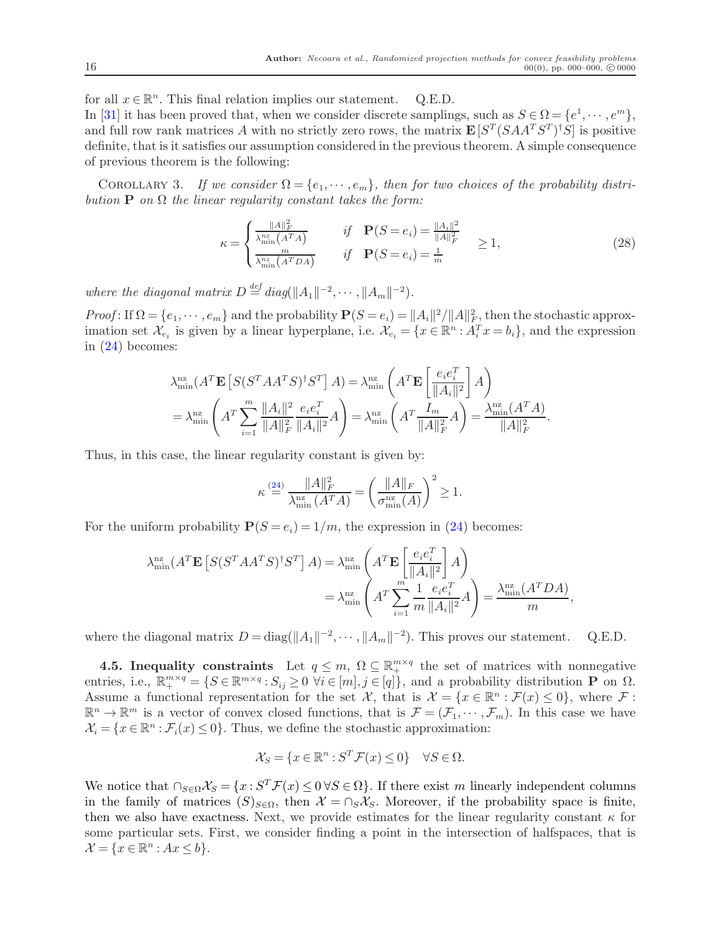for all  $x \in \mathbb{R}^n$ . This final relation implies our statement. Q.E.D.

In [\[31\]](#page-33-8) it has been proved that, when we consider discrete samplings, such as  $S \in \Omega = \{e^1, \dots, e^m\},\$ and full row rank matrices A with no strictly zero rows, the matrix  $\mathbf{E}\left[S^T(SAA^TS^T)^{\dagger}S\right]$  is positive definite, that is it satisfies our assumption considered in the previous theorem. A simple consequence of previous theorem is the following:

COROLLARY 3. If we consider  $\Omega = \{e_1, \dots, e_m\}$ , then for two choices of the probability distribution **P** on  $\Omega$  the linear regularity constant takes the form:

<span id="page-16-0"></span>
$$
\kappa = \begin{cases} \frac{\|A\|_F^2}{\lambda_{\min}^{nz}(A^T A)} & \text{if } \mathbf{P}(S = e_i) = \frac{\|A_i\|^2}{\|A\|_F^2} \\ \frac{m}{\lambda_{\min}^{nz}(A^T D A)} & \text{if } \mathbf{P}(S = e_i) = \frac{1}{m} \end{cases} \ge 1,
$$
\n(28)

where the diagonal matrix  $D \stackrel{\text{def}}{=} diag(||A_1||^{-2}, \cdots, ||A_m||^{-2}).$ 

Proof: If  $\Omega = \{e_1, \dots, e_m\}$  and the probability  $\mathbf{P}(S = e_i) = ||A_i||^2/||A||_F^2$ , then the stochastic approximation set  $\mathcal{X}_{e_i}$  is given by a linear hyperplane, i.e.  $\mathcal{X}_{e_i} = \{x \in \mathbb{R}^n : A_i^T x = b_i\}$ , and the expression in [\(24\)](#page-15-3) becomes:

$$
\lambda_{\min}^{\text{nz}}(A^T \mathbf{E}\left[S(S^T A A^T S)^{\dagger} S^T\right]A) = \lambda_{\min}^{\text{nz}}\left(A^T \mathbf{E}\left[\frac{e_i e_i^T}{\|A_i\|^2}\right]A\right)
$$

$$
= \lambda_{\min}^{\text{nz}}\left(A^T \sum_{i=1}^m \frac{\|A_i\|^2}{\|A\|^2_F} \frac{e_i e_i^T}{\|A_i\|^2}A\right) = \lambda_{\min}^{\text{nz}}\left(A^T \frac{I_m}{\|A\|^2_F}A\right) = \frac{\lambda_{\min}^{\text{nz}}(A^T A)}{\|A\|^2_F}.
$$

Thus, in this case, the linear regularity constant is given by:

$$
\kappa \stackrel{(24)}{=} \frac{\|A\|_F^2}{\lambda_{\min}^{\mathrm{nz}}(A^T A)} = \left(\frac{\|A\|_F}{\sigma_{\min}^{\mathrm{nz}}(A)}\right)^2 \ge 1.
$$

For the uniform probability  $P(S = e_i) = 1/m$ , the expression in [\(24\)](#page-15-3) becomes:

$$
\lambda_{\min}^{\text{nz}}(A^T \mathbf{E}\left[S(S^T A A^T S)^{\dagger} S^T\right] A) = \lambda_{\min}^{\text{nz}} \left(A^T \mathbf{E}\left[\frac{e_i e_i^T}{\|A_i\|^2}\right] A\right)
$$
  

$$
= \lambda_{\min}^{\text{nz}} \left(A^T \sum_{i=1}^m \frac{1}{m} \frac{e_i e_i^T}{\|A_i\|^2} A\right) = \frac{\lambda_{\min}^{\text{nz}}(A^T D A)}{m},
$$

where the diagonal matrix  $D = \text{diag}(\|A_1\|^{-2}, \dots, \|A_m\|^{-2})$ . This proves our statement. Q.E.D.

**4.5. Inequality constraints** Let  $q \leq m$ ,  $\Omega \subseteq \mathbb{R}^{m \times q}_{+}$  the set of matrices with nonnegative entries, i.e.,  $\mathbb{R}^{m \times q}_{+} = \{ S \in \mathbb{R}^{m \times q} : S_{ij} \geq 0 \ \forall i \in [m], j \in [q] \}$ , and a probability distribution **P** on <u>Q</u>. Assume a functional representation for the set  $\mathcal{X}$ , that is  $\mathcal{X} = \{x \in \mathbb{R}^n : \mathcal{F}(x) \leq 0\}$ , where  $\mathcal{F}$ :  $\mathbb{R}^n \to \mathbb{R}^m$  is a vector of convex closed functions, that is  $\mathcal{F} = (\mathcal{F}_1, \dots, \mathcal{F}_m)$ . In this case we have  $\mathcal{X}_i = \{x \in \mathbb{R}^n : \mathcal{F}_i(x) \leq 0\}$ . Thus, we define the stochastic approximation:

$$
\mathcal{X}_S = \{ x \in \mathbb{R}^n : S^T \mathcal{F}(x) \le 0 \} \quad \forall S \in \Omega.
$$

We notice that  $\bigcap_{S\in\Omega}\chi_S = \{x : S^T\mathcal{F}(x) \leq 0 \,\forall S\in\Omega\}$ . If there exist m linearly independent columns in the family of matrices  $(S)_{S\in\Omega}$ , then  $\mathcal{X} = \bigcap_S \mathcal{X}_S$ . Moreover, if the probability space is finite, then we also have exactness. Next, we provide estimates for the linear regularity constant  $\kappa$  for some particular sets. First, we consider finding a point in the intersection of halfspaces, that is  $\mathcal{X} = \{x \in \mathbb{R}^n : Ax \leq b\}.$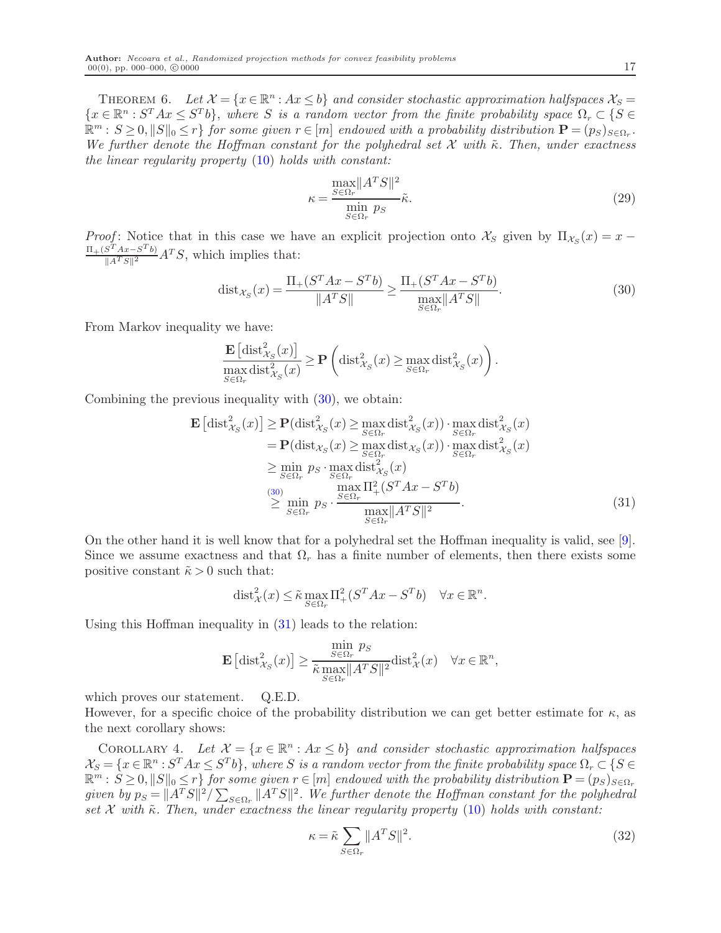THEOREM 6. Let  $\mathcal{X} = \{x \in \mathbb{R}^n : Ax \leq b\}$  and consider stochastic approximation halfspaces  $\mathcal{X}_S =$  ${x \in \mathbb{R}^n : S^T A x \leq S^T b}$ , where S is a random vector from the finite probability space  $\Omega_r \subset \{S \in \mathbb{R}^n : S^T A x \leq S^T b\}$  $\mathbb{R}^m : S \geq 0, ||S||_0 \leq r$  for some given  $r \in [m]$  endowed with a probability distribution  $\mathbf{P} = (p_S)_{S \in \Omega_r}$ . We further denote the Hoffman constant for the polyhedral set X with  $\tilde{\kappa}$ . Then, under exactness the linear regularity property [\(10\)](#page-6-0) holds with constant:

<span id="page-17-2"></span>
$$
\kappa = \frac{\max_{S \in \Omega_r} \|A^T S\|^2}{\min_{S \in \Omega_r} p_S} \tilde{\kappa}.
$$
\n(29)

Proof: Notice that in this case we have an explicit projection onto  $\mathcal{X}_S$  given by  $\Pi_{\mathcal{X}_S}(x) = x \frac{\Pi + (S^T A x - S^T b)}{\|A^T S\|^2} A^T S$ , which implies that:

<span id="page-17-0"></span>
$$
dist_{\mathcal{X}_S}(x) = \frac{\Pi_+(S^T A x - S^T b)}{\|A^T S\|} \ge \frac{\Pi_+(S^T A x - S^T b)}{\max_{S \in \Omega_r} \|A^T S\|}.
$$
\n(30)

From Markov inequality we have:

$$
\frac{\mathbf{E}\left[\mathrm{dist}_{\mathcal{X}_S}^2(x)\right]}{\max_{S \in \Omega_r} \mathrm{dist}_{\mathcal{X}_S}^2(x)} \ge \mathbf{P}\left(\mathrm{dist}_{\mathcal{X}_S}^2(x) \ge \max_{S \in \Omega_r} \mathrm{dist}_{\mathcal{X}_S}^2(x)\right).
$$

Combining the previous inequality with  $(30)$ , we obtain:

$$
\mathbf{E}\left[\text{dist}_{\mathcal{X}_{S}}^{2}(x)\right] \geq \mathbf{P}(\text{dist}_{\mathcal{X}_{S}}^{2}(x) \geq \max_{S \in \Omega_{r}} \text{dist}_{\mathcal{X}_{S}}^{2}(x)) \cdot \max_{S \in \Omega_{r}} \text{dist}_{\mathcal{X}_{S}}^{2}(x)
$$
\n
$$
= \mathbf{P}(\text{dist}_{\mathcal{X}_{S}}(x) \geq \max_{S \in \Omega_{r}} \text{dist}_{\mathcal{X}_{S}}(x)) \cdot \max_{S \in \Omega_{r}} \text{dist}_{\mathcal{X}_{S}}^{2}(x)
$$
\n
$$
\geq \min_{S \in \Omega_{r}} p_{S} \cdot \max_{S \in \Omega_{r}} \text{dist}_{\mathcal{X}_{S}}^{2}(x)
$$
\n(30)\n
$$
\max_{S \in \Omega_{r}} \text{max}_{S \in \Omega_{r}} \frac{\max_{S \in \Omega_{r}} |A^{T} S|^{2}}{\max_{S \in \Omega_{r}} |A^{T} S|^{2}}.
$$
\n(31)

On the other hand it is well know that for a polyhedral set the Hoffman inequality is valid, see [\[9\]](#page-32-17). Since we assume exactness and that  $\Omega_r$  has a finite number of elements, then there exists some positive constant  $\tilde{\kappa} > 0$  such that:

<span id="page-17-1"></span>
$$
\text{dist}_{\mathcal{X}}^2(x) \le \tilde{\kappa} \max_{S \in \Omega_r} \Pi^2_+(S^T A x - S^T b) \quad \forall x \in \mathbb{R}^n.
$$

Using this Hoffman inequality in [\(31\)](#page-17-1) leads to the relation:

<span id="page-17-4"></span>
$$
\mathbf{E}\left[\mathrm{dist}_{\mathcal{X}_S}^2(x)\right] \ge \frac{\min\limits_{S \in \Omega_r} p_S}{\tilde{\kappa} \max\limits_{S \in \Omega_r} \|A^T S\|^2} \mathrm{dist}_{\mathcal{X}}^2(x) \quad \forall x \in \mathbb{R}^n,
$$

which proves our statement. Q.E.D.

However, for a specific choice of the probability distribution we can get better estimate for  $\kappa$ , as the next corollary shows:

COROLLARY 4. Let  $\mathcal{X} = \{x \in \mathbb{R}^n : Ax \leq b\}$  and consider stochastic approximation halfspaces  $\mathcal{X}_S = \{x \in \mathbb{R}^n : S^T A x \leq S^T b\}$ , where S is a random vector from the finite probability space  $\Omega_r \subset \{S \in \mathbb{R}^n : S^T A x \leq S^T b\}$  $\mathbb{R}^m : S \geq 0, ||S||_0 \leq r$  for some given  $r \in [m]$  endowed with the probability distribution  $\mathbf{P} = (p_S)_{S \in \Omega_r}$ given by  $p_S = ||A^TS||^2 / \sum_{S \in \Omega_r} ||A^TS||^2$ . We further denote the Hoffman constant for the polyhedral set  $\mathcal X$  with  $\tilde\kappa$ . Then, under exactness the linear regularity property [\(10\)](#page-6-0) holds with constant:

<span id="page-17-3"></span>
$$
\kappa = \tilde{\kappa} \sum_{S \in \Omega_r} ||A^T S||^2.
$$
\n(32)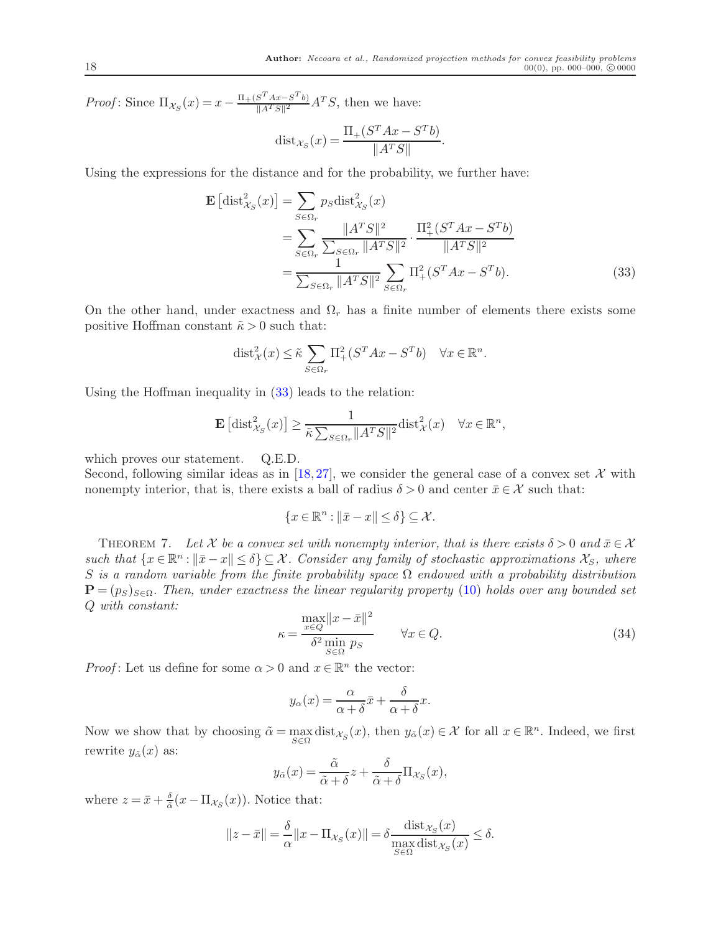<span id="page-18-0"></span>.

*Proof*: Since  $\Pi_{\mathcal{X}_S}(x) = x - \frac{\Pi_+(S^T A x - S^T b)}{\|A^T S\|^2}$  $\frac{S^2 A x - S^2 b}{\|A^T S\|^2} A^T S$ , then we have:

$$
dist_{\mathcal{X}_S}(x) = \frac{\Pi_+(S^T A x - S^T b)}{\|A^T S\|}
$$

Using the expressions for the distance and for the probability, we further have:

$$
\mathbf{E}\left[\text{dist}_{X_{S}}^{2}(x)\right] = \sum_{S \in \Omega_{r}} p_{S} \text{dist}_{X_{S}}^{2}(x)
$$
  
= 
$$
\sum_{S \in \Omega_{r}} \frac{\|A^{T}S\|^{2}}{\sum_{S \in \Omega_{r}} \|A^{T}S\|^{2}} \cdot \frac{\Pi_{+}^{2}(S^{T}Ax - S^{T}b)}{\|A^{T}S\|^{2}}
$$
  
= 
$$
\frac{1}{\sum_{S \in \Omega_{r}} \|A^{T}S\|^{2}} \sum_{S \in \Omega_{r}} \Pi_{+}^{2}(S^{T}Ax - S^{T}b).
$$
 (33)

On the other hand, under exactness and  $\Omega_r$  has a finite number of elements there exists some positive Hoffman constant  $\tilde{\kappa} > 0$  such that:

$$
\text{dist}_{\mathcal{X}}^2(x) \leq \tilde{\kappa} \sum_{S \in \Omega_r} \Pi^2_+(S^T A x - S^T b) \quad \forall x \in \mathbb{R}^n.
$$

Using the Hoffman inequality in [\(33\)](#page-18-0) leads to the relation:

$$
\mathbf{E}\left[\mathrm{dist}_{\mathcal{X}_S}^2(x)\right] \ge \frac{1}{\tilde{\kappa}\sum_{S\in\Omega_r} \|A^T S\|^2} \mathrm{dist}_{\mathcal{X}}^2(x) \quad \forall x \in \mathbb{R}^n,
$$

which proves our statement. Q.E.D.

Second, following similar ideas as in [\[18,](#page-32-16)[27\]](#page-33-7), we consider the general case of a convex set  $\mathcal X$  with nonempty interior, that is, there exists a ball of radius  $\delta > 0$  and center  $\bar{x} \in \mathcal{X}$  such that:

$$
\{x\in\mathbb{R}^n:\|\bar{x}-x\|\leq\delta\}\subseteq\mathcal{X}.
$$

<span id="page-18-1"></span>THEOREM 7. Let X be a convex set with nonempty interior, that is there exists  $\delta > 0$  and  $\bar{x} \in \mathcal{X}$ such that  $\{x \in \mathbb{R}^n : ||\bar{x} - x|| \le \delta\} \subseteq \mathcal{X}$ . Consider any family of stochastic approximations  $\mathcal{X}_S$ , where S is a random variable from the finite probability space  $\Omega$  endowed with a probability distribution  $\mathbf{P} = (p_S)_{S \in \Omega}$ . Then, under exactness the linear regularity property [\(10\)](#page-6-0) holds over any bounded set Q with constant:

<span id="page-18-2"></span>
$$
\kappa = \frac{\max_{x \in Q} \|x - \bar{x}\|^2}{\delta^2 \min_{S \in \Omega} p_S} \qquad \forall x \in Q.
$$
\n(34)

*Proof*: Let us define for some  $\alpha > 0$  and  $x \in \mathbb{R}^n$  the vector:

$$
y_{\alpha}(x) = \frac{\alpha}{\alpha + \delta}\bar{x} + \frac{\delta}{\alpha + \delta}x.
$$

Now we show that by choosing  $\tilde{\alpha} = \max_{S \in \Omega} \text{dist}_{\mathcal{X}_S}(x)$ , then  $y_{\tilde{\alpha}}(x) \in \mathcal{X}$  for all  $x \in \mathbb{R}^n$ . Indeed, we first rewrite  $y_{\tilde{\alpha}}(x)$  as:

$$
y_{\tilde{\alpha}}(x) = \frac{\tilde{\alpha}}{\tilde{\alpha} + \delta} z + \frac{\delta}{\tilde{\alpha} + \delta} \Pi_{\mathcal{X}_S}(x),
$$

where  $z = \bar{x} + \frac{\delta}{\tilde{\alpha}}$  $\frac{\delta}{\tilde{\alpha}}(x-\Pi_{\mathcal{X}_S}(x)).$  Notice that:

$$
||z - \bar{x}|| = \frac{\delta}{\alpha} ||x - \Pi_{\mathcal{X}_S}(x)|| = \delta \frac{\text{dist}_{\mathcal{X}_S}(x)}{\max_{S \in \Omega} \text{dist}_{\mathcal{X}_S}(x)} \le \delta.
$$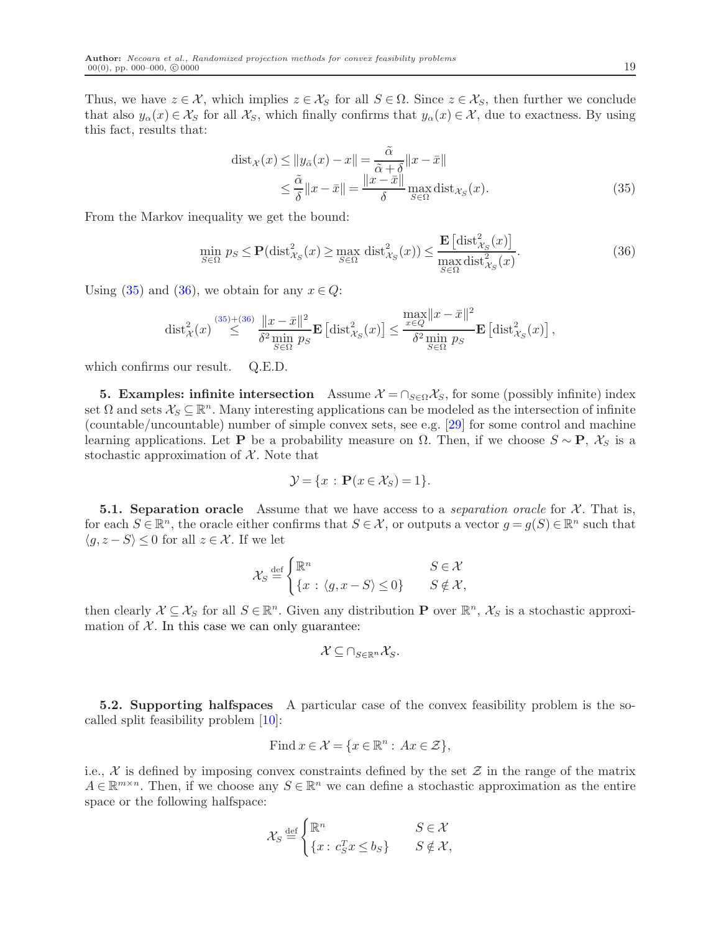Thus, we have  $z \in \mathcal{X}$ , which implies  $z \in \mathcal{X}_S$  for all  $S \in \Omega$ . Since  $z \in \mathcal{X}_S$ , then further we conclude that also  $y_\alpha(x) \in \mathcal{X}_S$  for all  $\mathcal{X}_S$ , which finally confirms that  $y_\alpha(x) \in \mathcal{X}$ , due to exactness. By using this fact, results that:

<span id="page-19-1"></span><span id="page-19-0"></span>
$$
dist_{\mathcal{X}}(x) \le ||y_{\tilde{\alpha}}(x) - x|| = \frac{\tilde{\alpha}}{\tilde{\alpha} + \delta} ||x - \bar{x}||
$$
  

$$
\le \frac{\tilde{\alpha}}{\delta} ||x - \bar{x}|| = \frac{||x - \bar{x}||}{\delta} \max_{S \in \Omega} dist_{\mathcal{X}_S}(x).
$$
 (35)

From the Markov inequality we get the bound:

$$
\min_{S \in \Omega} p_S \le \mathbf{P}(\text{dist}_{\mathcal{X}_S}^2(x) \ge \max_{S \in \Omega} \text{dist}_{\mathcal{X}_S}^2(x)) \le \frac{\mathbf{E}\left[\text{dist}_{\mathcal{X}_S}^2(x)\right]}{\max_{S \in \Omega} \text{dist}_{\mathcal{X}_S}^2(x)}.\tag{36}
$$

Using [\(35\)](#page-19-0) and [\(36\)](#page-19-1), we obtain for any  $x \in Q$ :

$$
\mathrm{dist}^2_{\mathcal{X}}(x) \stackrel{(35)+(36)}{\leq} \frac{\|x-\bar{x}\|^2}{\delta^2 \min_{S \in \Omega} p_S} \mathbf{E}\left[\mathrm{dist}^2_{\mathcal{X}_S}(x)\right] \leq \frac{\max_{x \in Q} \|x-\bar{x}\|^2}{\delta^2 \min_{S \in \Omega} p_S} \mathbf{E}\left[\mathrm{dist}^2_{\mathcal{X}_S}(x)\right],
$$

which confirms our result. Q.E.D.

**5. Examples: infinite intersection** Assume  $\mathcal{X} = \cap_{S \in \Omega} \mathcal{X}_S$ , for some (possibly infinite) index set  $\Omega$  and sets  $\mathcal{X}_S \subseteq \mathbb{R}^n$ . Many interesting applications can be modeled as the intersection of infinite (countable/uncountable) number of simple convex sets, see e.g. [\[29\]](#page-33-10) for some control and machine learning applications. Let **P** be a probability measure on  $\Omega$ . Then, if we choose  $S \sim \mathbf{P}$ ,  $\mathcal{X}_S$  is a stochastic approximation of  $X$ . Note that

$$
\mathcal{Y} = \{x : \mathbf{P}(x \in \mathcal{X}_S) = 1\}.
$$

**5.1. Separation oracle** Assume that we have access to a *separation oracle* for  $\mathcal{X}$ . That is, for each  $S \in \mathbb{R}^n$ , the oracle either confirms that  $S \in \mathcal{X}$ , or outputs a vector  $g = g(S) \in \mathbb{R}^n$  such that  $\langle g, z - S \rangle \leq 0$  for all  $z \in \mathcal{X}$ . If we let

$$
\mathcal{X}_S \stackrel{\text{def}}{=} \begin{cases} \mathbb{R}^n & S \in \mathcal{X} \\ \{x \,:\, \langle g, x - S \rangle \le 0\} & S \notin \mathcal{X}, \end{cases}
$$

then clearly  $\mathcal{X} \subseteq \mathcal{X}_S$  for all  $S \in \mathbb{R}^n$ . Given any distribution **P** over  $\mathbb{R}^n$ ,  $\mathcal{X}_S$  is a stochastic approximation of  $X$ . In this case we can only guarantee:

$$
\mathcal{X} \subseteq \bigcap_{S \in \mathbb{R}^n} \mathcal{X}_S.
$$

5.2. Supporting halfspaces A particular case of the convex feasibility problem is the socalled split feasibility problem [\[10\]](#page-32-18):

Find 
$$
x \in \mathcal{X} = \{x \in \mathbb{R}^n : Ax \in \mathcal{Z}\},\
$$

i.e.,  $\mathcal X$  is defined by imposing convex constraints defined by the set  $\mathcal Z$  in the range of the matrix  $A \in \mathbb{R}^{m \times n}$ . Then, if we choose any  $S \in \mathbb{R}^n$  we can define a stochastic approximation as the entire space or the following halfspace:

$$
\mathcal{X}_S \stackrel{\text{def}}{=} \begin{cases} \mathbb{R}^n & S \in \mathcal{X} \\ \{x : c_S^T x \le b_S\} & S \notin \mathcal{X}, \end{cases}
$$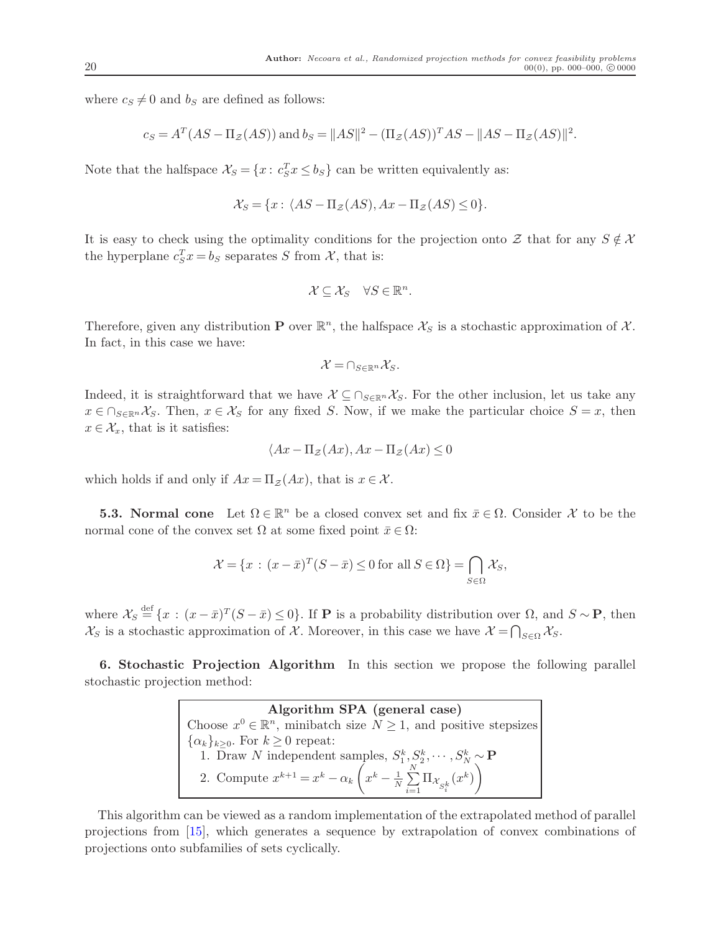where  $c_S \neq 0$  and  $b_S$  are defined as follows:

$$
c_S = A^T (AS - \Pi_Z(AS))
$$
 and  $b_S = ||AS||^2 - (\Pi_Z(AS))^T AS - ||AS - \Pi_Z(AS)||^2$ .

Note that the halfspace  $\mathcal{X}_S = \{x : c_S^T x \leq b_S\}$  can be written equivalently as:

$$
\mathcal{X}_S = \{x : \langle AS - \Pi_{\mathcal{Z}}(AS), Ax - \Pi_{\mathcal{Z}}(AS) \le 0\}.
$$

It is easy to check using the optimality conditions for the projection onto Z that for any  $S \notin \mathcal{X}$ the hyperplane  $c_S^T x = b_S$  separates S from X, that is:

$$
\mathcal{X} \subseteq \mathcal{X}_S \quad \forall S \in \mathbb{R}^n.
$$

Therefore, given any distribution **P** over  $\mathbb{R}^n$ , the halfspace  $\mathcal{X}_S$  is a stochastic approximation of  $\mathcal{X}$ . In fact, in this case we have:

$$
\mathcal{X} = \bigcap_{S \in \mathbb{R}^n} \mathcal{X}_S.
$$

Indeed, it is straightforward that we have  $\mathcal{X} \subseteq \bigcap_{S \in \mathbb{R}^n} \mathcal{X}_S$ . For the other inclusion, let us take any  $x \in \bigcap_{S \in \mathbb{R}^n} \mathcal{X}_S$ . Then,  $x \in \mathcal{X}_S$  for any fixed S. Now, if we make the particular choice  $S = x$ , then  $x \in \mathcal{X}_x$ , that is it satisfies:

$$
\langle Ax - \Pi_{\mathcal{Z}}(Ax), Ax - \Pi_{\mathcal{Z}}(Ax) \le 0
$$

which holds if and only if  $Ax = \Pi_z(Ax)$ , that is  $x \in \mathcal{X}$ .

**5.3. Normal cone** Let  $\Omega \in \mathbb{R}^n$  be a closed convex set and fix  $\bar{x} \in \Omega$ . Consider X to be the normal cone of the convex set  $\Omega$  at some fixed point  $\bar{x} \in \Omega$ :

$$
\mathcal{X} = \{x : (x - \bar{x})^T (S - \bar{x}) \le 0 \text{ for all } S \in \Omega\} = \bigcap_{S \in \Omega} \mathcal{X}_S,
$$

where  $\mathcal{X}_S \stackrel{\text{def}}{=} \{x : (x - \bar{x})^T (S - \bar{x}) \leq 0\}$ . If **P** is a probability distribution over  $\Omega$ , and  $S \sim \mathbf{P}$ , then  $\mathcal{X}_S$  is a stochastic approximation of  $\mathcal{X}$ . Moreover, in this case we have  $\mathcal{X} = \bigcap_{S \in \Omega} \mathcal{X}_S$ .

<span id="page-20-0"></span>6. Stochastic Projection Algorithm In this section we propose the following parallel stochastic projection method:

> Algorithm SPA (general case) Choose  $x^0 \in \mathbb{R}^n$ , minibatch size  $N \geq 1$ , and positive stepsizes  $\{\alpha_k\}_{k\geq 0}$ . For  $k\geq 0$  repeat: 1. Draw N independent samples,  $S_1^k, S_2^k, \cdots, S_N^k \sim \mathbf{P}$ 2. Compute  $x^{k+1} = x^k - \alpha_k$  $x^k - \frac{1}{N}$  $\frac{1}{N}$  $\sum_{n=1}^{N}$  $\sum_{i=1}$   $\Pi_{\mathcal{X}_{S_i^k}}(x^k)$  $\setminus$

This algorithm can be viewed as a random implementation of the extrapolated method of parallel projections from [\[15\]](#page-32-19), which generates a sequence by extrapolation of convex combinations of projections onto subfamilies of sets cyclically.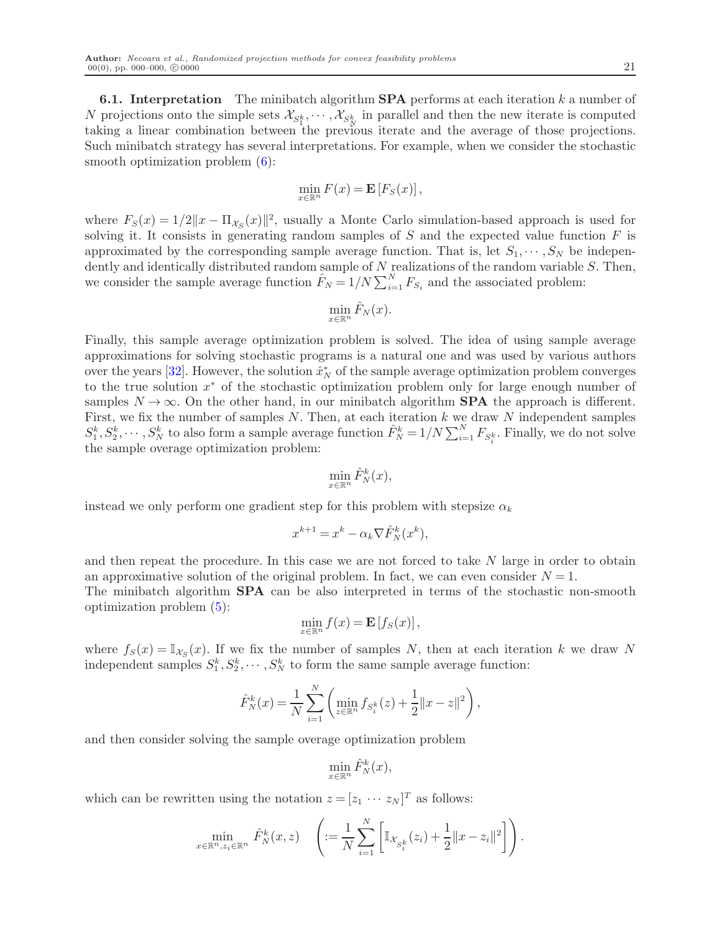**6.1. Interpretation** The minibatch algorithm **SPA** performs at each iteration  $k$  a number of N projections onto the simple sets  $\mathcal{X}_{S^k_1}, \dots, \mathcal{X}_{S^k_N}$  in parallel and then the new iterate is computed taking a linear combination between the previous iterate and the average of those projections. Such minibatch strategy has several interpretations. For example, when we consider the stochastic smooth optimization problem  $(6)$ :

$$
\min_{x \in \mathbb{R}^n} F(x) = \mathbf{E}\left[F_S(x)\right],
$$

where  $F_S(x) = 1/2||x - \Pi_{\mathcal{X}_S}(x)||^2$ , usually a Monte Carlo simulation-based approach is used for solving it. It consists in generating random samples of  $S$  and the expected value function  $F$  is approximated by the corresponding sample average function. That is, let  $S_1, \dots, S_N$  be independently and identically distributed random sample of  $N$  realizations of the random variable  $S$ . Then, we consider the sample average function  $\hat{F}_N = 1/N \sum_{i=1}^N F_{S_i}$  and the associated problem:

$$
\min_{x \in \mathbb{R}^n} \hat{F}_N(x).
$$

Finally, this sample average optimization problem is solved. The idea of using sample average approximations for solving stochastic programs is a natural one and was used by various authors over the years [\[32\]](#page-33-13). However, the solution  $\hat{x}_N^*$  of the sample average optimization problem converges to the true solution  $x^*$  of the stochastic optimization problem only for large enough number of samples  $N \to \infty$ . On the other hand, in our minibatch algorithm **SPA** the approach is different. First, we fix the number of samples  $N$ . Then, at each iteration  $k$  we draw  $N$  independent samples  $S_1^k, S_2^k, \cdots, S_N^k$  to also form a sample average function  $\hat{F}_N^k = 1/N \sum_{i=1}^N F_{S_i^k}$ . Finally, we do not solve the sample overage optimization problem:

$$
\min_{x \in \mathbb{R}^n} \hat{F}_N^k(x),
$$

instead we only perform one gradient step for this problem with stepsize  $\alpha_k$ 

$$
x^{k+1} = x^k - \alpha_k \nabla \hat{F}_N^k(x^k),
$$

and then repeat the procedure. In this case we are not forced to take N large in order to obtain an approximative solution of the original problem. In fact, we can even consider  $N = 1$ . The minibatch algorithm SPA can be also interpreted in terms of the stochastic non-smooth optimization problem [\(5\)](#page-3-3):

$$
\min_{x \in \mathbb{R}^n} f(x) = \mathbf{E}\left[f_S(x)\right],
$$

where  $f_S(x) = \mathbb{I}_{\mathcal{X}_S}(x)$ . If we fix the number of samples N, then at each iteration k we draw N independent samples  $S_1^k, S_2^k, \dots, S_N^k$  to form the same sample average function:

$$
\hat{F}_N^k(x) = \frac{1}{N} \sum_{i=1}^N \left( \min_{z \in \mathbb{R}^n} f_{S_i^k}(z) + \frac{1}{2} ||x - z||^2 \right),\,
$$

and then consider solving the sample overage optimization problem

$$
\min_{x \in \mathbb{R}^n} \hat{F}_N^k(x),
$$

which can be rewritten using the notation  $z = [z_1 \cdots z_N]^T$  as follows:

$$
\min_{x \in \mathbb{R}^n, z_i \in \mathbb{R}^n} \hat{F}_N^k(x, z) \quad \left( := \frac{1}{N} \sum_{i=1}^N \left[ \mathbb{I}_{\mathcal{X}_{S_i^k}}(z_i) + \frac{1}{2} ||x - z_i||^2 \right] \right).
$$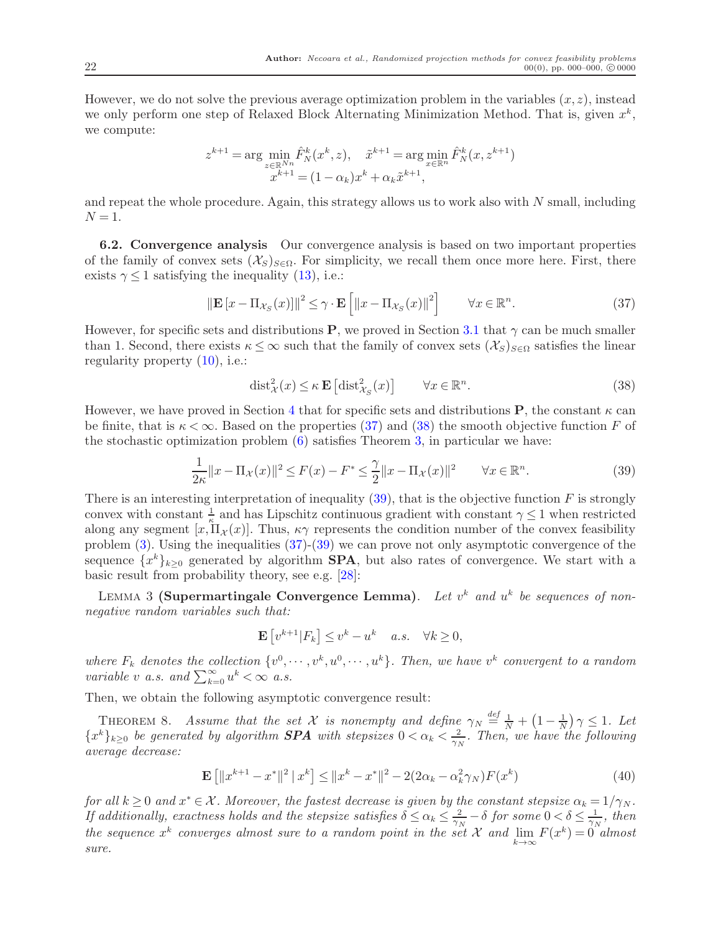However, we do not solve the previous average optimization problem in the variables  $(x, z)$ , instead we only perform one step of Relaxed Block Alternating Minimization Method. That is, given  $x^k$ , we compute:

$$
z^{k+1} = \arg\min_{z \in \mathbb{R}^{Nn}} \hat{F}_N^k(x^k, z), \quad \tilde{x}^{k+1} = \arg\min_{x \in \mathbb{R}^n} \hat{F}_N^k(x, z^{k+1})
$$

$$
x^{k+1} = (1 - \alpha_k)x^k + \alpha_k \tilde{x}^{k+1},
$$

and repeat the whole procedure. Again, this strategy allows us to work also with N small, including  $N = 1$ .

6.2. Convergence analysis Our convergence analysis is based on two important properties of the family of convex sets  $(\mathcal{X}_S)_{S\in\Omega}$ . For simplicity, we recall them once more here. First, there exists  $\gamma \leq 1$  satisfying the inequality [\(13\)](#page-7-1), i.e.:

<span id="page-22-0"></span>
$$
\|\mathbf{E}\left[x - \Pi_{\mathcal{X}_S}(x)\right]\|^2 \leq \gamma \cdot \mathbf{E}\left[\left\|x - \Pi_{\mathcal{X}_S}(x)\right\|^2\right] \qquad \forall x \in \mathbb{R}^n. \tag{37}
$$

However, for specific sets and distributions **P**, we proved in Section [3.1](#page-7-3) that  $\gamma$  can be much smaller than 1. Second, there exists  $\kappa \leq \infty$  such that the family of convex sets  $(\mathcal{X}_S)_{S \in \Omega}$  satisfies the linear regularity property [\(10\)](#page-6-0), i.e.:

<span id="page-22-2"></span><span id="page-22-1"></span>
$$
\text{dist}_{\mathcal{X}}^2(x) \leq \kappa \mathbf{E} \left[ \text{dist}_{\mathcal{X}_S}^2(x) \right] \qquad \forall x \in \mathbb{R}^n. \tag{38}
$$

However, we have proved in Section [4](#page-13-2) that for specific sets and distributions **P**, the constant  $\kappa$  can be finite, that is  $\kappa < \infty$ . Based on the properties [\(37\)](#page-22-0) and [\(38\)](#page-22-1) the smooth objective function F of the stochastic optimization problem [\(6\)](#page-4-0) satisfies Theorem [3,](#page-11-5) in particular we have:

$$
\frac{1}{2\kappa} \|x - \Pi_{\mathcal{X}}(x)\|^2 \le F(x) - F^* \le \frac{\gamma}{2} \|x - \Pi_{\mathcal{X}}(x)\|^2 \qquad \forall x \in \mathbb{R}^n.
$$
 (39)

There is an interesting interpretation of inequality  $(39)$ , that is the objective function F is strongly convex with constant  $\frac{1}{k}$  and has Lipschitz continuous gradient with constant  $\gamma \leq 1$  when restricted along any segment  $[x,\Pi_X(x)]$ . Thus,  $\kappa \gamma$  represents the condition number of the convex feasibility problem [\(3\)](#page-3-1). Using the inequalities [\(37\)](#page-22-0)-[\(39\)](#page-22-2) we can prove not only asymptotic convergence of the sequence  ${x^k}_{k\geq 0}$  generated by algorithm **SPA**, but also rates of convergence. We start with a basic result from probability theory, see e.g. [\[28\]](#page-33-9):

LEMMA 3 (Supermartingale Convergence Lemma). Let  $v^k$  and  $u^k$  be sequences of nonnegative random variables such that:

$$
\mathbf{E}\left[v^{k+1}|F_k\right] \le v^k - u^k \quad a.s. \quad \forall k \ge 0,
$$

where  $F_k$  denotes the collection  $\{v^0, \dots, v^k, u^0, \dots, u^k\}$ . Then, we have  $v^k$  convergent to a random variable v a.s. and  $\sum_{k=0}^{\infty} u^k < \infty$  a.s.

<span id="page-22-3"></span>Then, we obtain the following asymptotic convergence result:

THEOREM 8. Assume that the set X is nonempty and define  $\gamma_N \stackrel{def}{=} \frac{1}{N} + (1 - \frac{1}{N}) \gamma \leq 1$ . Let  ${x^k}_{k\geq 0}$  be generated by algorithm **SPA** with stepsizes  $0 < \alpha_k < \frac{2}{\gamma_k}$  $\frac{2}{\gamma_N}$ . Then, we have the following average decrease:

$$
\mathbf{E}\left[\|x^{k+1} - x^*\|^2 \mid x^k\right] \le \|x^k - x^*\|^2 - 2(2\alpha_k - \alpha_k^2 \gamma_N)F(x^k) \tag{40}
$$

for all  $k \geq 0$  and  $x^* \in \mathcal{X}$ . Moreover, the fastest decrease is given by the constant stepsize  $\alpha_k = 1/\gamma_N$ . If additionally, exactness holds and the stepsize satisfies  $\delta \leq \alpha_k \leq \frac{2}{\gamma_N} - \delta$  for some  $0 < \delta \leq \frac{1}{\gamma_N}$ , then the sequence  $x^k$  converges almost sure to a random point in the set X and  $\lim_{k\to\infty} F(x^k) = 0$  almost sure.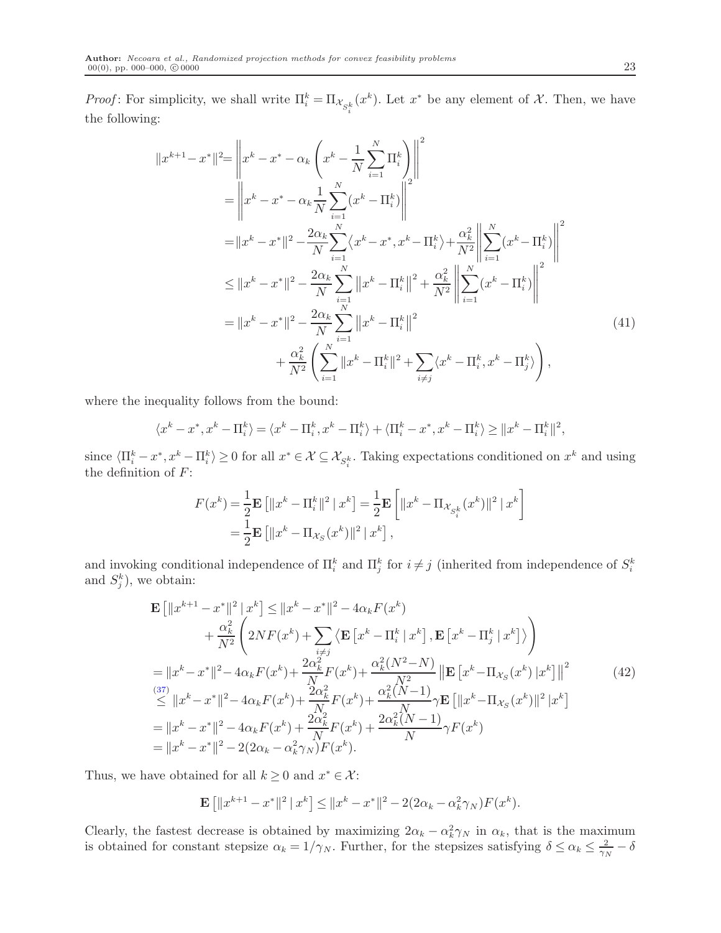*Proof*: For simplicity, we shall write  $\Pi_i^k = \Pi_{\mathcal{X}_{S_i^k}}(x^k)$ . Let  $x^*$  be any element of  $\mathcal{X}$ . Then, we have the following:

$$
||x^{k+1} - x^*||^2 = \left||x^k - x^* - \alpha_k \left(x^k - \frac{1}{N} \sum_{i=1}^N \Pi_i^k\right)\right||^2
$$
  
\n
$$
= \left||x^k - x^* - \alpha_k \frac{1}{N} \sum_{i=1}^N (x^k - \Pi_i^k)\right||^2
$$
  
\n
$$
= ||x^k - x^*||^2 - \frac{2\alpha_k}{N} \sum_{i=1}^N \langle x^k - x^*, x^k - \Pi_i^k \rangle + \frac{\alpha_k^2}{N^2} \left||\sum_{i=1}^N (x^k - \Pi_i^k)\right||^2
$$
  
\n
$$
\leq ||x^k - x^*||^2 - \frac{2\alpha_k}{N} \sum_{i=1}^N ||x^k - \Pi_i^k||^2 + \frac{\alpha_k^2}{N^2} \left||\sum_{i=1}^N (x^k - \Pi_i^k)\right||^2
$$
  
\n
$$
= ||x^k - x^*||^2 - \frac{2\alpha_k}{N} \sum_{i=1}^N ||x^k - \Pi_i^k||^2
$$
  
\n
$$
+ \frac{\alpha_k^2}{N^2} \left(\sum_{i=1}^N ||x^k - \Pi_i^k||^2 + \sum_{i \neq j} \langle x^k - \Pi_i^k, x^k - \Pi_j^k \rangle\right),
$$
\n(41)

where the inequality follows from the bound:

$$
\langle x^k-x^*,x^k-\Pi_i^k\rangle=\langle x^k-\Pi_i^k,x^k-\Pi_i^k\rangle+\langle \Pi_i^k-x^*,x^k-\Pi_i^k\rangle\geq \|x^k-\Pi_i^k\|^2,
$$

since  $\langle \Pi_i^k - x^*, x^k - \Pi_i^k \rangle \ge 0$  for all  $x^* \in \mathcal{X} \subseteq \mathcal{X}_{S_i^k}$ . Taking expectations conditioned on  $x^k$  and using the definition of  $F$ :

<span id="page-23-1"></span>
$$
F(x^k) = \frac{1}{2} \mathbf{E} \left[ ||x^k - \Pi_i^k||^2 | x^k \right] = \frac{1}{2} \mathbf{E} \left[ ||x^k - \Pi_{\mathcal{X}_{S_i^k}}(x^k)||^2 | x^k \right]
$$
  
=  $\frac{1}{2} \mathbf{E} \left[ ||x^k - \Pi_{\mathcal{X}_S}(x^k)||^2 | x^k \right],$ 

and invoking conditional independence of  $\prod_{i=1}^{k}$  and  $\prod_{j=1}^{k}$  for  $i \neq j$  (inherited from independence of  $S_i^k$ and  $S_j^k$ ), we obtain:

$$
\mathbf{E} \left[ \|x^{k+1} - x^*\|^2 | x^k \right] \le \|x^k - x^*\|^2 - 4\alpha_k F(x^k) \n+ \frac{\alpha_k^2}{N^2} \left( 2N F(x^k) + \sum_{\substack{i \neq j \\ i \neq j}} \langle \mathbf{E} \left[ x^k - \Pi_i^k | x^k \right], \mathbf{E} \left[ x^k - \Pi_j^k | x^k \right] \rangle \right) \n= \|x^k - x^*\|^2 - 4\alpha_k F(x^k) + \frac{2\alpha_k^2}{N} F(x^k) + \frac{\alpha_k^2 (N^2 - N)}{N^2} \left\| \mathbf{E} \left[ x^k - \Pi_{X_S}(x^k) | x^k \right] \right\|^2 \n\le \|x^k - x^*\|^2 - 4\alpha_k F(x^k) + \frac{2\alpha_k^2}{N} F(x^k) + \frac{\alpha_k^2 (N - 1)}{N} \gamma \mathbf{E} \left[ \|x^k - \Pi_{X_S}(x^k) \|^2 | x^k \right] \n= \|x^k - x^*\|^2 - 4\alpha_k F(x^k) + \frac{2\alpha_k^2}{N} F(x^k) + \frac{2\alpha_k^2 (N - 1)}{N} \gamma F(x^k) \n= \|x^k - x^*\|^2 - 2(2\alpha_k - \alpha_k^2 \gamma_N) F(x^k).
$$
\n(42)

Thus, we have obtained for all  $k \geq 0$  and  $x^* \in \mathcal{X}$ :

<span id="page-23-0"></span>
$$
\mathbf{E}\left[\|x^{k+1}-x^*\|^2\,|\,x^k\right] \le \|x^k-x^*\|^2 - 2(2\alpha_k - \alpha_k^2 \gamma_N)F(x^k).
$$

Clearly, the fastest decrease is obtained by maximizing  $2\alpha_k - \alpha_k^2 \gamma_N$  in  $\alpha_k$ , that is the maximum is obtained for constant stepsize  $\alpha_k = 1/\gamma_N$ . Further, for the stepsizes satisfying  $\delta \leq \alpha_k \leq \frac{2}{\gamma_N}$  $\frac{2}{\gamma_N}-\delta$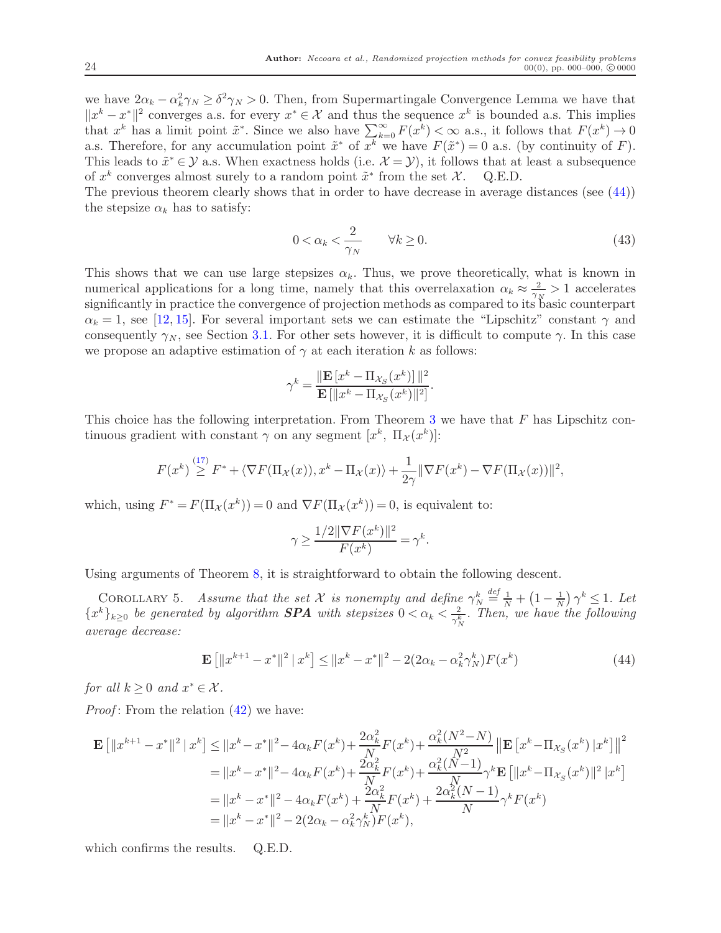we have  $2\alpha_k - \alpha_k^2 \gamma_N \geq \delta^2 \gamma_N > 0$ . Then, from Supermartingale Convergence Lemma we have that  $||x^k - x^*||^2$  converges a.s. for every  $x^* \in \mathcal{X}$  and thus the sequence  $x^k$  is bounded a.s. This implies that  $x^k$  has a limit point  $\tilde{x}^*$ . Since we also have  $\sum_{k=0}^{\infty} F(x^k) < \infty$  a.s., it follows that  $F(x^k) \to 0$ a.s. Therefore, for any accumulation point  $\tilde{x}^*$  of  $x^k$  we have  $F(\tilde{x}^*) = 0$  a.s. (by continuity of F). This leads to  $\tilde{x}^* \in \mathcal{Y}$  a.s. When exactness holds (i.e.  $\mathcal{X} = \mathcal{Y}$ ), it follows that at least a subsequence of  $x^k$  converges almost surely to a random point  $\tilde{x}^*$  from the set  $\mathcal{X}$ . Q.E.D.

The previous theorem clearly shows that in order to have decrease in average distances (see  $(44)$ ) the stepsize  $\alpha_k$  has to satisfy:

$$
0 < \alpha_k < \frac{2}{\gamma_N} \qquad \forall k \ge 0. \tag{43}
$$

This shows that we can use large stepsizes  $\alpha_k$ . Thus, we prove theoretically, what is known in numerical applications for a long time, namely that this overrelaxation  $\alpha_k \approx \frac{2}{\gamma_l}$  $\frac{2}{\gamma_N} > 1$  accelerates significantly in practice the convergence of projection methods as compared to its basic counterpart  $\alpha_k = 1$ , see [\[12,](#page-32-10) [15\]](#page-32-19). For several important sets we can estimate the "Lipschitz" constant  $\gamma$  and consequently  $\gamma_N$ , see Section [3.1.](#page-7-3) For other sets however, it is difficult to compute  $\gamma$ . In this case we propose an adaptive estimation of  $\gamma$  at each iteration k as follows:

$$
\gamma^k = \frac{\|\mathbf{E}\left[x^k - \Pi_{\mathcal{X}_S}(x^k)\right]\|^2}{\mathbf{E}\left[\|x^k - \Pi_{\mathcal{X}_S}(x^k)\|^2\right]}.
$$

This choice has the following interpretation. From Theorem [3](#page-11-5) we have that  $F$  has Lipschitz continuous gradient with constant  $\gamma$  on any segment  $[x^k, \Pi_\mathcal{X}(x^k)]$ :

$$
F(x^k) \stackrel{(17)}{\geq} F^* + \langle \nabla F(\Pi_{\mathcal{X}}(x)), x^k - \Pi_{\mathcal{X}}(x) \rangle + \frac{1}{2\gamma} \|\nabla F(x^k) - \nabla F(\Pi_{\mathcal{X}}(x))\|^2,
$$

which, using  $F^* = F(\Pi_{\mathcal{X}}(x^k)) = 0$  and  $\nabla F(\Pi_{\mathcal{X}}(x^k)) = 0$ , is equivalent to:

<span id="page-24-0"></span>
$$
\gamma \ge \frac{1/2 \|\nabla F(x^k)\|^2}{F(x^k)} = \gamma^k.
$$

Using arguments of Theorem [8,](#page-22-3) it is straightforward to obtain the following descent.

COROLLARY 5. Assume that the set X is nonempty and define  $\gamma_N^k$  $\stackrel{\text{def}}{=} \frac{1}{N} + \left(1 - \frac{1}{N}\right)$  $\frac{1}{N}$ )  $\gamma^k \leq 1$ . Let  ${x^k}_{k\geq 0}$  be generated by algorithm **SPA** with stepsizes  $0 < \alpha_k < \frac{2}{\gamma_k^k}$  $\frac{2}{\gamma_N^k}$ . Then, we have the following average decrease:

$$
\mathbf{E}\left[\|x^{k+1} - x^*\|^2 \,|\, x^k\right] \le \|x^k - x^*\|^2 - 2(2\alpha_k - \alpha_k^2 \gamma_N^k) F(x^k) \tag{44}
$$

for all  $k \geq 0$  and  $x^* \in \mathcal{X}$ .

*Proof:* From the relation  $(42)$  we have:

$$
\mathbf{E} \left[ \|x^{k+1} - x^*\|^2 \, \|x^k\right] \le \|x^k - x^*\|^2 - 4\alpha_k F(x^k) + \frac{2\alpha_k^2}{N} F(x^k) + \frac{\alpha_k^2 (N^2 - N)}{N^2} \left\| \mathbf{E} \left[ x^k - \Pi_{\mathcal{X}_S}(x^k) \, |x^k \right] \right\|^2
$$
\n
$$
= \|x^k - x^*\|^2 - 4\alpha_k F(x^k) + \frac{2\alpha_k^2}{N} F(x^k) + \frac{\alpha_k^2 (N-1)}{N} \gamma^k \mathbf{E} \left[ \|x^k - \Pi_{\mathcal{X}_S}(x^k) \|^2 \, |x^k \right]
$$
\n
$$
= \|x^k - x^*\|^2 - 4\alpha_k F(x^k) + \frac{2\alpha_k^2}{N} F(x^k) + \frac{2\alpha_k^2 (N-1)}{N} \gamma^k F(x^k)
$$
\n
$$
= \|x^k - x^*\|^2 - 2(2\alpha_k - \alpha_k^2 \gamma_N^k) F(x^k),
$$

which confirms the results. Q.E.D.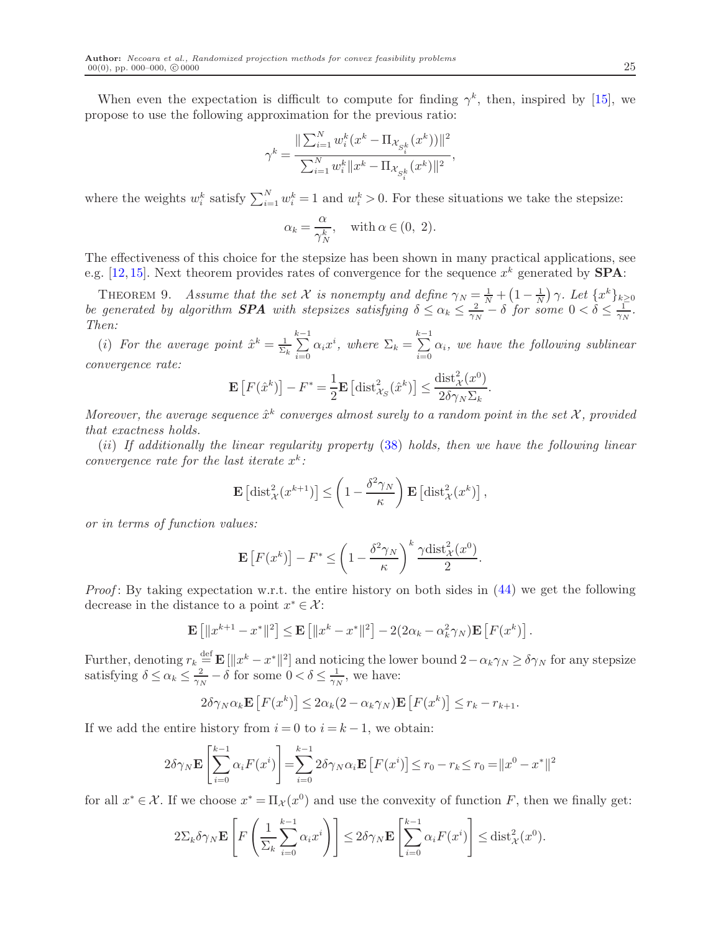When even the expectation is difficult to compute for finding  $\gamma^k$ , then, inspired by [\[15\]](#page-32-19), we propose to use the following approximation for the previous ratio:

$$
\gamma^k = \frac{\| \sum_{i=1}^N w_i^k (x^k - \Pi_{\mathcal{X}_{S_i^k}} (x^k)) \|^2}{\sum_{i=1}^N w_i^k \|x^k - \Pi_{\mathcal{X}_{S_i^k}} (x^k) \|^2},
$$

where the weights  $w_i^k$  satisfy  $\sum_{i=1}^N w_i^k = 1$  and  $w_i^k > 0$ . For these situations we take the stepsize:

$$
\alpha_k = \frac{\alpha}{\gamma_N^k}, \quad \text{with } \alpha \in (0, 2).
$$

<span id="page-25-0"></span>The effectiveness of this choice for the stepsize has been shown in many practical applications, see e.g. [\[12,](#page-32-10) [15\]](#page-32-19). Next theorem provides rates of convergence for the sequence  $x^k$  generated by **SPA**:

THEOREM 9. Assume that the set X is nonempty and define  $\gamma_N = \frac{1}{N} + \left(1 - \frac{1}{N}\right)$  $\frac{1}{N}$ )  $\gamma$ . Let  $\{x^k\}_{k\geq 0}$ be generated by algorithm **SPA** with stepsizes satisfying  $\delta \leq \alpha_k \leq \frac{2}{\gamma_k}$  $\frac{2}{\gamma_N} - \delta$  for some  $0 < \delta \leq \frac{1}{\gamma_N}$  $\frac{1}{\gamma_N}$ . Then:

(i) For the average point  $\hat{x}^k = \frac{1}{\Sigma}$  $\Sigma_k$  $\sum_{i=1}^{k-1}$  $\sum_{i=0}^{k-1} \alpha_i x^i$ , where  $\Sigma_k = \sum_{i=0}^{k-1}$  $\sum_{i=0} \alpha_i$ , we have the following sublinear convergence rate:

$$
\mathbf{E}\left[F(\hat{x}^k)\right] - F^* = \frac{1}{2}\mathbf{E}\left[\text{dist}_{\mathcal{X}_S}^2(\hat{x}^k)\right] \le \frac{\text{dist}_{\mathcal{X}}^2(x^0)}{2\delta\gamma_N\Sigma_k}
$$

.

Moreover, the average sequence  $\hat{x}^k$  converges almost surely to a random point in the set  $\mathcal{X}$ , provided that exactness holds.

(ii) If additionally the linear regularity property [\(38\)](#page-22-1) holds, then we have the following linear convergence rate for the last iterate  $x^k$ :

$$
\mathbf{E}\left[\mathrm{dist}_{\mathcal{X}}^{2}(x^{k+1})\right] \leq \left(1 - \frac{\delta^{2}\gamma_{N}}{\kappa}\right) \mathbf{E}\left[\mathrm{dist}_{\mathcal{X}}^{2}(x^{k})\right],
$$

or in terms of function values:

$$
\mathbf{E}\left[F(x^k)\right] - F^* \le \left(1 - \frac{\delta^2 \gamma_N}{\kappa}\right)^k \frac{\gamma \text{dist}_{\mathcal{X}}^2(x^0)}{2}.
$$

*Proof*: By taking expectation w.r.t. the entire history on both sides in  $(44)$  we get the following decrease in the distance to a point  $x^* \in \mathcal{X}$ :

$$
\mathbf{E}\left[\|x^{k+1}-x^*\|^2\right] \leq \mathbf{E}\left[\|x^k-x^*\|^2\right] - 2(2\alpha_k - \alpha_k^2 \gamma_N)\mathbf{E}\left[F(x^k)\right].
$$

Further, denoting  $r_k \stackrel{\text{def}}{=} \mathbf{E}[\Vert x^k - x^* \Vert^2]$  and noticing the lower bound  $2 - \alpha_k \gamma_N \ge \delta \gamma_N$  for any stepsize satisfying  $\delta \leq \alpha_k \leq \frac{2}{\gamma_k}$  $\frac{2}{\gamma_N} - \delta$  for some  $0 < \delta \leq \frac{1}{\gamma_N}$  $\frac{1}{\gamma_N}$ , we have:

$$
2\delta\gamma_N\alpha_k \mathbf{E}\left[F(x^k)\right] \leq 2\alpha_k(2-\alpha_k\gamma_N)\mathbf{E}\left[F(x^k)\right] \leq r_k - r_{k+1}.
$$

If we add the entire history from  $i = 0$  to  $i = k - 1$ , we obtain:

$$
2\delta\gamma_N \mathbf{E}\left[\sum_{i=0}^{k-1} \alpha_i F(x^i)\right] = \sum_{i=0}^{k-1} 2\delta\gamma_N \alpha_i \mathbf{E}\left[F(x^i)\right] \le r_0 - r_k \le r_0 = ||x^0 - x^*||^2
$$

for all  $x^* \in \mathcal{X}$ . If we choose  $x^* = \Pi_{\mathcal{X}}(x^0)$  and use the convexity of function F, then we finally get:

$$
2\Sigma_k \delta \gamma_N \mathbf{E} \left[ F \left( \frac{1}{\Sigma_k} \sum_{i=0}^{k-1} \alpha_i x^i \right) \right] \leq 2 \delta \gamma_N \mathbf{E} \left[ \sum_{i=0}^{k-1} \alpha_i F(x^i) \right] \leq \text{dist}_{\mathcal{X}}^2(x^0).
$$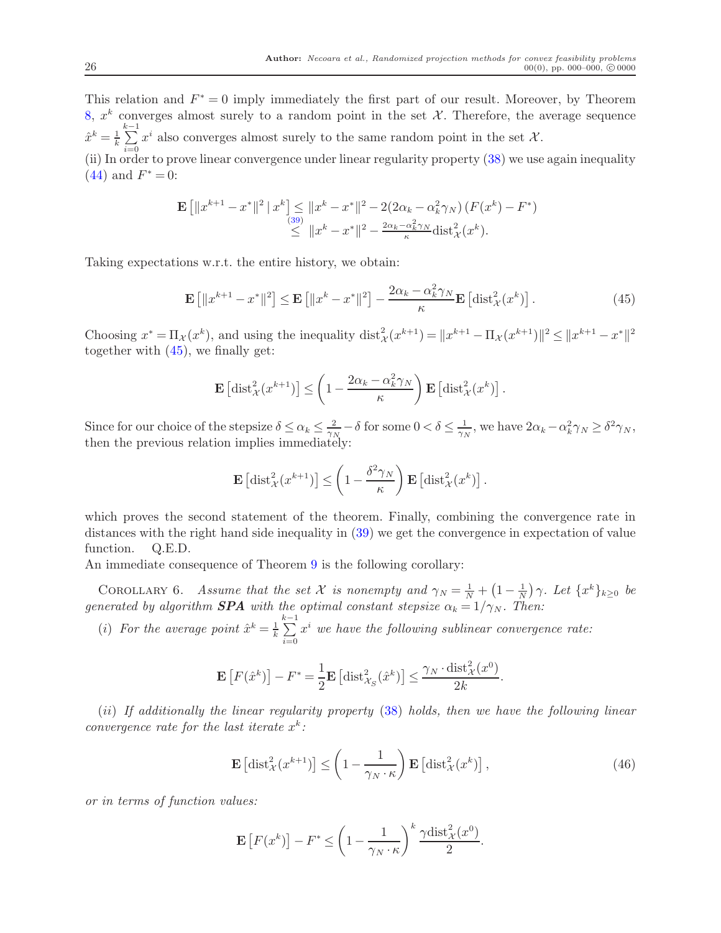This relation and  $F^* = 0$  imply immediately the first part of our result. Moreover, by Theorem [8,](#page-22-3)  $x^k$  converges almost surely to a random point in the set  $\mathcal{X}$ . Therefore, the average sequence  $\hat{x}^k = \frac{1}{k}$ k  $\sum_{k=1}^{k-1} x^i$  also converges almost surely to the same random point in the set X. (ii) In order to prove linear convergence under linear regularity property  $(38)$  we use again inequality [\(44\)](#page-24-0) and  $F^* = 0$ :

$$
\mathbf{E} \left[ \|x^{k+1} - x^*\|^2 \, \|x^k\right] \le \|x^k - x^*\|^2 - 2(2\alpha_k - \alpha_k^2 \gamma_N) \left( F(x^k) - F^* \right) \n\le \|x^k - x^*\|^2 - \frac{2\alpha_k - \alpha_k^2 \gamma_N}{\kappa} \text{dist}_{\mathcal{X}}^2(x^k).
$$

Taking expectations w.r.t. the entire history, we obtain:

<span id="page-26-0"></span>
$$
\mathbf{E}\left[\|x^{k+1} - x^*\|^2\right] \le \mathbf{E}\left[\|x^k - x^*\|^2\right] - \frac{2\alpha_k - \alpha_k^2 \gamma_N}{\kappa} \mathbf{E}\left[\text{dist}_\mathcal{X}^2(x^k)\right].\tag{45}
$$

Choosing  $x^* = \Pi_{\mathcal{X}}(x^k)$ , and using the inequality  $dist_{\mathcal{X}}^2(x^{k+1}) = ||x^{k+1} - \Pi_{\mathcal{X}}(x^{k+1})||^2 \le ||x^{k+1} - x^*||^2$ together with [\(45\)](#page-26-0), we finally get:

$$
\mathbf{E}\left[\mathrm{dist}_{\mathcal{X}}^2(x^{k+1})\right] \leq \left(1 - \frac{2\alpha_k - \alpha_k^2 \gamma_N}{\kappa}\right) \mathbf{E}\left[\mathrm{dist}_{\mathcal{X}}^2(x^k)\right].
$$

Since for our choice of the stepsize  $\delta \leq \alpha_k \leq \frac{2}{\gamma_l}$  $\frac{2}{\gamma_N} - \delta$  for some  $0 < \delta \leq \frac{1}{\gamma_N}$  $\frac{1}{\gamma_N}$ , we have  $2\alpha_k - \alpha_k^2 \gamma_N \ge \delta^2 \gamma_N$ , then the previous relation implies immediately:

<span id="page-26-1"></span>
$$
\mathbf{E}\left[\mathrm{dist}_{\mathcal{X}}^2(x^{k+1})\right] \leq \left(1 - \frac{\delta^2 \gamma_N}{\kappa}\right) \mathbf{E}\left[\mathrm{dist}_{\mathcal{X}}^2(x^k)\right].
$$

which proves the second statement of the theorem. Finally, combining the convergence rate in distances with the right hand side inequality in [\(39\)](#page-22-2) we get the convergence in expectation of value function. Q.E.D.

An immediate consequence of Theorem [9](#page-25-0) is the following corollary:

COROLLARY 6. Assume that the set X is nonempty and  $\gamma_N = \frac{1}{N} + \left(1 - \frac{1}{N}\right)$  $\frac{1}{N}$ )  $\gamma$ . Let  $\{x^k\}_{k\geq 0}$  be generated by algorithm **SPA** with the optimal constant stepsize  $\alpha_k = 1/\gamma_N$ . Then:

(i) For the average point  $\hat{x}^k = \frac{1}{k}$ k  $\sum_{i=1}^{k-1}$  $i=0$  $x^i$  we have the following sublinear convergence rate:

$$
\mathbf{E}\left[F(\hat{x}^k)\right] - F^* = \frac{1}{2}\mathbf{E}\left[\mathrm{dist}_{\mathcal{X}_S}^2(\hat{x}^k)\right] \le \frac{\gamma_N \cdot \mathrm{dist}_{\mathcal{X}}^2(x^0)}{2k}.
$$

(ii) If additionally the linear regularity property [\(38\)](#page-22-1) holds, then we have the following linear convergence rate for the last iterate  $x^k$ :

<span id="page-26-2"></span>
$$
\mathbf{E}\left[\mathrm{dist}_{\mathcal{X}}^{2}(x^{k+1})\right] \leq \left(1 - \frac{1}{\gamma_{N} \cdot \kappa}\right) \mathbf{E}\left[\mathrm{dist}_{\mathcal{X}}^{2}(x^{k})\right],\tag{46}
$$

or in terms of function values:

$$
\mathbf{E}\left[F(x^k)\right] - F^* \le \left(1 - \frac{1}{\gamma_N \cdot \kappa}\right)^k \frac{\gamma \text{dist}_{\mathcal{X}}^2(x^0)}{2}.
$$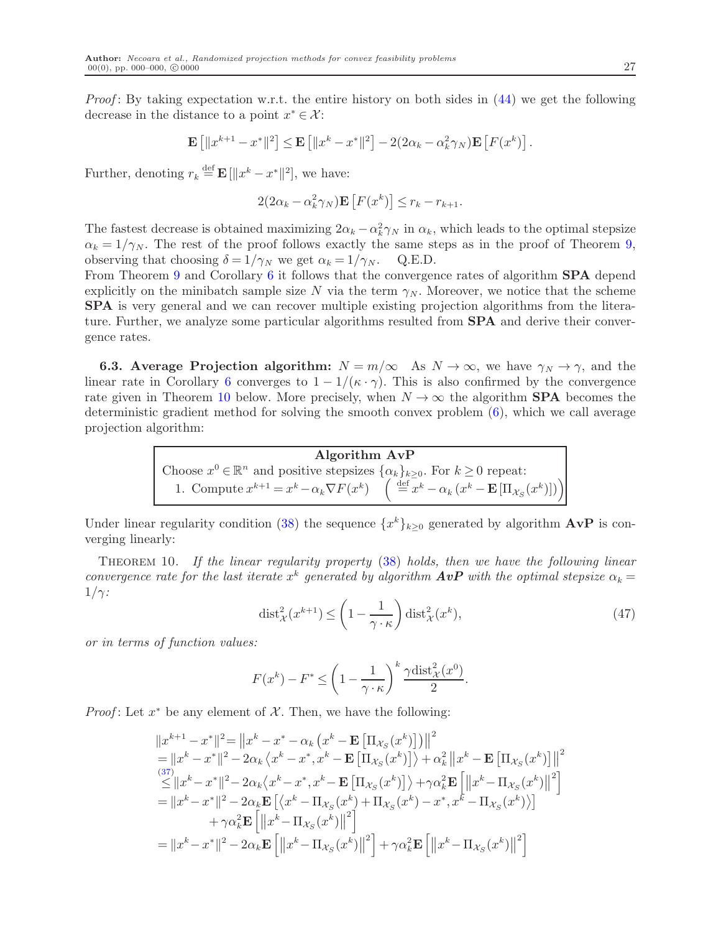*Proof*: By taking expectation w.r.t. the entire history on both sides in  $(44)$  we get the following decrease in the distance to a point  $x^* \in \mathcal{X}$ :

$$
\mathbf{E}\left[\|x^{k+1} - x^*\|^2\right] \le \mathbf{E}\left[\|x^k - x^*\|^2\right] - 2(2\alpha_k - \alpha_k^2 \gamma_N)\mathbf{E}\left[F(x^k)\right].
$$

Further, denoting  $r_k \stackrel{\text{def}}{=} \mathbf{E} [\Vert x^k - x^* \Vert^2]$ , we have:

$$
2(2\alpha_k - \alpha_k^2 \gamma_N) \mathbf{E}\left[F(x^k)\right] \le r_k - r_{k+1}.
$$

The fastest decrease is obtained maximizing  $2\alpha_k - \alpha_k^2 \gamma_N$  in  $\alpha_k$ , which leads to the optimal stepsize  $\alpha_k = 1/\gamma_N$ . The rest of the proof follows exactly the same steps as in the proof of Theorem [9,](#page-25-0) observing that choosing  $\delta = 1/\gamma_N$  we get  $\alpha_k = 1/\gamma_N$ . Q.E.D.

From Theorem [9](#page-25-0) and Corollary [6](#page-26-1) it follows that the convergence rates of algorithm **SPA** depend explicitly on the minibatch sample size N via the term  $\gamma_N$ . Moreover, we notice that the scheme SPA is very general and we can recover multiple existing projection algorithms from the literature. Further, we analyze some particular algorithms resulted from **SPA** and derive their convergence rates.

**6.3.** Average Projection algorithm:  $N = m/\infty$  As  $N \to \infty$ , we have  $\gamma_N \to \gamma$ , and the linear rate in Corollary [6](#page-26-1) converges to  $1 - 1/(\kappa \cdot \gamma)$ . This is also confirmed by the convergence rate given in Theorem [10](#page-27-0) below. More precisely, when  $N \to \infty$  the algorithm **SPA** becomes the deterministic gradient method for solving the smooth convex problem [\(6\)](#page-4-0), which we call average projection algorithm:

> Algorithm AvP Choose  $x^0 \in \mathbb{R}^n$  and positive stepsizes  $\{\alpha_k\}_{k \geq 0}$ . For  $k \geq 0$  repeat: 1. Compute  $x^{k+1} = x^k - \alpha_k \nabla F(x^k) \quad \left( \begin{array}{c} \frac{1}{16} e^{-x} & \cdots & e^{-x} \\ \frac{1}{16} e^{-x} & \cdots & \frac{1}{16} \end{array} \right)$

<span id="page-27-0"></span>Under linear regularity condition [\(38\)](#page-22-1) the sequence  $\{x^k\}_{k\geq 0}$  generated by algorithm  $\mathbf{A} \mathbf{v} \mathbf{P}$  is converging linearly:

Theorem 10. If the linear regularity property [\(38\)](#page-22-1) holds, then we have the following linear convergence rate for the last iterate  $x^k$  generated by algorithm  $A v P$  with the optimal stepsize  $\alpha_k =$  $1/\gamma$ :

<span id="page-27-1"></span>
$$
\text{dist}_{\mathcal{X}}^2(x^{k+1}) \le \left(1 - \frac{1}{\gamma \cdot \kappa}\right) \text{dist}_{\mathcal{X}}^2(x^k),\tag{47}
$$

or in terms of function values:

$$
F(x^{k}) - F^* \le \left(1 - \frac{1}{\gamma \cdot \kappa}\right)^{k} \frac{\gamma \text{dist}_{\mathcal{X}}^2(x^0)}{2}.
$$

*Proof*: Let  $x^*$  be any element of  $\mathcal{X}$ . Then, we have the following:

$$
||x^{k+1} - x^*||^2 = ||x^k - x^* - \alpha_k (x^k - \mathbf{E} [\Pi_{\mathcal{X}_S}(x^k)])||^2
$$
  
\n
$$
= ||x^k - x^*||^2 - 2\alpha_k \langle x^k - x^*, x^k - \mathbf{E} [\Pi_{\mathcal{X}_S}(x^k)] \rangle + \alpha_k^2 ||x^k - \mathbf{E} [\Pi_{\mathcal{X}_S}(x^k)]||^2
$$
  
\n
$$
\leq ||x^k - x^*||^2 - 2\alpha_k \langle x^k - x^*, x^k - \mathbf{E} [\Pi_{\mathcal{X}_S}(x^k)] \rangle + \gamma \alpha_k^2 \mathbf{E} [\Vert x^k - \Pi_{\mathcal{X}_S}(x^k) \Vert^2]
$$
  
\n
$$
= ||x^k - x^*||^2 - 2\alpha_k \mathbf{E} [\langle x^k - \Pi_{\mathcal{X}_S}(x^k) + \Pi_{\mathcal{X}_S}(x^k) - x^*, x^k - \Pi_{\mathcal{X}_S}(x^k) \rangle]
$$
  
\n
$$
+ \gamma \alpha_k^2 \mathbf{E} [\Vert x^k - \Pi_{\mathcal{X}_S}(x^k) \Vert^2]
$$
  
\n
$$
= ||x^k - x^*||^2 - 2\alpha_k \mathbf{E} [\Vert x^k - \Pi_{\mathcal{X}_S}(x^k) \Vert^2] + \gamma \alpha_k^2 \mathbf{E} [\Vert x^k - \Pi_{\mathcal{X}_S}(x^k) \Vert^2]
$$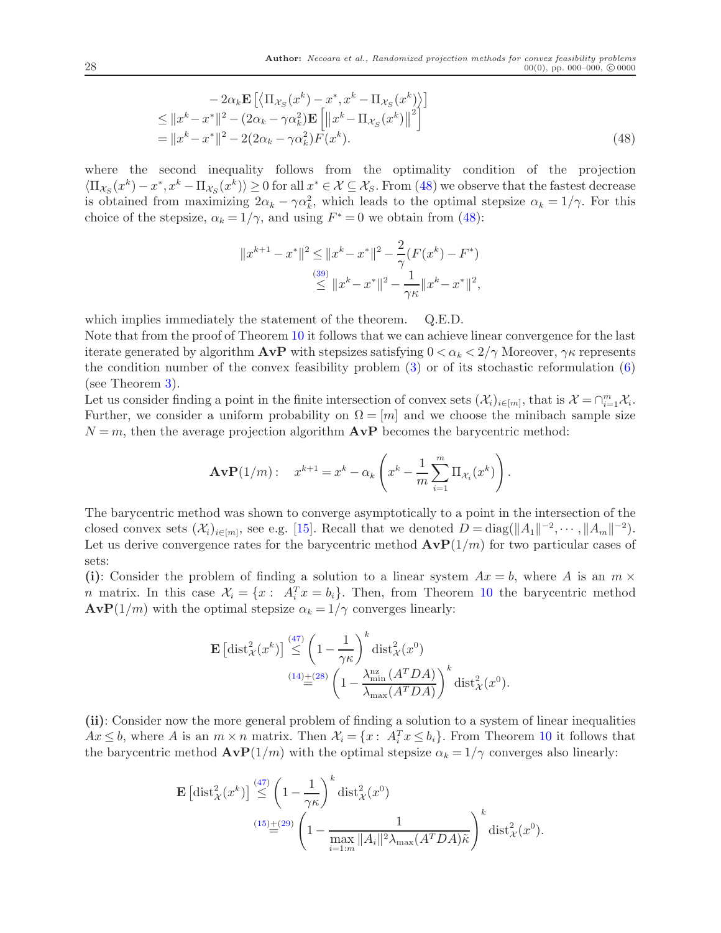$$
-2\alpha_k \mathbf{E} \left[ \left\langle \Pi_{\mathcal{X}_S}(x^k) - x^*, x^k - \Pi_{\mathcal{X}_S}(x^k) \right\rangle \right] \leq ||x^k - x^*||^2 - (2\alpha_k - \gamma \alpha_k^2) \mathbf{E} \left[ ||x^k - \Pi_{\mathcal{X}_S}(x^k) ||^2 \right] = ||x^k - x^*||^2 - 2(2\alpha_k - \gamma \alpha_k^2) F(x^k).
$$
\n(48)

where the second inequality follows from the optimality condition of the projection  $\langle \Pi_{\mathcal{X}_S}(x^k) - x^*, x^k - \Pi_{\mathcal{X}_S}(x^k) \rangle \ge 0$  for all  $x^* \in \mathcal{X} \subseteq \mathcal{X}_S$ . From [\(48\)](#page-28-0) we observe that the fastest decrease is obtained from maximizing  $2\alpha_k - \gamma \alpha_k^2$ , which leads to the optimal stepsize  $\alpha_k = 1/\gamma$ . For this choice of the stepsize,  $\alpha_k = 1/\gamma$ , and using  $F^* = 0$  we obtain from [\(48\)](#page-28-0):

<span id="page-28-0"></span>
$$
||x^{k+1} - x^*||^2 \le ||x^k - x^*||^2 - \frac{2}{\gamma}(F(x^k) - F^*)
$$
  

$$
\le ||x^k - x^*||^2 - \frac{1}{\gamma \kappa}||x^k - x^*||^2,
$$

which implies immediately the statement of the theorem. Q.E.D.

Note that from the proof of Theorem [10](#page-27-0) it follows that we can achieve linear convergence for the last iterate generated by algorithm  $A v P$  with stepsizes satisfying  $0 < \alpha_k < 2/\gamma$  Moreover,  $\gamma \kappa$  represents the condition number of the convex feasibility problem [\(3\)](#page-3-1) or of its stochastic reformulation [\(6\)](#page-4-0) (see Theorem [3\)](#page-11-5).

Let us consider finding a point in the finite intersection of convex sets  $(\mathcal{X}_i)_{i\in[m]}$ , that is  $\mathcal{X} = \bigcap_{i=1}^m \mathcal{X}_i$ . Further, we consider a uniform probability on  $\Omega = [m]$  and we choose the minibach sample size  $N = m$ , then the average projection algorithm  $AVP$  becomes the barycentric method:

$$
\mathbf{AvP}(1/m): \quad x^{k+1} = x^k - \alpha_k \left( x^k - \frac{1}{m} \sum_{i=1}^m \Pi_{\mathcal{X}_i}(x^k) \right).
$$

The barycentric method was shown to converge asymptotically to a point in the intersection of the closed convex sets  $(\mathcal{X}_i)_{i\in[m]}$ , see e.g. [\[15\]](#page-32-19). Recall that we denoted  $D = \text{diag}(\|A_1\|^{-2}, \cdots, \|A_m\|^{-2})$ . Let us derive convergence rates for the barycentric method  $AVP(1/m)$  for two particular cases of sets:

(i): Consider the problem of finding a solution to a linear system  $Ax = b$ , where A is an  $m \times$ *n* matrix. In this case  $\mathcal{X}_i = \{x : A_i^T x = b_i\}$ . Then, from Theorem [10](#page-27-0) the barycentric method  $A\mathbf{v}P(1/m)$  with the optimal stepsize  $\alpha_k = 1/\gamma$  converges linearly:

$$
\mathbf{E}\left[\mathrm{dist}_{\mathcal{X}}^{2}(x^{k})\right] \stackrel{(47)}{\leq} \left(1 - \frac{1}{\gamma \kappa}\right)^{k} \mathrm{dist}_{\mathcal{X}}^{2}(x^{0})
$$
\n
$$
\stackrel{(14)}{=} \left(1 - \frac{\lambda_{\min}^{\mathrm{nz}}\left(A^{T}DA\right)}{\lambda_{\max}\left(A^{T}DA\right)}\right)^{k} \mathrm{dist}_{\mathcal{X}}^{2}(x^{0}).
$$

(ii): Consider now the more general problem of finding a solution to a system of linear inequalities  $Ax \leq b$ , where A is an  $m \times n$  matrix. Then  $\mathcal{X}_i = \{x : A_i^T x \leq b_i\}$ . From Theorem [10](#page-27-0) it follows that the barycentric method  $AvP(1/m)$  with the optimal stepsize  $\alpha_k = 1/\gamma$  converges also linearly:

$$
\mathbf{E}\left[\mathrm{dist}_{\mathcal{X}}^{2}(x^{k})\right] \stackrel{(47)}{\leq} \left(1 - \frac{1}{\gamma \kappa}\right)^{k} \mathrm{dist}_{\mathcal{X}}^{2}(x^{0})
$$
\n
$$
\stackrel{(15)}{=} \left(1 - \frac{1}{\max_{i=1:m} \|A_{i}\|^{2} \lambda_{\max}(A^{T}DA)\tilde{\kappa}}\right)^{k} \mathrm{dist}_{\mathcal{X}}^{2}(x^{0}).
$$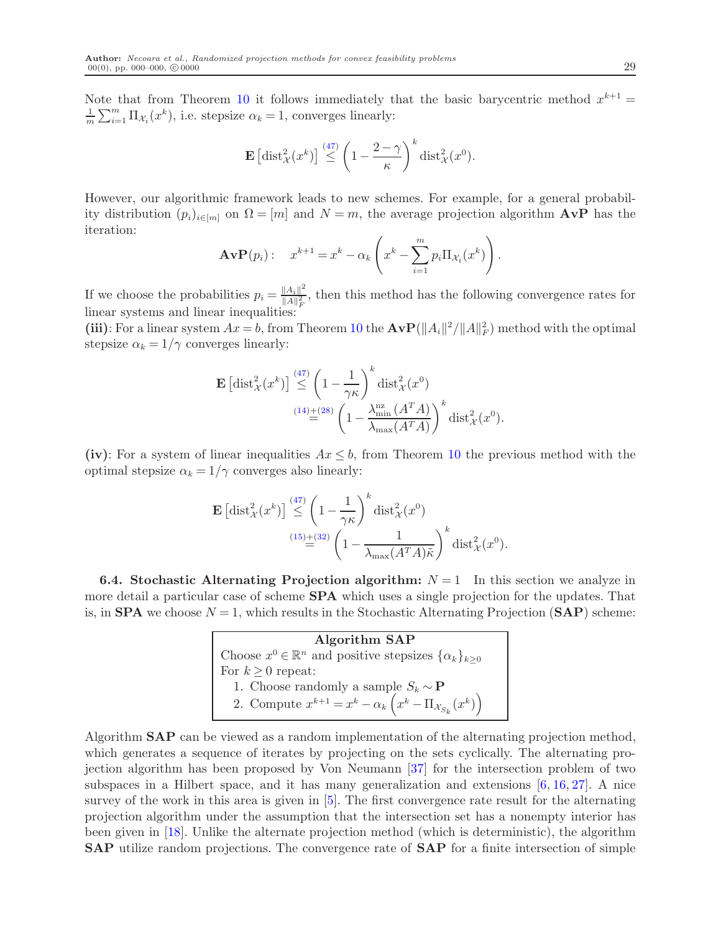Note that from Theorem [10](#page-27-0) it follows immediately that the basic barycentric method  $x^{k+1} =$ 1  $\frac{1}{m}\sum_{i=1}^{m} \Pi_{\mathcal{X}_i}(x^k)$ , i.e. stepsize  $\alpha_k = 1$ , converges linearly:

$$
\mathbf{E}\left[\mathrm{dist}_{\mathcal{X}}^{2}(x^{k})\right] \stackrel{(47)}{\leq} \left(1 - \frac{2-\gamma}{\kappa}\right)^{k} \mathrm{dist}_{\mathcal{X}}^{2}(x^{0}).
$$

However, our algorithmic framework leads to new schemes. For example, for a general probability distribution  $(p_i)_{i\in[m]}$  on  $\Omega = [m]$  and  $N = m$ , the average projection algorithm  $AVP$  has the iteration:

$$
\mathbf{AvP}(p_i): \quad x^{k+1} = x^k - \alpha_k \left( x^k - \sum_{i=1}^m p_i \Pi_{\mathcal{X}_i}(x^k) \right).
$$

If we choose the probabilities  $p_i = \frac{\|A_i\|^2}{\|A\|^2}$  $\frac{\|A_i\|}{\|A\|_F^2}$ , then this method has the following convergence rates for linear systems and linear inequalities:

(iii): For a linear system  $Ax = b$ , from Theorem [10](#page-27-0) the  $A v P(||A_i||^2 / ||A||_F^2)$  method with the optimal stepsize  $\alpha_k = 1/\gamma$  converges linearly:

$$
\mathbf{E}\left[\mathrm{dist}_{\mathcal{X}}^{2}(x^{k})\right] \stackrel{(47)}{\leq} \left(1 - \frac{1}{\gamma \kappa}\right)^{k} \mathrm{dist}_{\mathcal{X}}^{2}(x^{0})
$$
\n
$$
\stackrel{(14)}{=} \left(1 - \frac{\lambda_{\min}^{\mathrm{nz}}\left(A^{T}A\right)}{\lambda_{\max}(A^{T}A)}\right)^{k} \mathrm{dist}_{\mathcal{X}}^{2}(x^{0}).
$$

(iv): For a system of linear inequalities  $Ax \leq b$ , from Theorem [10](#page-27-0) the previous method with the optimal stepsize  $\alpha_k = 1/\gamma$  converges also linearly:

$$
\mathbf{E}\left[\mathrm{dist}_{\mathcal{X}}^{2}(x^{k})\right] \stackrel{(47)}{\leq} \left(1 - \frac{1}{\gamma \kappa}\right)^{k} \mathrm{dist}_{\mathcal{X}}^{2}(x^{0})
$$
\n
$$
\stackrel{(15) + (32)}{=} \left(1 - \frac{1}{\lambda_{\max}(A^{T}A)\tilde{\kappa}}\right)^{k} \mathrm{dist}_{\mathcal{X}}^{2}(x^{0}).
$$

**6.4. Stochastic Alternating Projection algorithm:**  $N = 1$  In this section we analyze in more detail a particular case of scheme **SPA** which uses a single projection for the updates. That is, in **SPA** we choose  $N = 1$ , which results in the Stochastic Alternating Projection (**SAP**) scheme:

> Algorithm SAP Choose  $x^0 \in \mathbb{R}^n$  and positive stepsizes  $\{\alpha_k\}_{k \geq 0}$ For  $k \geq 0$  repeat: 1. Choose randomly a sample  $S_k \sim \mathbf{P}$ 2. Compute  $x^{k+1} = x^k - \alpha_k \left( x^k - \Pi_{\mathcal{X}_{S_k}} (x^k) \right)$

Algorithm SAP can be viewed as a random implementation of the alternating projection method, which generates a sequence of iterates by projecting on the sets cyclically. The alternating projection algorithm has been proposed by Von Neumann [\[37\]](#page-33-14) for the intersection problem of two subspaces in a Hilbert space, and it has many generalization and extensions  $[6, 16, 27]$  $[6, 16, 27]$  $[6, 16, 27]$  $[6, 16, 27]$ . A nice survey of the work in this area is given in [\[5\]](#page-32-7). The first convergence rate result for the alternating projection algorithm under the assumption that the intersection set has a nonempty interior has been given in [\[18\]](#page-32-16). Unlike the alternate projection method (which is deterministic), the algorithm SAP utilize random projections. The convergence rate of SAP for a finite intersection of simple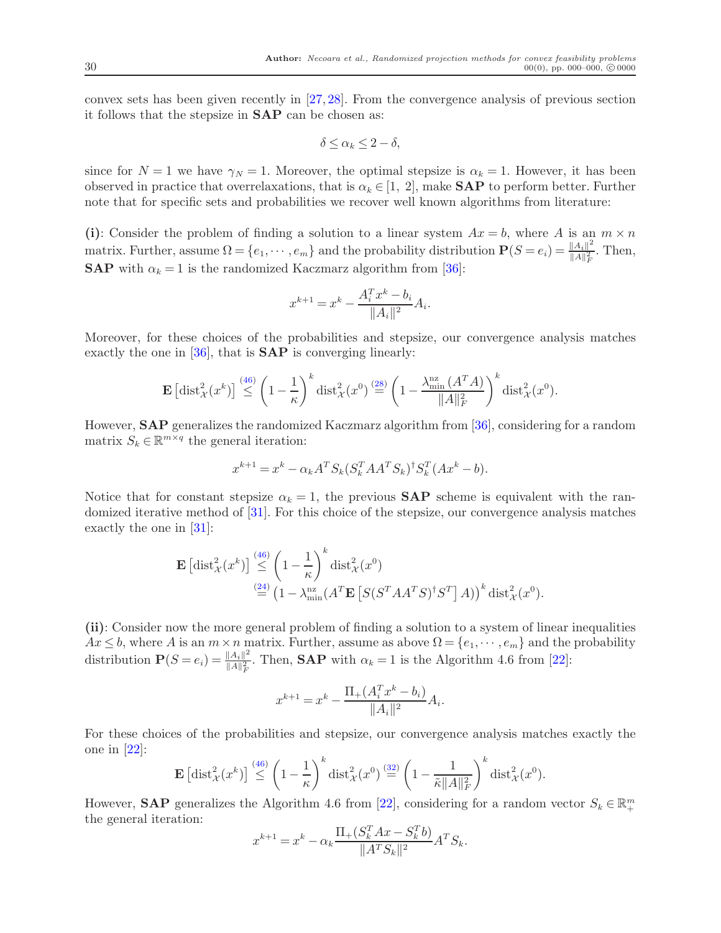convex sets has been given recently in [\[27,](#page-33-7) [28\]](#page-33-9). From the convergence analysis of previous section it follows that the stepsize in SAP can be chosen as:

$$
\delta \le \alpha_k \le 2 - \delta,
$$

since for  $N = 1$  we have  $\gamma_N = 1$ . Moreover, the optimal stepsize is  $\alpha_k = 1$ . However, it has been observed in practice that overrelaxations, that is  $\alpha_k \in [1, 2]$ , make **SAP** to perform better. Further note that for specific sets and probabilities we recover well known algorithms from literature:

(i): Consider the problem of finding a solution to a linear system  $Ax = b$ , where A is an  $m \times n$ matrix. Further, assume  $\Omega = \{e_1, \dots, e_m\}$  and the probability distribution  $\mathbf{P}(S = e_i) = \frac{\|A_i\|^2}{\|A\|_F^2}$  $\frac{\|A_i\|^2}{\|A\|_F^2}$ . Then, **SAP** with  $\alpha_k = 1$  is the randomized Kaczmarz algorithm from [\[36\]](#page-33-15):

$$
x^{k+1} = x^k - \frac{A_i^T x^k - b_i}{\|A_i\|^2} A_i.
$$

Moreover, for these choices of the probabilities and stepsize, our convergence analysis matches exactly the one in  $[36]$ , that is  $SAP$  is converging linearly:

$$
\mathbf{E}\left[\mathrm{dist}_{\mathcal{X}}^{2}(x^{k})\right] \stackrel{(46)}{\leq} \left(1-\frac{1}{\kappa}\right)^{k} \mathrm{dist}_{\mathcal{X}}^{2}(x^{0}) \stackrel{(28)}{=} \left(1-\frac{\lambda_{\min}^{\mathrm{nz}}\left(A^{T} A\right)}{\|A\|_{F}^{2}}\right)^{k} \mathrm{dist}_{\mathcal{X}}^{2}(x^{0}).
$$

However, SAP generalizes the randomized Kaczmarz algorithm from [\[36\]](#page-33-15), considering for a random matrix  $S_k \in \mathbb{R}^{m \times q}$  the general iteration:

$$
x^{k+1} = x^k - \alpha_k A^T S_k (S_k^T A A^T S_k)^{\dagger} S_k^T (A x^k - b).
$$

Notice that for constant stepsize  $\alpha_k = 1$ , the previous **SAP** scheme is equivalent with the randomized iterative method of [\[31\]](#page-33-8). For this choice of the stepsize, our convergence analysis matches exactly the one in  $|31|$ :

$$
\mathbf{E}\left[\text{dist}_{\mathcal{X}}^{2}(x^{k})\right] \stackrel{(46)}{\leq} \left(1 - \frac{1}{\kappa}\right)^{k} \text{dist}_{\mathcal{X}}^{2}(x^{0})
$$

$$
\stackrel{(24)}{=} \left(1 - \lambda_{\min}^{\text{nz}}(A^{T}\mathbf{E}\left[S(S^{T}AA^{T}S)^{\dagger}S^{T}\right]A)\right)^{k} \text{dist}_{\mathcal{X}}^{2}(x^{0}).
$$

(ii): Consider now the more general problem of finding a solution to a system of linear inequalities  $Ax \leq b$ , where A is an  $m \times n$  matrix. Further, assume as above  $\Omega = \{e_1, \dots, e_m\}$  and the probability distribution  $\mathbf{P}(S = e_i) = \frac{\|A_i\|^2}{\|A\|^2}$  $\frac{\|A_i\|}{\|A\|_F^2}$ . Then, **SAP** with  $\alpha_k = 1$  is the Algorithm 4.6 from [\[22\]](#page-33-16):

$$
x^{k+1} = x^k - \frac{\Pi_+(A_i^T x^k - b_i)}{\|A_i\|^2} A_i.
$$

For these choices of the probabilities and stepsize, our convergence analysis matches exactly the one in [\[22\]](#page-33-16):

$$
\mathbf{E}\left[\mathrm{dist}_{\mathcal{X}}^{2}(x^{k})\right] \stackrel{(46)}{\leq} \left(1-\frac{1}{\kappa}\right)^{k} \mathrm{dist}_{\mathcal{X}}^{2}(x^{0}) \stackrel{(32)}{=} \left(1-\frac{1}{\tilde{\kappa}||A||_{F}^{2}}\right)^{k} \mathrm{dist}_{\mathcal{X}}^{2}(x^{0}).
$$

However, **SAP** generalizes the Algorithm 4.6 from [\[22\]](#page-33-16), considering for a random vector  $S_k \in \mathbb{R}^m_+$ the general iteration:

$$
x^{k+1} = x^k - \alpha_k \frac{\Pi_+(S_k^T A x - S_k^T b)}{\|A^T S_k\|^2} A^T S_k.
$$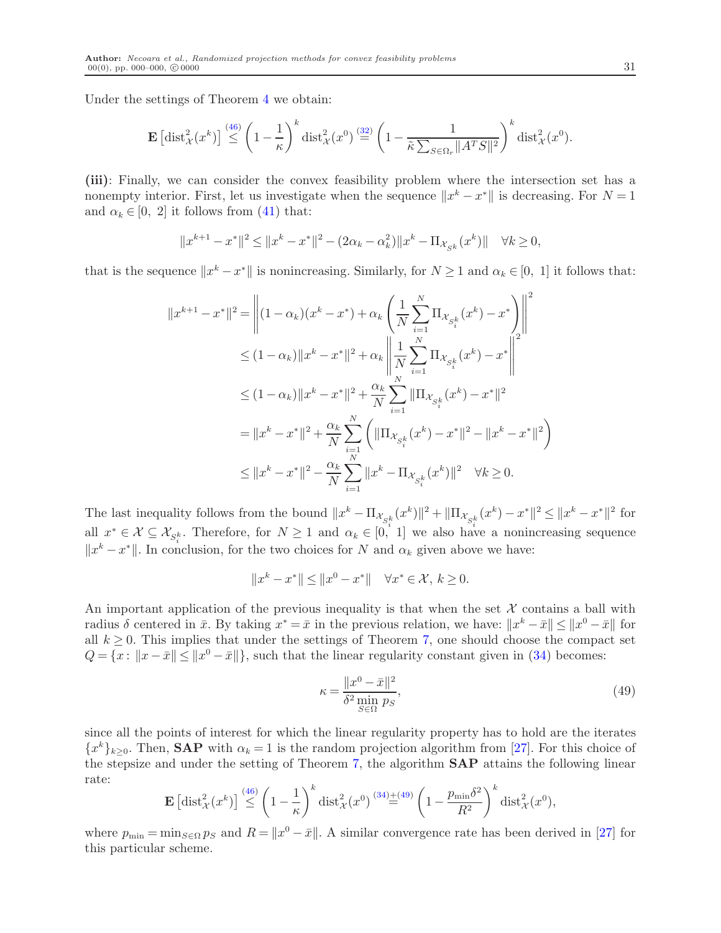Under the settings of Theorem [4](#page-17-4) we obtain:

 $\mathbf{r}$ 

$$
\mathbf{E}\left[\mathrm{dist}_{\mathcal{X}}^{2}(x^{k})\right] \stackrel{(46)}{\leq} \left(1-\frac{1}{\kappa}\right)^{k} \mathrm{dist}_{\mathcal{X}}^{2}(x^{0}) \stackrel{(32)}{=} \left(1-\frac{1}{\tilde{\kappa}\sum_{S\in\Omega_{r}}\|A^{T}S\|^{2}}\right)^{k} \mathrm{dist}_{\mathcal{X}}^{2}(x^{0}).
$$

(iii): Finally, we can consider the convex feasibility problem where the intersection set has a nonempty interior. First, let us investigate when the sequence  $||x^k - x^*||$  is decreasing. For  $N = 1$ and  $\alpha_k \in [0, 2]$  it follows from [\(41\)](#page-23-1) that:

$$
||x^{k+1} - x^*||^2 \le ||x^k - x^*||^2 - (2\alpha_k - \alpha_k^2)||x^k - \Pi_{\mathcal{X}_{S^k}}(x^k)|| \quad \forall k \ge 0,
$$

that is the sequence  $||x^k - x^*||$  is nonincreasing. Similarly, for  $N \ge 1$  and  $\alpha_k \in [0, 1]$  it follows that:

$$
||x^{k+1} - x^*||^2 = \left\| (1 - \alpha_k)(x^k - x^*) + \alpha_k \left( \frac{1}{N} \sum_{i=1}^N \Pi_{\mathcal{X}_{S_i^k}}(x^k) - x^* \right) \right\|^2
$$
  
\n
$$
\leq (1 - \alpha_k) ||x^k - x^*||^2 + \alpha_k \left\| \frac{1}{N} \sum_{i=1}^N \Pi_{\mathcal{X}_{S_i^k}}(x^k) - x^* \right\|^2
$$
  
\n
$$
\leq (1 - \alpha_k) ||x^k - x^*||^2 + \frac{\alpha_k}{N} \sum_{i=1}^N ||\Pi_{\mathcal{X}_{S_i^k}}(x^k) - x^*||^2
$$
  
\n
$$
= ||x^k - x^*||^2 + \frac{\alpha_k}{N} \sum_{i=1}^N \left( ||\Pi_{\mathcal{X}_{S_i^k}}(x^k) - x^*||^2 - ||x^k - x^*||^2 \right)
$$
  
\n
$$
\leq ||x^k - x^*||^2 - \frac{\alpha_k}{N} \sum_{i=1}^N ||x^k - \Pi_{\mathcal{X}_{S_i^k}}(x^k)||^2 \quad \forall k \geq 0.
$$

The last inequality follows from the bound  $||x^k - \Pi_{\mathcal{X}_{S^k_\tau}}(x^k)||^2 + ||\Pi_{\mathcal{X}_{S^k_\tau}}(x^k) - x^*||^2 \le ||x^k - x^*||^2$  for all  $x^* \in \mathcal{X} \subseteq \mathcal{X}_{S_i^k}$ . Therefore, for  $N \geq 1$  and  $\alpha_k \in [0, 1]$  we also have a nonincreasing sequence  $||x^k - x^*||$ . In conclusion, for the two choices for N and  $\alpha_k$  given above we have:

$$
||x^k - x^*|| \le ||x^0 - x^*|| \quad \forall x^* \in \mathcal{X}, k \ge 0.
$$

An important application of the previous inequality is that when the set  $\mathcal X$  contains a ball with radius  $\delta$  centered in  $\bar{x}$ . By taking  $x^* = \bar{x}$  in the previous relation, we have:  $||x^k - \bar{x}|| \le ||x^0 - \bar{x}||$  for all  $k \geq 0$ . This implies that under the settings of Theorem [7,](#page-18-1) one should choose the compact set  $Q = \{x : ||x - \bar{x}|| \le ||x^0 - \bar{x}||\}$ , such that the linear regularity constant given in [\(34\)](#page-18-2) becomes:

<span id="page-31-0"></span>
$$
\kappa = \frac{\|x^0 - \bar{x}\|^2}{\delta^2 \min_{S \in \Omega} p_S},\tag{49}
$$

since all the points of interest for which the linear regularity property has to hold are the iterates  ${x<sup>k</sup>}_{k\geq 0}$ . Then, **SAP** with  $\alpha_k = 1$  is the random projection algorithm from [\[27\]](#page-33-7). For this choice of the stepsize and under the setting of Theorem [7,](#page-18-1) the algorithm SAP attains the following linear rate:

$$
\mathbf{E}\left[\mathrm{dist}_{\mathcal{X}}^{2}(x^{k})\right] \stackrel{(46)}{\leq} \left(1-\frac{1}{\kappa}\right)^{k} \mathrm{dist}_{\mathcal{X}}^{2}(x^{0}) \stackrel{(34)+(49)}{=} \left(1-\frac{p_{\min}\delta^{2}}{R^{2}}\right)^{k} \mathrm{dist}_{\mathcal{X}}^{2}(x^{0}),
$$

where  $p_{\min} = \min_{S \in \Omega} p_S$  and  $R = ||x^0 - \bar{x}||$ . A similar convergence rate has been derived in [\[27\]](#page-33-7) for this particular scheme.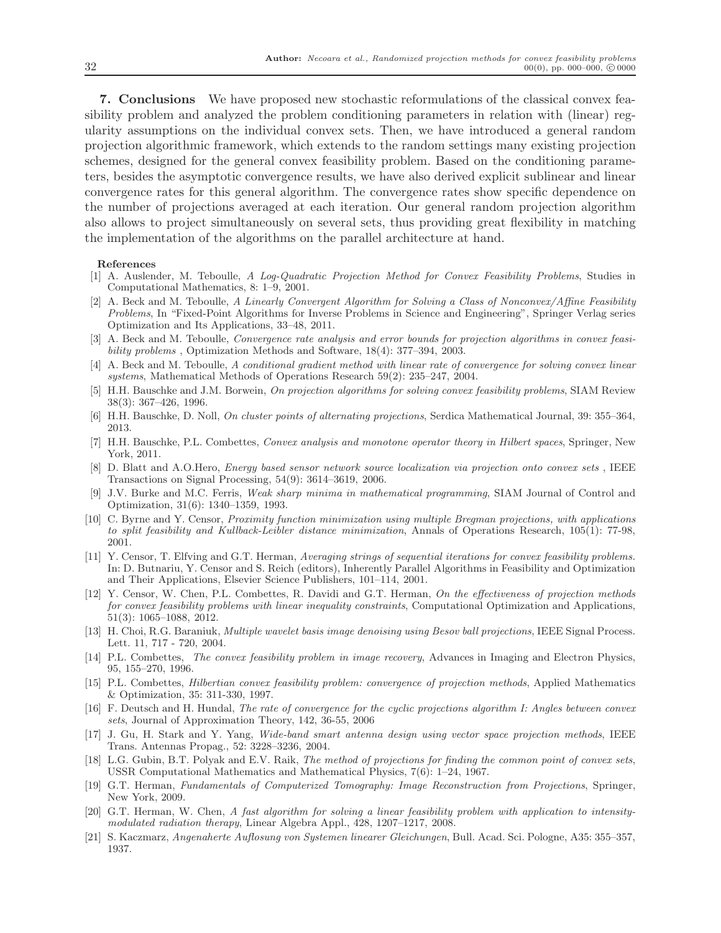7. Conclusions We have proposed new stochastic reformulations of the classical convex feasibility problem and analyzed the problem conditioning parameters in relation with (linear) regularity assumptions on the individual convex sets. Then, we have introduced a general random projection algorithmic framework, which extends to the random settings many existing projection schemes, designed for the general convex feasibility problem. Based on the conditioning parameters, besides the asymptotic convergence results, we have also derived explicit sublinear and linear convergence rates for this general algorithm. The convergence rates show specific dependence on the number of projections averaged at each iteration. Our general random projection algorithm also allows to project simultaneously on several sets, thus providing great flexibility in matching the implementation of the algorithms on the parallel architecture at hand.

#### <span id="page-32-11"></span>References

- [1] A. Auslender, M. Teboulle, A Log-Quadratic Projection Method for Convex Feasibility Problems, Studies in Computational Mathematics, 8: 1–9, 2001.
- <span id="page-32-14"></span>[2] A. Beck and M. Teboulle, A Linearly Convergent Algorithm for Solving a Class of Nonconvex/Affine Feasibility Problems, In "Fixed-Point Algorithms for Inverse Problems in Science and Engineering", Springer Verlag series Optimization and Its Applications, 33–48, 2011.
- <span id="page-32-12"></span>[3] A. Beck and M. Teboulle, Convergence rate analysis and error bounds for projection algorithms in convex feasibility problems , Optimization Methods and Software, 18(4): 377–394, 2003.
- <span id="page-32-13"></span>[4] A. Beck and M. Teboulle, A conditional gradient method with linear rate of convergence for solving convex linear systems, Mathematical Methods of Operations Research 59(2): 235–247, 2004.
- <span id="page-32-7"></span>[5] H.H. Bauschke and J.M. Borwein, On projection algorithms for solving convex feasibility problems, SIAM Review 38(3): 367–426, 1996.
- <span id="page-32-8"></span>[6] H.H. Bauschke, D. Noll, On cluster points of alternating projections, Serdica Mathematical Journal, 39: 355–364, 2013.
- <span id="page-32-15"></span>[7] H.H. Bauschke, P.L. Combettes, Convex analysis and monotone operator theory in Hilbert spaces, Springer, New York, 2011.
- <span id="page-32-4"></span>[8] D. Blatt and A.O.Hero, Energy based sensor network source localization via projection onto convex sets , IEEE Transactions on Signal Processing, 54(9): 3614–3619, 2006.
- <span id="page-32-17"></span>[9] J.V. Burke and M.C. Ferris, Weak sharp minima in mathematical programming, SIAM Journal of Control and Optimization, 31(6): 1340–1359, 1993.
- <span id="page-32-18"></span>[10] C. Byrne and Y. Censor, Proximity function minimization using multiple Bregman projections, with applications to split feasibility and Kullback-Leibler distance minimization, Annals of Operations Research, 105(1): 77-98, 2001.
- <span id="page-32-9"></span>[11] Y. Censor, T. Elfving and G.T. Herman, Averaging strings of sequential iterations for convex feasibility problems. In: D. Butnariu, Y. Censor and S. Reich (editors), Inherently Parallel Algorithms in Feasibility and Optimization and Their Applications, Elsevier Science Publishers, 101–114, 2001.
- <span id="page-32-10"></span>[12] Y. Censor, W. Chen, P.L. Combettes, R. Davidi and G.T. Herman, On the effectiveness of projection methods for convex feasibility problems with linear inequality constraints, Computational Optimization and Applications, 51(3): 1065–1088, 2012.
- <span id="page-32-2"></span>[13] H. Choi, R.G. Baraniuk, Multiple wavelet basis image denoising using Besov ball projections, IEEE Signal Process. Lett. 11, 717 - 720, 2004.
- <span id="page-32-6"></span>[14] P.L. Combettes, The convex feasibility problem in image recovery, Advances in Imaging and Electron Physics, 95, 155–270, 1996.
- <span id="page-32-19"></span>[15] P.L. Combettes, Hilbertian convex feasibility problem: convergence of projection methods, Applied Mathematics & Optimization, 35: 311-330, 1997.
- <span id="page-32-20"></span>[16] F. Deutsch and H. Hundal, The rate of convergence for the cyclic projections algorithm I: Angles between convex sets, Journal of Approximation Theory, 142, 36-55, 2006
- <span id="page-32-3"></span>[17] J. Gu, H. Stark and Y. Yang, Wide-band smart antenna design using vector space projection methods, IEEE Trans. Antennas Propag., 52: 3228–3236, 2004.
- <span id="page-32-16"></span>[18] L.G. Gubin, B.T. Polyak and E.V. Raik, *The method of projections for finding the common point of convex sets*, USSR Computational Mathematics and Mathematical Physics, 7(6): 1–24, 1967.
- <span id="page-32-1"></span>[19] G.T. Herman, Fundamentals of Computerized Tomography: Image Reconstruction from Projections, Springer, New York, 2009.
- <span id="page-32-0"></span>[20] G.T. Herman, W. Chen, A fast algorithm for solving a linear feasibility problem with application to intensitymodulated radiation therapy, Linear Algebra Appl., 428, 1207–1217, 2008.
- <span id="page-32-5"></span>[21] S. Kaczmarz, Angenaherte Auflosung von Systemen linearer Gleichungen, Bull. Acad. Sci. Pologne, A35: 355–357, 1937.